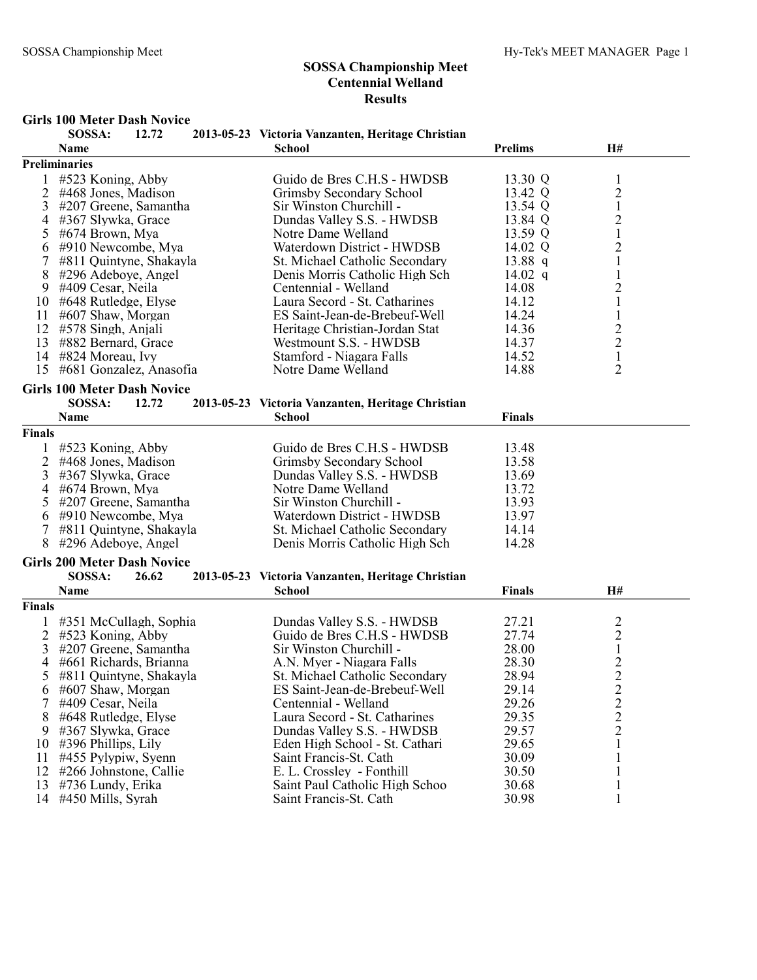### Girls 100 Meter Dash Novice

|                | SOSSA:                             | 12.72 | 2013-05-23 Victoria Vanzanten, Heritage Christian           |                |                |  |
|----------------|------------------------------------|-------|-------------------------------------------------------------|----------------|----------------|--|
|                | Name                               |       | <b>School</b>                                               | <b>Prelims</b> | H#             |  |
|                | Preliminaries                      |       |                                                             |                |                |  |
|                | #523 Koning, Abby                  |       | Guido de Bres C.H.S - HWDSB                                 | 13.30 Q        | $\mathbf{1}$   |  |
| 2              | #468 Jones, Madison                |       | Grimsby Secondary School                                    | 13.42 Q        | $\overline{2}$ |  |
| 3              | #207 Greene, Samantha              |       | Sir Winston Churchill -                                     | 13.54 Q        | $\,1$          |  |
| 4              | #367 Slywka, Grace                 |       | Dundas Valley S.S. - HWDSB                                  | 13.84 Q        | $\overline{c}$ |  |
| 5              | #674 Brown, Mya                    |       | Notre Dame Welland                                          | 13.59 Q        | $\mathbf 1$    |  |
| 6              | #910 Newcombe, Mya                 |       | Waterdown District - HWDSB                                  | 14.02 Q        | $\overline{c}$ |  |
|                | #811 Quintyne, Shakayla            |       | St. Michael Catholic Secondary                              | 13.88 $q$      | $\mathbf{1}$   |  |
| 8              | #296 Adeboye, Angel                |       | Denis Morris Catholic High Sch                              | 14.02 q        | $\mathbf{1}$   |  |
| 9              | #409 Cesar, Neila                  |       | Centennial - Welland                                        | 14.08          | $\overline{c}$ |  |
| 10             | #648 Rutledge, Elyse               |       | Laura Secord - St. Catharines                               | 14.12          | $\mathbf{1}$   |  |
| 11             | #607 Shaw, Morgan                  |       | ES Saint-Jean-de-Brebeuf-Well                               | 14.24          | $\mathbf{1}$   |  |
| 12             | #578 Singh, Anjali                 |       | Heritage Christian-Jordan Stat                              | 14.36          | $\overline{c}$ |  |
| 13             | #882 Bernard, Grace                |       | Westmount S.S. - HWDSB                                      | 14.37          |                |  |
|                | 14 #824 Moreau, Ivy                |       | Stamford - Niagara Falls                                    | 14.52          | $\frac{2}{1}$  |  |
| 15             | #681 Gonzalez, Anasofia            |       | Notre Dame Welland                                          | 14.88          | $\overline{2}$ |  |
|                |                                    |       |                                                             |                |                |  |
|                | <b>Girls 100 Meter Dash Novice</b> |       |                                                             |                |                |  |
|                | SOSSA:                             | 12.72 | 2013-05-23 Victoria Vanzanten, Heritage Christian           |                |                |  |
|                | Name                               |       | <b>School</b>                                               | <b>Finals</b>  |                |  |
| Finals         |                                    |       |                                                             |                |                |  |
|                | #523 Koning, Abby                  |       | Guido de Bres C.H.S - HWDSB                                 | 13.48          |                |  |
| 2              | #468 Jones, Madison                |       | Grimsby Secondary School                                    | 13.58          |                |  |
| 3              | #367 Slywka, Grace                 |       | Dundas Valley S.S. - HWDSB                                  | 13.69          |                |  |
| 4              | #674 Brown, Mya                    |       | Notre Dame Welland                                          | 13.72          |                |  |
| 5              | #207 Greene, Samantha              |       | Sir Winston Churchill -                                     | 13.93          |                |  |
| 6              | #910 Newcombe, Mya                 |       | Waterdown District - HWDSB                                  | 13.97          |                |  |
| 7              | #811 Quintyne, Shakayla            |       | St. Michael Catholic Secondary                              | 14.14          |                |  |
| 8              | #296 Adeboye, Angel                |       | Denis Morris Catholic High Sch                              | 14.28          |                |  |
|                |                                    |       |                                                             |                |                |  |
|                | <b>Girls 200 Meter Dash Novice</b> |       |                                                             |                |                |  |
|                | SOSSA:                             | 26.62 | 2013-05-23 Victoria Vanzanten, Heritage Christian           |                |                |  |
|                | Name                               |       | <b>School</b>                                               | <b>Finals</b>  | H#             |  |
| Finals         |                                    |       |                                                             |                |                |  |
|                | 1 #351 McCullagh, Sophia           |       | Dundas Valley S.S. - HWDSB                                  | 27.21          | 2              |  |
| $\overline{2}$ | #523 Koning, Abby                  |       | Guido de Bres C.H.S - HWDSB                                 | 27.74          | $\overline{c}$ |  |
| 3              | #207 Greene, Samantha              |       | Sir Winston Churchill -                                     | 28.00          | $\mathbf{1}$   |  |
| 4              | #661 Richards, Brianna             |       | A.N. Myer - Niagara Falls                                   | 28.30          | $\overline{c}$ |  |
| 5              | #811 Quintyne, Shakayla            |       | St. Michael Catholic Secondary                              | 28.94          | $\overline{2}$ |  |
| 6              | #607 Shaw, Morgan                  |       | ES Saint-Jean-de-Brebeuf-Well                               | 29.14          | $\overline{c}$ |  |
|                | #409 Cesar, Neila                  |       | Centennial - Welland                                        | 29.26          | $\overline{c}$ |  |
| 8              | #648 Rutledge, Elyse               |       | Laura Secord - St. Catharines                               | 29.35          | $\overline{c}$ |  |
| 9              | #367 Slywka, Grace                 |       | Dundas Valley S.S. - HWDSB                                  | 29.57          | $\overline{2}$ |  |
| 10             | $\#396$ Phillips, Lily             |       | Eden High School - St. Cathari                              | 29.65          | 1              |  |
| 11             | #455 Pylypiw, Syenn                |       | Saint Francis-St. Cath                                      | 30.09          |                |  |
| 12             | #266 Johnstone, Callie             |       |                                                             | 30.50          |                |  |
| 13             |                                    |       | E. L. Crossley - Fonthill<br>Saint Paul Catholic High Schoo | 30.68          |                |  |
|                | #736 Lundy, Erika                  |       |                                                             |                | 1              |  |
| 14             | #450 Mills, Syrah                  |       | Saint Francis-St. Cath                                      | 30.98          | 1              |  |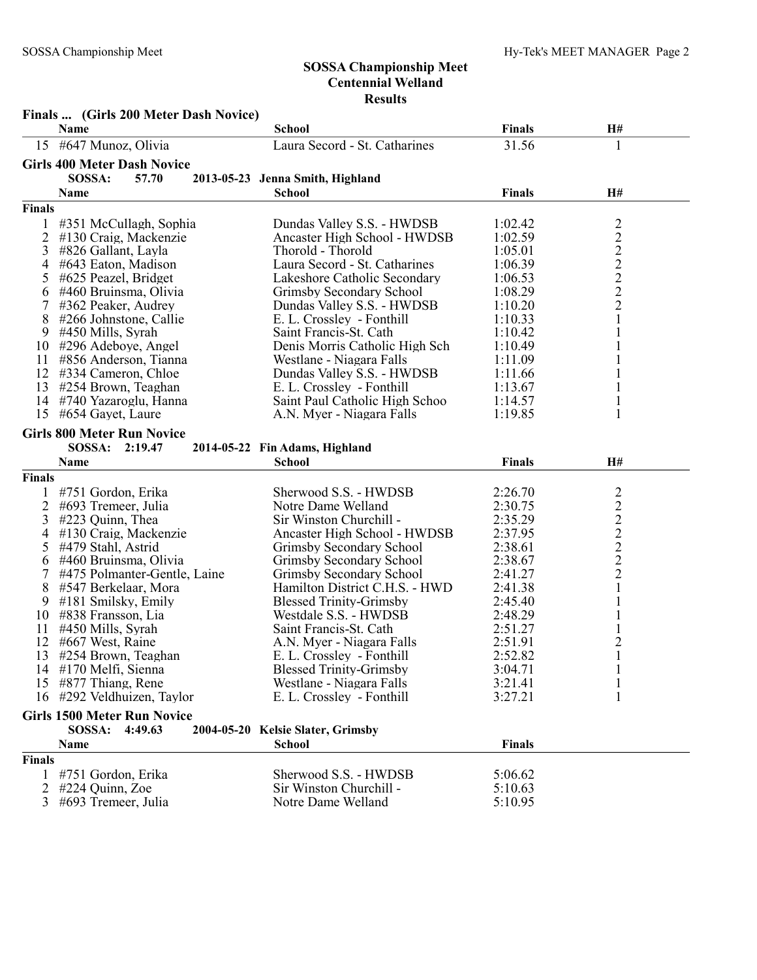|               | Finals  (Girls 200 Meter Dash Novice)     |                                   |                    |                         |
|---------------|-------------------------------------------|-----------------------------------|--------------------|-------------------------|
|               | Name                                      | <b>School</b>                     | <b>Finals</b>      | H#                      |
|               | 15 #647 Munoz, Olivia                     | Laura Secord - St. Catharines     | 31.56              | 1                       |
|               | <b>Girls 400 Meter Dash Novice</b>        |                                   |                    |                         |
|               | SOSSA:<br>57.70                           | 2013-05-23 Jenna Smith, Highland  |                    |                         |
|               | Name                                      | <b>School</b>                     | <b>Finals</b>      | H#                      |
| <b>Finals</b> |                                           |                                   |                    |                         |
|               | #351 McCullagh, Sophia                    | Dundas Valley S.S. - HWDSB        | 1:02.42            |                         |
| 2             | #130 Craig, Mackenzie                     | Ancaster High School - HWDSB      | 1:02.59            |                         |
| 3             | #826 Gallant, Layla                       | Thorold - Thorold                 | 1:05.01            |                         |
| 4             | #643 Eaton, Madison                       | Laura Secord - St. Catharines     | 1:06.39            | 22222222                |
| 5             | #625 Peazel, Bridget                      | Lakeshore Catholic Secondary      | 1:06.53            |                         |
| 6             | #460 Bruinsma, Olivia                     | Grimsby Secondary School          | 1:08.29            |                         |
| 7             | #362 Peaker, Audrey                       | Dundas Valley S.S. - HWDSB        | 1:10.20            |                         |
| 8             | #266 Johnstone, Callie                    | E. L. Crossley - Fonthill         | 1:10.33            |                         |
| 9             | #450 Mills, Syrah                         | Saint Francis-St. Cath            | 1:10.42            | 1                       |
| 10            | #296 Adeboye, Angel                       | Denis Morris Catholic High Sch    | 1:10.49            | 1                       |
| 11            | #856 Anderson, Tianna                     | Westlane - Niagara Falls          | 1:11.09            | 1                       |
| 12            | #334 Cameron, Chloe                       | Dundas Valley S.S. - HWDSB        | 1:11.66            | $\mathbf{1}$            |
| 13            | #254 Brown, Teaghan                       | E. L. Crossley - Fonthill         | 1:13.67            | $\mathbf{1}$            |
| 14            | #740 Yazaroglu, Hanna                     | Saint Paul Catholic High Schoo    | 1:14.57            | $\mathbf{1}$            |
| 15            | #654 Gayet, Laure                         | A.N. Myer - Niagara Falls         | 1:19.85            | 1                       |
|               | <b>Girls 800 Meter Run Novice</b>         |                                   |                    |                         |
|               | SOSSA: 2:19.47                            | 2014-05-22 Fin Adams, Highland    |                    |                         |
|               | Name                                      | <b>School</b>                     | <b>Finals</b>      | H#                      |
| <b>Finals</b> |                                           |                                   |                    |                         |
|               |                                           | Sherwood S.S. - HWDSB             |                    |                         |
|               | #751 Gordon, Erika                        | Notre Dame Welland                | 2:26.70<br>2:30.75 |                         |
| 2<br>3        | #693 Tremeer, Julia                       | Sir Winston Churchill -           | 2:35.29            |                         |
|               | #223 Quinn, Thea<br>#130 Craig, Mackenzie | Ancaster High School - HWDSB      | 2:37.95            | 222222                  |
| 4<br>5        | #479 Stahl, Astrid                        | Grimsby Secondary School          | 2:38.61            |                         |
|               | #460 Bruinsma, Olivia                     | Grimsby Secondary School          | 2:38.67            |                         |
| 6<br>7        | #475 Polmanter-Gentle, Laine              | Grimsby Secondary School          | 2:41.27            |                         |
| 8             | #547 Berkelaar, Mora                      | Hamilton District C.H.S. - HWD    | 2:41.38            | $\mathbf{1}$            |
| 9             | $\#181$ Smilsky, Emily                    | <b>Blessed Trinity-Grimsby</b>    | 2:45.40            | $\mathbf{1}$            |
| 10            | #838 Fransson, Lia                        | Westdale S.S. - HWDSB             | 2:48.29            |                         |
| 11            | #450 Mills, Syrah                         | Saint Francis-St. Cath            | 2:51.27            |                         |
| 12            | #667 West, Raine                          | A.N. Myer - Niagara Falls         | 2:51.91            | $\overline{\mathbf{c}}$ |
| 13            | #254 Brown, Teaghan                       | E. L. Crossley - Fonthill         | 2:52.82            | 1                       |
|               | 14 #170 Melfi, Sienna                     | <b>Blessed Trinity-Grimsby</b>    | 3:04.71            | $\mathbf{1}$            |
| 15            | #877 Thiang, Rene                         | Westlane - Niagara Falls          | 3:21.41            | $\mathbf{1}$            |
|               | 16 #292 Veldhuizen, Taylor                | E. L. Crossley - Fonthill         | 3:27.21            | 1                       |
|               |                                           |                                   |                    |                         |
|               | <b>Girls 1500 Meter Run Novice</b>        |                                   |                    |                         |
|               | SOSSA:<br>4:49.63                         | 2004-05-20 Kelsie Slater, Grimsby |                    |                         |
|               | Name                                      | School                            | <b>Finals</b>      |                         |
| <b>Finals</b> |                                           |                                   |                    |                         |
|               | #751 Gordon, Erika                        | Sherwood S.S. - HWDSB             | 5:06.62            |                         |
| 2             | #224 Quinn, Zoe                           | Sir Winston Churchill -           | 5:10.63            |                         |
| 3             | #693 Tremeer, Julia                       | Notre Dame Welland                | 5:10.95            |                         |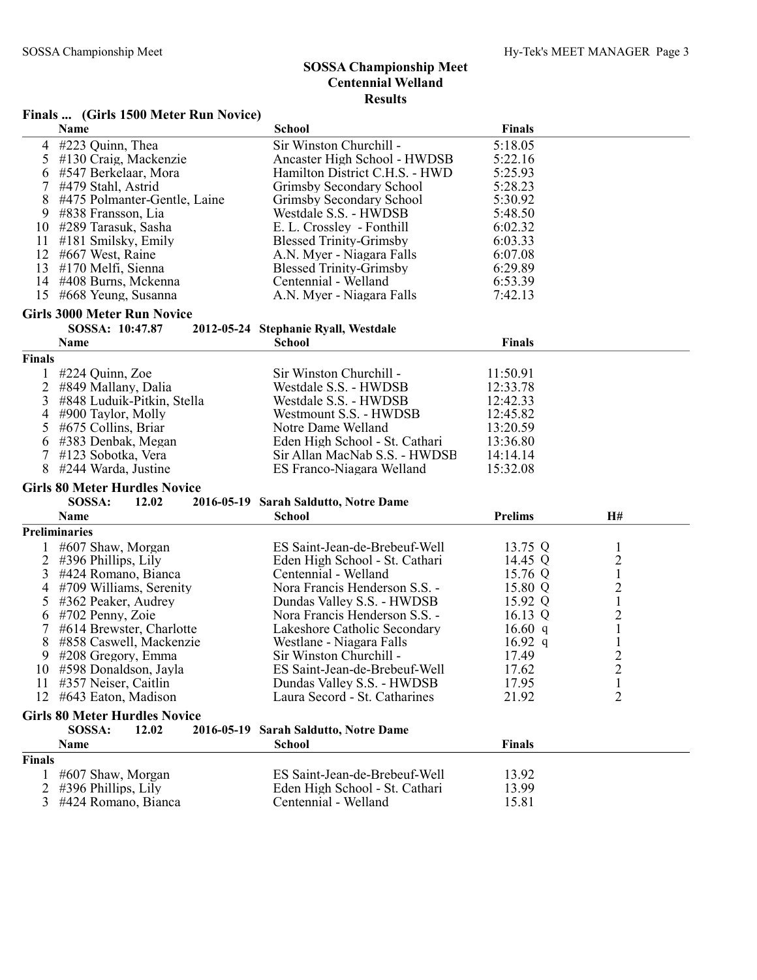#### Finals ... (Girls 1500 Meter Run Novice)

|                | Name                                                                  | <b>School</b>                                               | <b>Finals</b>  |                                |
|----------------|-----------------------------------------------------------------------|-------------------------------------------------------------|----------------|--------------------------------|
| 4              | #223 Quinn, Thea                                                      | Sir Winston Churchill -                                     | 5:18.05        |                                |
| 5              | #130 Craig, Mackenzie                                                 | Ancaster High School - HWDSB                                | 5:22.16        |                                |
| 6              | #547 Berkelaar, Mora                                                  | Hamilton District C.H.S. - HWD                              | 5:25.93        |                                |
| 7              | #479 Stahl, Astrid                                                    | Grimsby Secondary School                                    | 5:28.23        |                                |
| 8              | #475 Polmanter-Gentle, Laine                                          | Grimsby Secondary School                                    | 5:30.92        |                                |
| 9              | #838 Fransson, Lia                                                    | Westdale S.S. - HWDSB                                       | 5:48.50        |                                |
| 10             | #289 Tarasuk, Sasha                                                   | E. L. Crossley - Fonthill                                   | 6:02.32        |                                |
| 11             | #181 Smilsky, Emily                                                   | <b>Blessed Trinity-Grimsby</b>                              | 6:03.33        |                                |
|                | 12 #667 West, Raine                                                   | A.N. Myer - Niagara Falls                                   | 6:07.08        |                                |
|                | 13 #170 Melfi, Sienna                                                 | <b>Blessed Trinity-Grimsby</b>                              | 6:29.89        |                                |
|                | 14 #408 Burns, Mckenna                                                | Centennial - Welland                                        | 6:53.39        |                                |
|                | 15 #668 Yeung, Susanna                                                | A.N. Myer - Niagara Falls                                   | 7:42.13        |                                |
|                | <b>Girls 3000 Meter Run Novice</b>                                    |                                                             |                |                                |
|                | SOSSA: 10:47.87                                                       | 2012-05-24 Stephanie Ryall, Westdale                        |                |                                |
|                | Name                                                                  | <b>School</b>                                               | <b>Finals</b>  |                                |
| <b>Finals</b>  |                                                                       |                                                             |                |                                |
|                | #224 Quinn, Zoe                                                       | Sir Winston Churchill -                                     | 11:50.91       |                                |
|                | 2 #849 Mallany, Dalia                                                 | Westdale S.S. - HWDSB                                       | 12:33.78       |                                |
| 3              | #848 Luduik-Pitkin, Stella                                            | Westdale S.S. - HWDSB                                       | 12:42.33       |                                |
| 4              | #900 Taylor, Molly                                                    | Westmount S.S. - HWDSB                                      | 12:45.82       |                                |
| 5              | #675 Collins, Briar                                                   | Notre Dame Welland                                          | 13:20.59       |                                |
| 6              | #383 Denbak, Megan                                                    | Eden High School - St. Cathari                              | 13:36.80       |                                |
| 7              | #123 Sobotka, Vera                                                    | Sir Allan MacNab S.S. - HWDSB                               | 14:14.14       |                                |
| 8              | #244 Warda, Justine                                                   | ES Franco-Niagara Welland                                   | 15:32.08       |                                |
|                |                                                                       |                                                             |                |                                |
|                |                                                                       |                                                             |                |                                |
|                | <b>Girls 80 Meter Hurdles Novice</b><br>SOSSA:                        |                                                             |                |                                |
|                | 12.02<br>Name                                                         | 2016-05-19 Sarah Saldutto, Notre Dame<br><b>School</b>      | <b>Prelims</b> | H#                             |
|                | <b>Preliminaries</b>                                                  |                                                             |                |                                |
|                |                                                                       | ES Saint-Jean-de-Brebeuf-Well                               |                | 1                              |
|                | #607 Shaw, Morgan                                                     |                                                             | 13.75 Q        |                                |
| 2              | $\#396$ Phillips, Lily                                                | Eden High School - St. Cathari                              | 14.45 Q        | 2                              |
| 3<br>4         | #424 Romano, Bianca                                                   | Centennial - Welland                                        | 15.76 Q        | $\mathbf{1}$                   |
| 5              | #709 Williams, Serenity<br>#362 Peaker, Audrey                        | Nora Francis Henderson S.S. -<br>Dundas Valley S.S. - HWDSB | 15.80 Q        | $\overline{c}$                 |
|                |                                                                       |                                                             | 15.92 Q        | $\mathbf{1}$                   |
| 6              | #702 Penny, Zoie                                                      | Nora Francis Henderson S.S. -                               | 16.13 $Q$      | $\overline{c}$                 |
| 7              | #614 Brewster, Charlotte                                              | Lakeshore Catholic Secondary                                | 16.60 q        | $\mathbf{1}$                   |
| 8              | #858 Caswell, Mackenzie                                               | Westlane - Niagara Falls                                    | $16.92\ q$     | $\mathbf{1}$                   |
| 9              | $#208$ Gregory, Emma                                                  | Sir Winston Churchill -                                     | 17.49          | $\overline{c}$                 |
|                | 10 #598 Donaldson, Jayla                                              | ES Saint-Jean-de-Brebeuf-Well                               | 17.62          | $\overline{2}$                 |
|                | 11 #357 Neiser, Caitlin<br>12 #643 Eaton, Madison                     | Dundas Valley S.S. - HWDSB<br>Laura Secord - St. Catharines | 17.95<br>21.92 | $\mathbf{1}$<br>$\overline{2}$ |
|                |                                                                       |                                                             |                |                                |
|                | <b>Girls 80 Meter Hurdles Novice</b><br>SOSSA:<br>12.02<br>2016-05-19 |                                                             |                |                                |
|                | Name                                                                  | <b>Sarah Saldutto, Notre Dame</b><br><b>School</b>          | <b>Finals</b>  |                                |
| <b>Finals</b>  |                                                                       |                                                             |                |                                |
|                | #607 Shaw, Morgan                                                     | ES Saint-Jean-de-Brebeuf-Well                               | 13.92          |                                |
| $\overline{2}$ | #396 Phillips, Lily                                                   | Eden High School - St. Cathari                              | 13.99          |                                |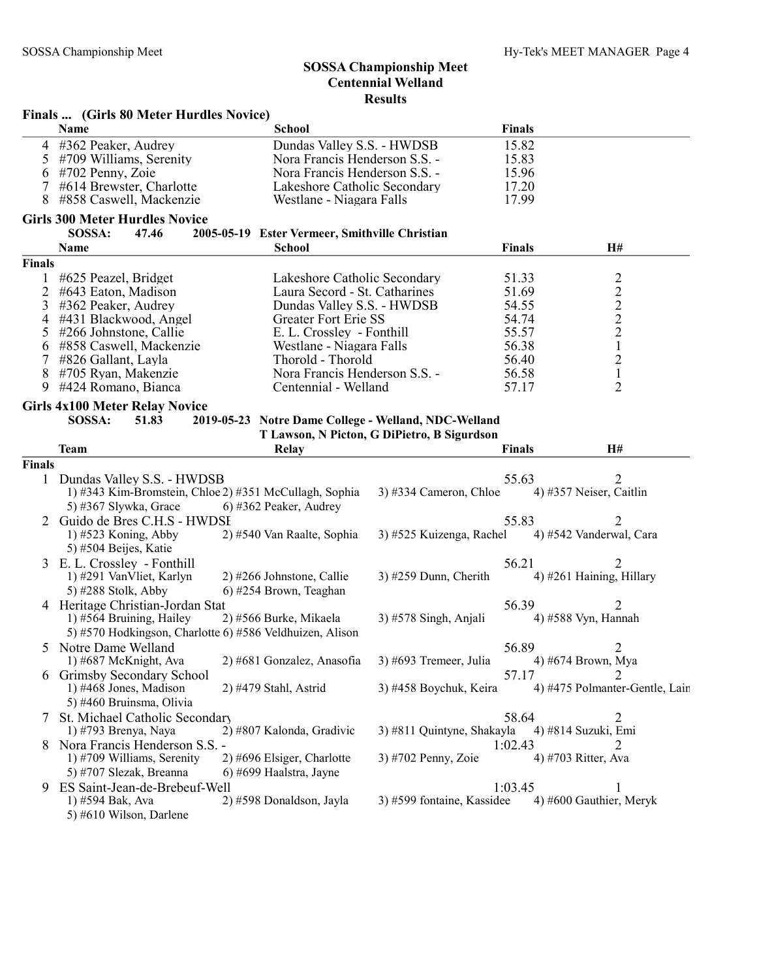|                | Finals  (Girls 80 Meter Hurdles Novice)                  |                                                      |                                             |               |                                |
|----------------|----------------------------------------------------------|------------------------------------------------------|---------------------------------------------|---------------|--------------------------------|
|                | Name                                                     | <b>School</b>                                        |                                             | <b>Finals</b> |                                |
|                | 4 #362 Peaker, Audrey                                    | Dundas Valley S.S. - HWDSB                           |                                             | 15.82         |                                |
| 5 <sup>5</sup> | #709 Williams, Serenity                                  | Nora Francis Henderson S.S. -                        |                                             | 15.83         |                                |
|                | 6 #702 Penny, Zoie                                       | Nora Francis Henderson S.S. -                        |                                             | 15.96         |                                |
| 7              | #614 Brewster, Charlotte                                 | Lakeshore Catholic Secondary                         |                                             | 17.20         |                                |
| 8              | #858 Caswell, Mackenzie                                  | Westlane - Niagara Falls                             |                                             | 17.99         |                                |
|                | <b>Girls 300 Meter Hurdles Novice</b>                    |                                                      |                                             |               |                                |
|                | SOSSA:<br>47.46                                          | 2005-05-19 Ester Vermeer, Smithville Christian       |                                             |               |                                |
|                | Name                                                     | <b>School</b>                                        |                                             | <b>Finals</b> | H#                             |
| Finals         |                                                          |                                                      |                                             |               |                                |
| 1.             | #625 Peazel, Bridget                                     | Lakeshore Catholic Secondary                         |                                             | 51.33         |                                |
| 2              | #643 Eaton, Madison                                      | Laura Secord - St. Catharines                        |                                             | 51.69         | $2222$<br>$221$<br>$21$        |
| 3              | #362 Peaker, Audrey                                      | Dundas Valley S.S. - HWDSB                           |                                             | 54.55         |                                |
| 4              | #431 Blackwood, Angel                                    | Greater Fort Erie SS                                 |                                             | 54.74         |                                |
| 5              | #266 Johnstone, Callie                                   | E. L. Crossley - Fonthill                            |                                             | 55.57         |                                |
| 6              | #858 Caswell, Mackenzie                                  | Westlane - Niagara Falls                             |                                             | 56.38         |                                |
| 7              | #826 Gallant, Layla                                      | Thorold - Thorold                                    |                                             | 56.40         |                                |
| 8              | #705 Ryan, Makenzie                                      | Nora Francis Henderson S.S. -                        |                                             | 56.58         |                                |
| 9              | #424 Romano, Bianca                                      | Centennial - Welland                                 |                                             | 57.17         | $\overline{2}$                 |
|                |                                                          |                                                      |                                             |               |                                |
|                | <b>Girls 4x100 Meter Relay Novice</b>                    |                                                      |                                             |               |                                |
|                | SOSSA:<br>51.83                                          | 2019-05-23 Notre Dame College - Welland, NDC-Welland |                                             |               |                                |
|                |                                                          |                                                      | T Lawson, N Picton, G DiPietro, B Sigurdson |               |                                |
|                | <b>Team</b>                                              | <b>Relay</b>                                         |                                             | <b>Finals</b> | <b>H#</b>                      |
| Finals         |                                                          |                                                      |                                             |               |                                |
|                | 1 Dundas Valley S.S. - HWDSB                             |                                                      |                                             | 55.63         | 2                              |
|                | 1) #343 Kim-Bromstein, Chloe 2) #351 McCullagh, Sophia   |                                                      | $(3)$ #334 Cameron, Chloe                   |               | 4) #357 Neiser, Caitlin        |
|                | 5) #367 Slywka, Grace                                    | 6) #362 Peaker, Audrey                               |                                             |               |                                |
|                | 2 Guido de Bres C.H.S - HWDSI                            |                                                      |                                             | 55.83         |                                |
|                | 1) #523 Koning, Abby                                     | 2) #540 Van Raalte, Sophia                           | 3) #525 Kuizenga, Rachel                    |               | 4) #542 Vanderwal, Cara        |
|                | 5) #504 Beijes, Katie                                    |                                                      |                                             |               |                                |
|                | 3 E.L. Crossley - Fonthill                               |                                                      |                                             | 56.21         |                                |
|                | 1) #291 VanVliet, Karlyn                                 | 2) #266 Johnstone, Callie                            | $3)$ #259 Dunn, Cherith                     |               | 4) #261 Haining, Hillary       |
|                | 5) #288 Stolk, Abby                                      | 6) #254 Brown, Teaghan                               |                                             |               |                                |
|                | 4 Heritage Christian-Jordan Stat                         |                                                      |                                             | 56.39         | $\overline{2}$                 |
|                | 1) #564 Bruining, Hailey                                 | 2) #566 Burke, Mikaela                               | $3)$ #578 Singh, Anjali                     |               | 4) #588 Vyn, Hannah            |
|                | 5) #570 Hodkingson, Charlotte 6) #586 Veldhuizen, Alison |                                                      |                                             |               |                                |
|                | 5 Notre Dame Welland                                     |                                                      |                                             | 56.89         | 2                              |
|                | 1) #687 McKnight, Ava                                    | 2) #681 Gonzalez, Anasofia                           | 3) #693 Tremeer, Julia                      |               | 4) #674 Brown, Mya             |
|                |                                                          |                                                      |                                             | 57.17         | 2                              |
|                | Grimsby Secondary School                                 | 2) #479 Stahl, Astrid                                | 3) #458 Boychuk, Keira                      |               | 4) #475 Polmanter-Gentle, Lain |
|                | 1) #468 Jones, Madison                                   |                                                      |                                             |               |                                |
|                | 5) #460 Bruinsma, Olivia                                 |                                                      |                                             |               |                                |
|                | 7 St. Michael Catholic Secondary                         |                                                      |                                             | 58.64         | 2                              |
|                | 1) #793 Brenya, Naya                                     | 2) #807 Kalonda, Gradivic                            | 3) #811 Quintyne, Shakayla                  |               | 4) #814 Suzuki, Emi            |
|                | Nora Francis Henderson S.S. -                            |                                                      |                                             | 1:02.43       | 2                              |
|                | 1) #709 Williams, Serenity                               | 2) #696 Elsiger, Charlotte                           | 3) #702 Penny, Zoie                         |               | 4) #703 Ritter, Ava            |
|                | 5) #707 Slezak, Breanna                                  | 6) #699 Haalstra, Jayne                              |                                             |               |                                |
| 9              | ES Saint-Jean-de-Brebeuf-Well                            |                                                      |                                             | 1:03.45       | 1                              |
|                | 1) #594 Bak, Ava                                         | 2) #598 Donaldson, Jayla                             | 3) #599 fontaine, Kassidee                  |               | 4) #600 Gauthier, Meryk        |
|                | 5) #610 Wilson, Darlene                                  |                                                      |                                             |               |                                |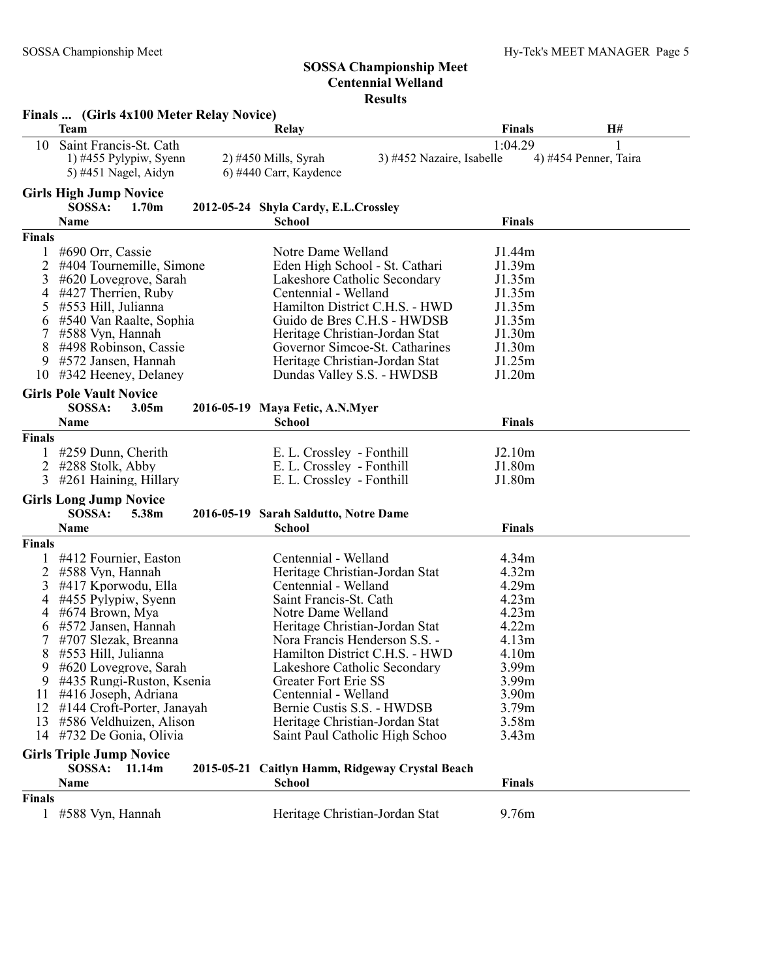|                                                                                    | Finals  (Girls 4x100 Meter Relay Novice)                                                                                                                                                                                                                                                                                                         |                                                                                                                                                                                                                                                                                                                                                          |                                                                                                 |                                                                                                                                                                                        |                       |
|------------------------------------------------------------------------------------|--------------------------------------------------------------------------------------------------------------------------------------------------------------------------------------------------------------------------------------------------------------------------------------------------------------------------------------------------|----------------------------------------------------------------------------------------------------------------------------------------------------------------------------------------------------------------------------------------------------------------------------------------------------------------------------------------------------------|-------------------------------------------------------------------------------------------------|----------------------------------------------------------------------------------------------------------------------------------------------------------------------------------------|-----------------------|
|                                                                                    | <b>Team</b>                                                                                                                                                                                                                                                                                                                                      | Relay                                                                                                                                                                                                                                                                                                                                                    |                                                                                                 | <b>Finals</b>                                                                                                                                                                          | H#                    |
| 10                                                                                 | Saint Francis-St. Cath<br>$1)$ #455 Pylypiw, Syenn<br>5) #451 Nagel, Aidyn                                                                                                                                                                                                                                                                       | $2)$ #450 Mills, Syrah<br>6) #440 Carr, Kaydence                                                                                                                                                                                                                                                                                                         | 3) #452 Nazaire, Isabelle                                                                       | 1:04.29                                                                                                                                                                                | 4) #454 Penner, Taira |
|                                                                                    | <b>Girls High Jump Novice</b><br>SOSSA:<br>1.70 <sub>m</sub><br>Name                                                                                                                                                                                                                                                                             | 2012-05-24 Shyla Cardy, E.L.Crossley<br><b>School</b>                                                                                                                                                                                                                                                                                                    |                                                                                                 | <b>Finals</b>                                                                                                                                                                          |                       |
| <b>Finals</b>                                                                      |                                                                                                                                                                                                                                                                                                                                                  |                                                                                                                                                                                                                                                                                                                                                          |                                                                                                 |                                                                                                                                                                                        |                       |
| 2<br>3<br>4<br>5<br>6<br>7<br>8<br>9<br>10                                         | #690 Orr, Cassie<br>#404 Tournemille, Simone<br>#620 Lovegrove, Sarah<br>#427 Therrien, Ruby<br>#553 Hill, Julianna<br>#540 Van Raalte, Sophia<br>#588 Vyn, Hannah<br>#498 Robinson, Cassie<br>#572 Jansen, Hannah<br>#342 Heeney, Delaney                                                                                                       | Notre Dame Welland<br>Eden High School - St. Cathari<br>Lakeshore Catholic Secondary<br>Centennial - Welland<br>Heritage Christian-Jordan Stat<br>Heritage Christian-Jordan Stat<br>Dundas Valley S.S. - HWDSB                                                                                                                                           | Hamilton District C.H.S. - HWD<br>Guido de Bres C.H.S - HWDSB<br>Governor Simcoe-St. Catharines | J1.44m<br>J1.39m<br>J1.35m<br>J1.35m<br>J1.35m<br>J1.35m<br>J1.30m<br>J1.30m<br>J1.25m<br>J1.20m                                                                                       |                       |
|                                                                                    | <b>Girls Pole Vault Novice</b>                                                                                                                                                                                                                                                                                                                   |                                                                                                                                                                                                                                                                                                                                                          |                                                                                                 |                                                                                                                                                                                        |                       |
|                                                                                    | SOSSA:<br>3.05m<br><b>Name</b>                                                                                                                                                                                                                                                                                                                   | 2016-05-19 Maya Fetic, A.N.Myer<br><b>School</b>                                                                                                                                                                                                                                                                                                         |                                                                                                 | <b>Finals</b>                                                                                                                                                                          |                       |
| <b>Finals</b>                                                                      |                                                                                                                                                                                                                                                                                                                                                  |                                                                                                                                                                                                                                                                                                                                                          |                                                                                                 |                                                                                                                                                                                        |                       |
| $\overline{2}$<br>3                                                                | #259 Dunn, Cherith<br>#288 Stolk, Abby<br>#261 Haining, Hillary<br><b>Girls Long Jump Novice</b>                                                                                                                                                                                                                                                 | E. L. Crossley - Fonthill<br>E. L. Crossley - Fonthill<br>E. L. Crossley - Fonthill                                                                                                                                                                                                                                                                      |                                                                                                 | J2.10m<br>J1.80m<br>J1.80m                                                                                                                                                             |                       |
|                                                                                    | SOSSA:<br>5.38m                                                                                                                                                                                                                                                                                                                                  | 2016-05-19 Sarah Saldutto, Notre Dame                                                                                                                                                                                                                                                                                                                    |                                                                                                 |                                                                                                                                                                                        |                       |
|                                                                                    | Name                                                                                                                                                                                                                                                                                                                                             | <b>School</b>                                                                                                                                                                                                                                                                                                                                            |                                                                                                 | <b>Finals</b>                                                                                                                                                                          |                       |
| <b>Finals</b><br>2<br>3<br>4<br>4<br>6<br>7<br>8<br>9<br>9<br>11<br>12<br>13<br>14 | #412 Fournier, Easton<br>#588 Vyn, Hannah<br>#417 Kporwodu, Ella<br>#455 Pylypiw, Syenn<br>#674 Brown, Mya<br>#572 Jansen, Hannah<br>#707 Slezak, Breanna<br>#553 Hill, Julianna<br>#620 Lovegrove, Sarah<br>#435 Rungi-Ruston, Ksenia<br>#416 Joseph, Adriana<br>#144 Croft-Porter, Janayah<br>#586 Veldhuizen, Alison<br>#732 De Gonia, Olivia | Centennial - Welland<br>Heritage Christian-Jordan Stat<br>Centennial - Welland<br>Saint Francis-St. Cath<br>Notre Dame Welland<br>Heritage Christian-Jordan Stat<br>Nora Francis Henderson S.S. -<br>Lakeshore Catholic Secondary<br><b>Greater Fort Erie SS</b><br>Centennial - Welland<br>Bernie Custis S.S. - HWDSB<br>Heritage Christian-Jordan Stat | Hamilton District C.H.S. - HWD<br>Saint Paul Catholic High Schoo                                | 4.34 <sub>m</sub><br>4.32m<br>4.29m<br>4.23m<br>4.23m<br>4.22m<br>4.13m<br>4.10m<br>3.99 <sub>m</sub><br>3.99m<br>3.90 <sub>m</sub><br>3.79 <sub>m</sub><br>3.58m<br>3.43 <sub>m</sub> |                       |
|                                                                                    | <b>Girls Triple Jump Novice</b><br>SOSSA:<br>11.14m                                                                                                                                                                                                                                                                                              |                                                                                                                                                                                                                                                                                                                                                          | 2015-05-21 Caitlyn Hamm, Ridgeway Crystal Beach                                                 |                                                                                                                                                                                        |                       |
|                                                                                    | Name                                                                                                                                                                                                                                                                                                                                             | <b>School</b>                                                                                                                                                                                                                                                                                                                                            |                                                                                                 | <b>Finals</b>                                                                                                                                                                          |                       |
| <b>Finals</b>                                                                      |                                                                                                                                                                                                                                                                                                                                                  |                                                                                                                                                                                                                                                                                                                                                          |                                                                                                 |                                                                                                                                                                                        |                       |
| $\mathbf{1}$                                                                       | #588 Vyn, Hannah                                                                                                                                                                                                                                                                                                                                 | Heritage Christian-Jordan Stat                                                                                                                                                                                                                                                                                                                           |                                                                                                 | 9.76m                                                                                                                                                                                  |                       |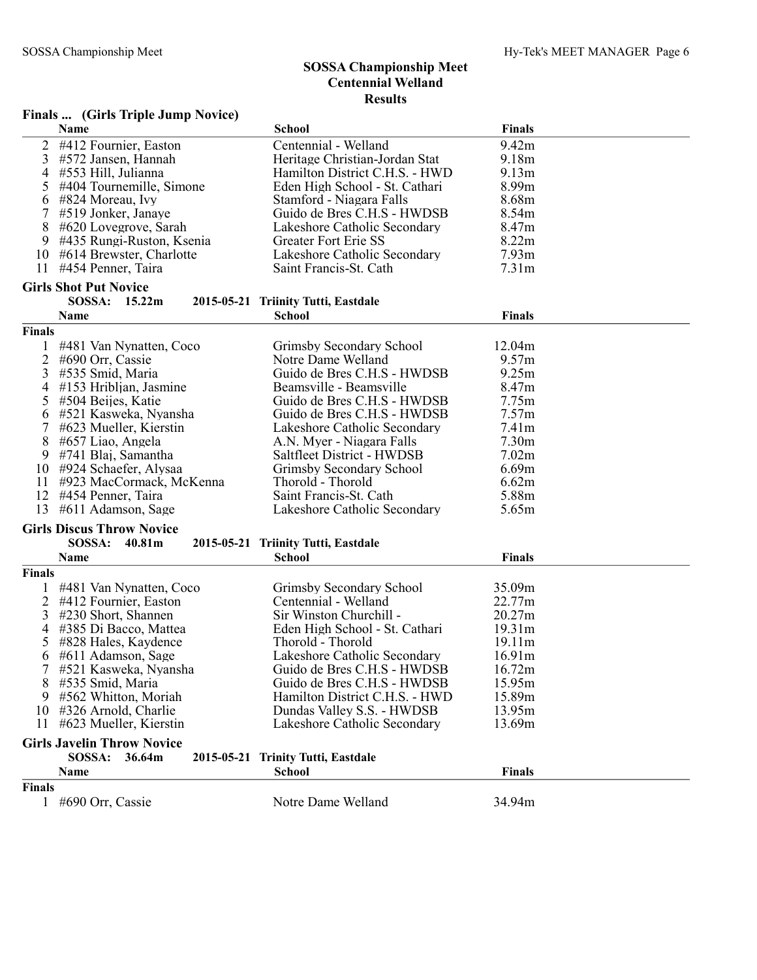|                | Finals  (Girls Triple Jump Novice) |                                     |                   |  |
|----------------|------------------------------------|-------------------------------------|-------------------|--|
|                | Name                               | <b>School</b>                       | <b>Finals</b>     |  |
| 2              | #412 Fournier, Easton              | Centennial - Welland                | 9.42m             |  |
| 3              | #572 Jansen, Hannah                | Heritage Christian-Jordan Stat      | 9.18m             |  |
| 4              | #553 Hill, Julianna                | Hamilton District C.H.S. - HWD      | 9.13m             |  |
| 5              | #404 Tournemille, Simone           | Eden High School - St. Cathari      | 8.99m             |  |
| 6              | #824 Moreau, Ivy                   | Stamford - Niagara Falls            | 8.68m             |  |
| 7              | #519 Jonker, Janaye                | Guido de Bres C.H.S - HWDSB         | 8.54m             |  |
| 8              | #620 Lovegrove, Sarah              | Lakeshore Catholic Secondary        | 8.47m             |  |
| 9              | #435 Rungi-Ruston, Ksenia          | Greater Fort Erie SS                | 8.22m             |  |
| 10             | #614 Brewster, Charlotte           | Lakeshore Catholic Secondary        | 7.93 <sub>m</sub> |  |
| 11             | #454 Penner, Taira                 | Saint Francis-St. Cath              | 7.31 <sub>m</sub> |  |
|                | <b>Girls Shot Put Novice</b>       |                                     |                   |  |
|                | SOSSA:<br>15.22m                   | 2015-05-21 Triinity Tutti, Eastdale |                   |  |
|                | Name                               | <b>School</b>                       | <b>Finals</b>     |  |
| <b>Finals</b>  |                                    |                                     |                   |  |
|                | #481 Van Nynatten, Coco            | Grimsby Secondary School            | 12.04m            |  |
| $\overline{c}$ | #690 Orr, Cassie                   | Notre Dame Welland                  | 9.57m             |  |
| 3              | #535 Smid, Maria                   | Guido de Bres C.H.S - HWDSB         | 9.25m             |  |
| 4              | $#153$ Hribljan, Jasmine           | Beamsville - Beamsville             | 8.47m             |  |
| 5              | #504 Beijes, Katie                 | Guido de Bres C.H.S - HWDSB         | 7.75m             |  |
| 6              | #521 Kasweka, Nyansha              | Guido de Bres C.H.S - HWDSB         | 7.57m             |  |
|                | #623 Mueller, Kierstin             | Lakeshore Catholic Secondary        | 7.41m             |  |
| 8              | #657 Liao, Angela                  | A.N. Myer - Niagara Falls           | 7.30 <sub>m</sub> |  |
| 9              | #741 Blaj, Samantha                | Saltfleet District - HWDSB          | 7.02m             |  |
| 10             | #924 Schaefer, Alysaa              | Grimsby Secondary School            | 6.69m             |  |
| 11             | #923 MacCormack, McKenna           | Thorold - Thorold                   | 6.62m             |  |
| 12             | #454 Penner, Taira                 | Saint Francis-St. Cath              | 5.88m             |  |
| 13             | #611 Adamson, Sage                 | Lakeshore Catholic Secondary        | 5.65m             |  |
|                |                                    |                                     |                   |  |
|                | <b>Girls Discus Throw Novice</b>   |                                     |                   |  |
|                | SOSSA:<br>40.81m                   | 2015-05-21 Triinity Tutti, Eastdale |                   |  |
|                | Name                               | <b>School</b>                       | <b>Finals</b>     |  |
| <b>Finals</b>  |                                    |                                     |                   |  |
|                | #481 Van Nynatten, Coco            | Grimsby Secondary School            | 35.09m            |  |
| 2              | #412 Fournier, Easton              | Centennial - Welland                | 22.77m            |  |
| 3              | #230 Short, Shannen                | Sir Winston Churchill -             | 20.27m            |  |
| 4              | #385 Di Bacco, Mattea              | Eden High School - St. Cathari      | 19.31m            |  |
| 5              | #828 Hales, Kaydence               | Thorold - Thorold                   | 19.11m            |  |
| 6              | #611 Adamson, Sage                 | Lakeshore Catholic Secondary        | 16.91m            |  |
|                | #521 Kasweka, Nyansha              | Guido de Bres C.H.S - HWDSB         | 16.72m            |  |
| 8              | #535 Smid, Maria                   | Guido de Bres C.H.S - HWDSB         | 15.95m            |  |
| 9              | #562 Whitton, Moriah               | Hamilton District C.H.S. - HWD      | 15.89m            |  |
| 10             | #326 Arnold, Charlie               | Dundas Valley S.S. - HWDSB          | 13.95m            |  |
| 11             | #623 Mueller, Kierstin             | Lakeshore Catholic Secondary        | 13.69m            |  |
|                | <b>Girls Javelin Throw Novice</b>  |                                     |                   |  |
|                | SOSSA:<br>36.64m                   | 2015-05-21 Trinity Tutti, Eastdale  |                   |  |
|                | Name                               | <b>School</b>                       | <b>Finals</b>     |  |
| <b>Finals</b>  |                                    |                                     |                   |  |
| $\mathbf{1}$   | #690 Orr, Cassie                   | Notre Dame Welland                  | 34.94m            |  |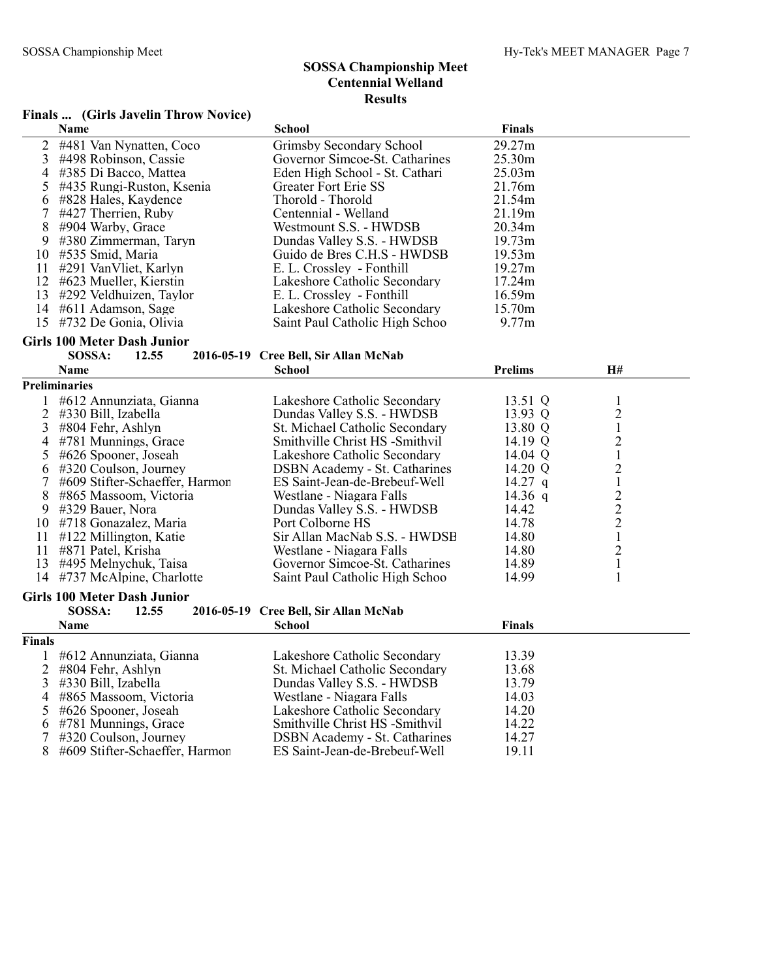#### Finals ... (Girls Javelin Throw Novice)

|    | <b>Name</b>                 | <b>School</b>                  | <b>Finals</b>      |
|----|-----------------------------|--------------------------------|--------------------|
|    | 2 #481 Van Nynatten, Coco   | Grimsby Secondary School       | 29.27m             |
|    | 3 #498 Robinson, Cassie     | Governor Simcoe-St. Catharines | 25.30m             |
|    | 4 #385 Di Bacco, Mattea     | Eden High School - St. Cathari | 25.03m             |
|    | 5 #435 Rungi-Ruston, Ksenia | Greater Fort Erie SS           | 21.76m             |
|    | 6 #828 Hales, Kaydence      | Thorold - Thorold              | 21.54m             |
|    | 7 #427 Therrien, Ruby       | Centennial - Welland           | 21.19m             |
|    | 8 #904 Warby, Grace         | Westmount S.S. - HWDSB         | 20.34 <sub>m</sub> |
|    | 9 #380 Zimmerman, Taryn     | Dundas Valley S.S. - HWDSB     | 19.73m             |
|    | 10 #535 Smid, Maria         | Guido de Bres C.H.S - HWDSB    | 19.53m             |
| 11 | #291 VanVliet, Karlyn       | E. L. Crossley - Fonthill      | 19.27m             |
|    | 12 #623 Mueller, Kierstin   | Lakeshore Catholic Secondary   | 17.24m             |
|    | 13 #292 Veldhuizen, Taylor  | E. L. Crossley - Fonthill      | 16.59m             |
|    | 14 #611 Adamson, Sage       | Lakeshore Catholic Secondary   | 15.70m             |
|    | 15 #732 De Gonia, Olivia    | Saint Paul Catholic High Schoo | 9.77m              |

## Girls 100 Meter Dash Junior<br>SOSSA: 12.55

#### SOSSA: 12.55 2016-05-19 Cree Bell, Sir Allan McNab

|        | Name                               | School                                | <b>Prelims</b> | H#             |  |
|--------|------------------------------------|---------------------------------------|----------------|----------------|--|
|        | <b>Preliminaries</b>               |                                       |                |                |  |
|        | #612 Annunziata, Gianna            | Lakeshore Catholic Secondary          | 13.51 Q        |                |  |
| 2      | #330 Bill, Izabella                | Dundas Valley S.S. - HWDSB            | 13.93 Q        | $\overline{c}$ |  |
| 3      | $\#804$ Fehr, Ashlyn               | St. Michael Catholic Secondary        | 13.80 Q        | $\mathbf{1}$   |  |
| 4      | #781 Munnings, Grace               | Smithville Christ HS -Smithvil        | 14.19 Q        | $\overline{c}$ |  |
| 5      | #626 Spooner, Joseah               | Lakeshore Catholic Secondary          | 14.04 Q        | $\mathbf{1}$   |  |
| 6      | #320 Coulson, Journey              | <b>DSBN</b> Academy - St. Catharines  | 14.20 Q        | $\overline{c}$ |  |
| 7      | #609 Stifter-Schaeffer, Harmor     | ES Saint-Jean-de-Brebeuf-Well         | 14.27 q        | $\mathbf{1}$   |  |
| 8      | #865 Massoom, Victoria             | Westlane - Niagara Falls              | 14.36 q        |                |  |
| 9      | #329 Bauer, Nora                   | Dundas Valley S.S. - HWDSB            | 14.42          | $\frac{2}{2}$  |  |
| 10     | #718 Gonazalez, Maria              | Port Colborne HS                      | 14.78          |                |  |
| 11     | $\#122$ Millington, Katie          | Sir Allan MacNab S.S. - HWDSB         | 14.80          | $\mathbbm{1}$  |  |
| 11     | #871 Patel, Krisha                 | Westlane - Niagara Falls              | 14.80          | $\overline{c}$ |  |
| 13     | #495 Melnychuk, Taisa              | Governor Simcoe-St. Catharines        | 14.89          | $\mathbf{1}$   |  |
| 14     | #737 McAlpine, Charlotte           | Saint Paul Catholic High Schoo        | 14.99          |                |  |
|        | <b>Girls 100 Meter Dash Junior</b> |                                       |                |                |  |
|        | SOSSA:<br>12.55                    | 2016-05-19 Cree Bell, Sir Allan McNab |                |                |  |
|        | <b>Name</b>                        | <b>School</b>                         | <b>Finals</b>  |                |  |
| Finals |                                    |                                       |                |                |  |
|        | #612 Annunziata, Gianna            | Lakeshore Catholic Secondary          | 13.39          |                |  |
| 2      | #804 Fehr, Ashlyn                  | St. Michael Catholic Secondary        | 13.68          |                |  |
| 3      | #330 Bill, Izabella                | Dundas Valley S.S. - HWDSB            | 13.79          |                |  |
| 4      | #865 Massoom, Victoria             | Westlane - Niagara Falls              | 14.03          |                |  |
| 5      | #626 Spooner, Joseah               | Lakeshore Catholic Secondary          | 14.20          |                |  |
| 6      | #781 Munnings, Grace               | Smithville Christ HS -Smithvil        | 14.22          |                |  |
|        | #320 Coulson, Journey              | <b>DSBN</b> Academy - St. Catharines  | 14.27          |                |  |
| 8      | #609 Stifter-Schaeffer, Harmor     | ES Saint-Jean-de-Brebeuf-Well         | 19.11          |                |  |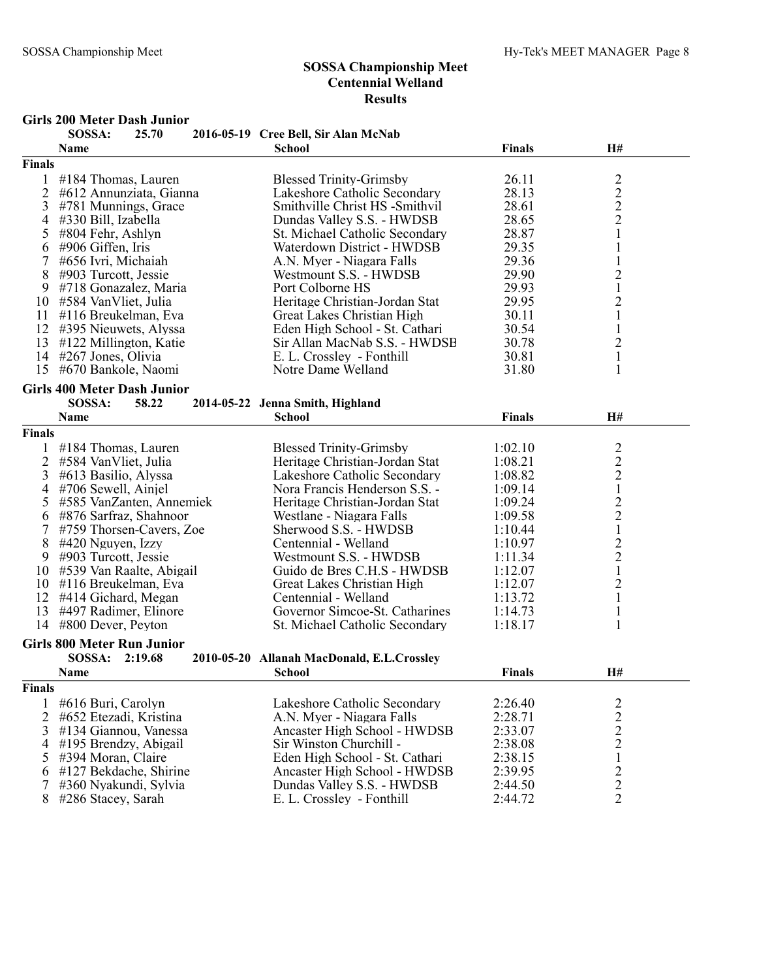#### Girls 200 Meter Dash Junior

|                | SOSSA:                             | 25.70   | 2016-05-19 Cree Bell, Sir Alan McNab       |               |                                                 |  |
|----------------|------------------------------------|---------|--------------------------------------------|---------------|-------------------------------------------------|--|
|                | Name                               |         | <b>School</b>                              | <b>Finals</b> | H#                                              |  |
| Finals         |                                    |         |                                            |               |                                                 |  |
| $\mathbf{1}$   | #184 Thomas, Lauren                |         | <b>Blessed Trinity-Grimsby</b>             | 26.11         |                                                 |  |
| $\overline{2}$ | #612 Annunziata, Gianna            |         | Lakeshore Catholic Secondary               | 28.13         |                                                 |  |
| 3              | #781 Munnings, Grace               |         | Smithville Christ HS -Smithvil             | 28.61         |                                                 |  |
| 4              | #330 Bill, Izabella                |         | Dundas Valley S.S. - HWDSB                 | 28.65         |                                                 |  |
| 5              | #804 Fehr, Ashlyn                  |         | St. Michael Catholic Secondary             | 28.87         | $\frac{2}{2}$ $\frac{2}{1}$                     |  |
| 6              | #906 Giffen, Iris                  |         | Waterdown District - HWDSB                 | 29.35         | $\mathbf{1}$                                    |  |
|                | #656 Ivri, Michaiah                |         | A.N. Myer - Niagara Falls                  | 29.36         | $\mathbf{1}$                                    |  |
| 8              | #903 Turcott, Jessie               |         | Westmount S.S. - HWDSB                     | 29.90         | $\sqrt{2}$                                      |  |
| 9              | #718 Gonazalez, Maria              |         | Port Colborne HS                           | 29.93         | $\,1$                                           |  |
| 10             | #584 VanVliet, Julia               |         | Heritage Christian-Jordan Stat             | 29.95         |                                                 |  |
| 11             | #116 Breukelman, Eva               |         | Great Lakes Christian High                 | 30.11         | $\frac{2}{1}$                                   |  |
| 12             | #395 Nieuwets, Alyssa              |         | Eden High School - St. Cathari             | 30.54         | $\,1\,$                                         |  |
| 13             | #122 Millington, Katie             |         | Sir Allan MacNab S.S. - HWDSB              | 30.78         | $\overline{c}$                                  |  |
| 14             | #267 Jones, Olivia                 |         | E. L. Crossley - Fonthill                  | 30.81         | $\mathbf 1$                                     |  |
| 15             | #670 Bankole, Naomi                |         | Notre Dame Welland                         | 31.80         | $\mathbf{1}$                                    |  |
|                |                                    |         |                                            |               |                                                 |  |
|                | <b>Girls 400 Meter Dash Junior</b> |         |                                            |               |                                                 |  |
|                | SOSSA:                             | 58.22   | 2014-05-22 Jenna Smith, Highland           |               |                                                 |  |
|                | <b>Name</b>                        |         | <b>School</b>                              | <b>Finals</b> | H#                                              |  |
| Finals         |                                    |         |                                            |               |                                                 |  |
|                | $\#184$ Thomas, Lauren             |         | <b>Blessed Trinity-Grimsby</b>             | 1:02.10       |                                                 |  |
| 2              | #584 VanVliet, Julia               |         | Heritage Christian-Jordan Stat             | 1:08.21       |                                                 |  |
| 3              | #613 Basilio, Alyssa               |         | Lakeshore Catholic Secondary               | 1:08.82       | $\begin{array}{c} 2 \\ 2 \\ 2 \\ 1 \end{array}$ |  |
| $\overline{4}$ | #706 Sewell, Ainjel                |         | Nora Francis Henderson S.S. -              | 1:09.14       |                                                 |  |
| 5              | #585 VanZanten, Annemiek           |         | Heritage Christian-Jordan Stat             | 1:09.24       |                                                 |  |
| 6              | #876 Sarfraz, Shahnoor             |         | Westlane - Niagara Falls                   | 1:09.58       | $\begin{array}{c} 2 \\ 2 \\ 1 \end{array}$      |  |
|                | #759 Thorsen-Cavers, Zoe           |         | Sherwood S.S. - HWDSB                      | 1:10.44       |                                                 |  |
| 8              | #420 Nguyen, Izzy                  |         | Centennial - Welland                       | 1:10.97       |                                                 |  |
| 9              | #903 Turcott, Jessie               |         | Westmount S.S. - HWDSB                     | 1:11.34       | $\begin{array}{c} 2 \\ 2 \\ 1 \end{array}$      |  |
|                | 10 #539 Van Raalte, Abigail        |         | Guido de Bres C.H.S - HWDSB                | 1:12.07       |                                                 |  |
| 10             | #116 Breukelman, Eva               |         | Great Lakes Christian High                 | 1:12.07       |                                                 |  |
|                | 12 #414 Gichard, Megan             |         | Centennial - Welland                       | 1:13.72       | $\begin{smallmatrix}2\\1\end{smallmatrix}$      |  |
| 13             | #497 Radimer, Elinore              |         | Governor Simcoe-St. Catharines             | 1:14.73       | $\mathbf{1}$                                    |  |
| 14             | #800 Dever, Peyton                 |         | St. Michael Catholic Secondary             | 1:18.17       | 1                                               |  |
|                |                                    |         |                                            |               |                                                 |  |
|                | <b>Girls 800 Meter Run Junior</b>  |         |                                            |               |                                                 |  |
|                | SOSSA:                             | 2:19.68 | 2010-05-20 Allanah MacDonald, E.L.Crossley |               |                                                 |  |
|                | Name                               |         | <b>School</b>                              | <b>Finals</b> | H#                                              |  |
| Finals         |                                    |         |                                            |               |                                                 |  |
| 1              | #616 Buri, Carolyn                 |         | Lakeshore Catholic Secondary               | 2:26.40       |                                                 |  |
| $\overline{2}$ | #652 Etezadi, Kristina             |         | A.N. Myer - Niagara Falls                  | 2:28.71       | $\frac{2}{2}$                                   |  |
| 3              | #134 Giannou, Vanessa              |         | Ancaster High School - HWDSB               | 2:33.07       | $\frac{2}{2}$                                   |  |
| 4              | #195 Brendzy, Abigail              |         | Sir Winston Churchill -                    | 2:38.08       |                                                 |  |
| 5              | #394 Moran, Claire                 |         | Eden High School - St. Cathari             | 2:38.15       | $\mathbf 1$                                     |  |
| 6              | #127 Bekdache, Shirine             |         | Ancaster High School - HWDSB               | 2:39.95       |                                                 |  |
| 7              | #360 Nyakundi, Sylvia              |         | Dundas Valley S.S. - HWDSB                 | 2:44.50       | $\frac{2}{2}$                                   |  |
| 8              | #286 Stacey, Sarah                 |         | E. L. Crossley - Fonthill                  | 2:44.72       | $\overline{2}$                                  |  |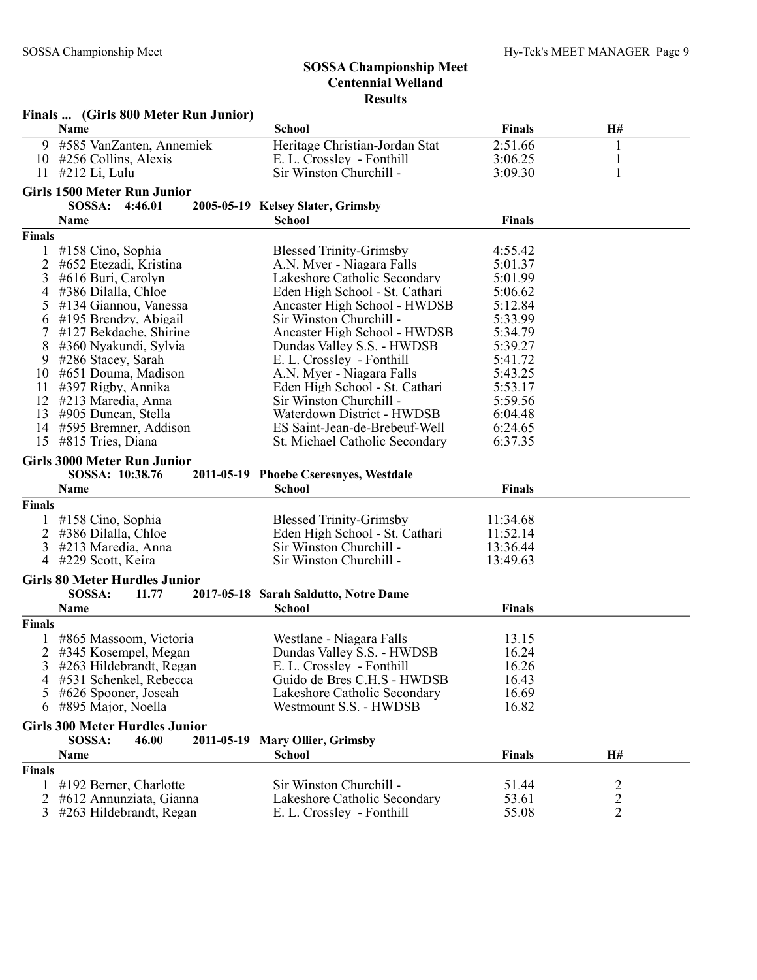|               | Finals  (Girls 800 Meter Run Junior)  |                                        |               |                |  |  |  |
|---------------|---------------------------------------|----------------------------------------|---------------|----------------|--|--|--|
|               | Name                                  | <b>School</b>                          | Finals        | H#             |  |  |  |
|               | 9 #585 VanZanten, Annemiek            | Heritage Christian-Jordan Stat         | 2:51.66       | $\mathbf{1}$   |  |  |  |
|               | 10 #256 Collins, Alexis               | E. L. Crossley - Fonthill              | 3:06.25       | $\mathbf{1}$   |  |  |  |
| 11            | #212 Li, Lulu                         | Sir Winston Churchill -                | 3:09.30       | $\mathbf{1}$   |  |  |  |
|               | <b>Girls 1500 Meter Run Junior</b>    |                                        |               |                |  |  |  |
|               | SOSSA: 4:46.01                        | 2005-05-19 Kelsey Slater, Grimsby      |               |                |  |  |  |
|               | Name                                  | <b>School</b>                          | <b>Finals</b> |                |  |  |  |
| <b>Finals</b> |                                       |                                        |               |                |  |  |  |
| 1             | #158 Cino, Sophia                     | <b>Blessed Trinity-Grimsby</b>         | 4:55.42       |                |  |  |  |
| 2             | #652 Etezadi, Kristina                | A.N. Myer - Niagara Falls              | 5:01.37       |                |  |  |  |
| 3             | #616 Buri, Carolyn                    | Lakeshore Catholic Secondary           | 5:01.99       |                |  |  |  |
| 4             | #386 Dilalla, Chloe                   | Eden High School - St. Cathari         | 5:06.62       |                |  |  |  |
| 5             | #134 Giannou, Vanessa                 | Ancaster High School - HWDSB           | 5:12.84       |                |  |  |  |
| 6             | #195 Brendzy, Abigail                 | Sir Winston Churchill -                | 5:33.99       |                |  |  |  |
| 7             | #127 Bekdache, Shirine                | Ancaster High School - HWDSB           | 5:34.79       |                |  |  |  |
| 8             | #360 Nyakundi, Sylvia                 | Dundas Valley S.S. - HWDSB             | 5:39.27       |                |  |  |  |
| 9             | #286 Stacey, Sarah                    | E. L. Crossley - Fonthill              | 5:41.72       |                |  |  |  |
| 10            | #651 Douma, Madison                   | A.N. Myer - Niagara Falls              | 5:43.25       |                |  |  |  |
| 11            | #397 Rigby, Annika                    | Eden High School - St. Cathari         | 5:53.17       |                |  |  |  |
|               | 12 #213 Maredia, Anna                 | Sir Winston Churchill -                | 5:59.56       |                |  |  |  |
| 13            | #905 Duncan, Stella                   | Waterdown District - HWDSB             | 6:04.48       |                |  |  |  |
| 14            | #595 Bremner, Addison                 | ES Saint-Jean-de-Brebeuf-Well          | 6:24.65       |                |  |  |  |
|               | 15 #815 Tries, Diana                  | St. Michael Catholic Secondary         | 6:37.35       |                |  |  |  |
|               | <b>Girls 3000 Meter Run Junior</b>    |                                        |               |                |  |  |  |
|               | SOSSA: 10:38.76                       | 2011-05-19 Phoebe Cseresnyes, Westdale |               |                |  |  |  |
|               | Name                                  | <b>School</b>                          | <b>Finals</b> |                |  |  |  |
| <b>Finals</b> |                                       |                                        |               |                |  |  |  |
|               | #158 Cino, Sophia                     | <b>Blessed Trinity-Grimsby</b>         | 11:34.68      |                |  |  |  |
|               | 2 #386 Dilalla, Chloe                 | Eden High School - St. Cathari         | 11:52.14      |                |  |  |  |
| 3             | #213 Maredia, Anna                    | Sir Winston Churchill -                | 13:36.44      |                |  |  |  |
|               | 4 #229 Scott, Keira                   | Sir Winston Churchill -                | 13:49.63      |                |  |  |  |
|               | <b>Girls 80 Meter Hurdles Junior</b>  |                                        |               |                |  |  |  |
|               | SOSSA:<br>11.77                       | 2017-05-18 Sarah Saldutto, Notre Dame  |               |                |  |  |  |
|               | Name                                  | <b>School</b>                          | <b>Finals</b> |                |  |  |  |
| <b>Finals</b> |                                       |                                        |               |                |  |  |  |
|               | #865 Massoom, Victoria                | Westlane - Niagara Falls               | 13.15         |                |  |  |  |
|               | 2 #345 Kosempel, Megan                | Dundas Valley S.S. - HWDSB             | 16.24         |                |  |  |  |
| 3             | #263 Hildebrandt, Regan               | E. L. Crossley - Fonthill              | 16.26         |                |  |  |  |
| 4             | #531 Schenkel, Rebecca                | Guido de Bres C.H.S - HWDSB            | 16.43         |                |  |  |  |
| 5             | #626 Spooner, Joseah                  | Lakeshore Catholic Secondary           | 16.69         |                |  |  |  |
| 6             | #895 Major, Noella                    | Westmount S.S. - HWDSB                 | 16.82         |                |  |  |  |
|               | <b>Girls 300 Meter Hurdles Junior</b> |                                        |               |                |  |  |  |
|               | SOSSA:<br>46.00                       | 2011-05-19 Mary Ollier, Grimsby        |               |                |  |  |  |
|               | Name                                  | <b>School</b>                          | <b>Finals</b> | H#             |  |  |  |
| <b>Finals</b> |                                       |                                        |               |                |  |  |  |
| 1             | #192 Berner, Charlotte                | Sir Winston Churchill -                | 51.44         | $\overline{c}$ |  |  |  |
| 2             | #612 Annunziata, Gianna               | Lakeshore Catholic Secondary           | 53.61         | $\sqrt{2}$     |  |  |  |
| 3             | #263 Hildebrandt, Regan               | E. L. Crossley - Fonthill              | 55.08         | $\overline{2}$ |  |  |  |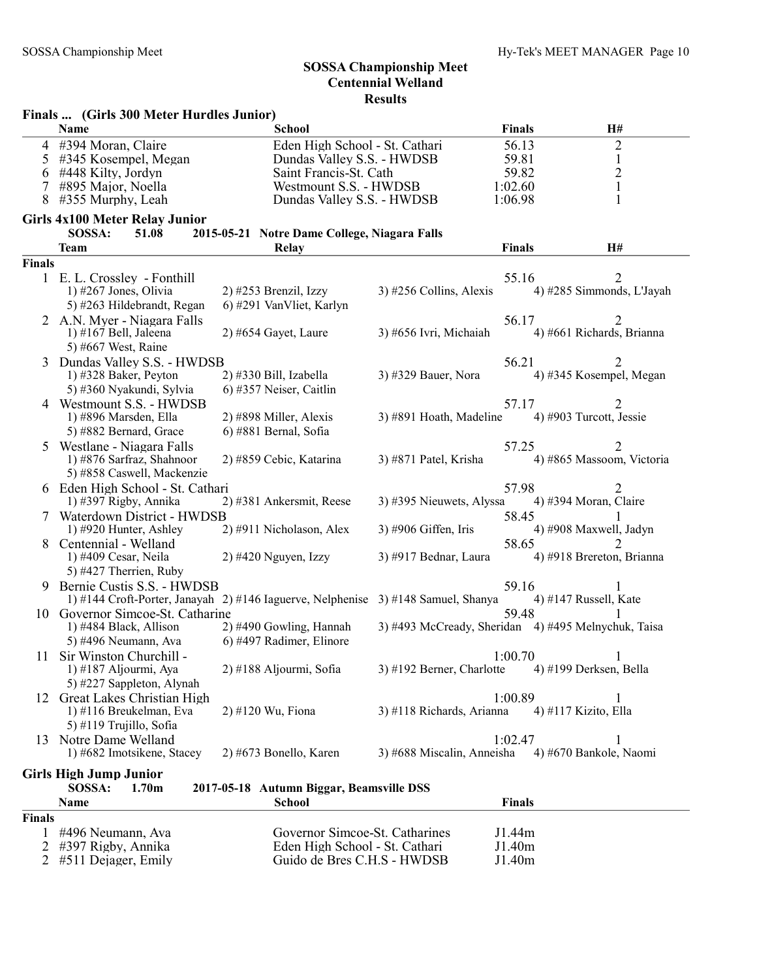|        | Finals  (Girls 300 Meter Hurdles Junior)             |                                                                                   |                                                     |               |                           |  |  |
|--------|------------------------------------------------------|-----------------------------------------------------------------------------------|-----------------------------------------------------|---------------|---------------------------|--|--|
|        | <b>Name</b>                                          | <b>School</b>                                                                     |                                                     | <b>Finals</b> | H#                        |  |  |
| 4      | #394 Moran, Claire                                   | Eden High School - St. Cathari                                                    |                                                     | 56.13         | $\overline{2}$            |  |  |
| 5      | #345 Kosempel, Megan                                 | Dundas Valley S.S. - HWDSB                                                        |                                                     | 59.81         | $\mathbf{1}$              |  |  |
| 6      | #448 Kilty, Jordyn                                   | Saint Francis-St. Cath                                                            |                                                     | 59.82         | $\overline{c}$            |  |  |
|        | #895 Major, Noella                                   | Westmount S.S. - HWDSB                                                            |                                                     | 1:02.60       | $\mathbf 1$               |  |  |
| 8      | #355 Murphy, Leah                                    | Dundas Valley S.S. - HWDSB                                                        |                                                     | 1:06.98       | 1                         |  |  |
|        | <b>Girls 4x100 Meter Relay Junior</b>                |                                                                                   |                                                     |               |                           |  |  |
|        | SOSSA:<br>51.08                                      | 2015-05-21 Notre Dame College, Niagara Falls                                      |                                                     |               |                           |  |  |
|        | <b>Team</b>                                          | <b>Relay</b>                                                                      |                                                     | Finals        | H#                        |  |  |
| Finals |                                                      |                                                                                   |                                                     |               |                           |  |  |
|        | 1 E.L. Crossley - Fonthill                           |                                                                                   |                                                     | 55.16         | 2                         |  |  |
|        | 1) #267 Jones, Olivia                                | $2)$ #253 Brenzil, Izzy                                                           | $3)$ #256 Collins, Alexis                           |               | 4) #285 Simmonds, L'Jayah |  |  |
|        | 5) #263 Hildebrandt, Regan                           | 6) #291 VanVliet, Karlyn                                                          |                                                     |               |                           |  |  |
|        | 2 A.N. Myer - Niagara Falls                          |                                                                                   |                                                     | 56.17         | 2                         |  |  |
|        | 1) #167 Bell, Jaleena                                | $2)$ #654 Gayet, Laure                                                            | 3) #656 Ivri, Michaiah                              |               | 4) #661 Richards, Brianna |  |  |
|        | 5) #667 West, Raine                                  |                                                                                   |                                                     |               |                           |  |  |
| 3      | Dundas Valley S.S. - HWDSB<br>1) #328 Baker, Peyton  | 2) #330 Bill, Izabella                                                            | 3) #329 Bauer, Nora                                 | 56.21         | 4) #345 Kosempel, Megan   |  |  |
|        | 5) #360 Nyakundi, Sylvia                             | 6) #357 Neiser, Caitlin                                                           |                                                     |               |                           |  |  |
|        | 4 Westmount S.S. - HWDSB                             |                                                                                   |                                                     | 57.17         |                           |  |  |
|        | 1) #896 Marsden, Ella                                | 2) #898 Miller, Alexis                                                            | 3) #891 Hoath, Madeline                             |               | 4) #903 Turcott, Jessie   |  |  |
|        | 5) #882 Bernard, Grace                               | 6) #881 Bernal, Sofia                                                             |                                                     |               |                           |  |  |
| 5      | Westlane - Niagara Falls                             |                                                                                   |                                                     | 57.25         |                           |  |  |
|        | 1) #876 Sarfraz, Shahnoor                            | 2) #859 Cebic, Katarina                                                           | 3) #871 Patel, Krisha                               |               | 4) #865 Massoom, Victoria |  |  |
|        | 5) #858 Caswell, Mackenzie                           |                                                                                   |                                                     |               |                           |  |  |
|        | 6 Eden High School - St. Cathari                     |                                                                                   |                                                     | 57.98         |                           |  |  |
|        | 1) #397 Rigby, Annika                                | 2) #381 Ankersmit, Reese                                                          | 3) #395 Nieuwets, Alyssa                            |               | 4) #394 Moran, Claire     |  |  |
|        | 7 Waterdown District - HWDSB                         |                                                                                   |                                                     | 58.45         |                           |  |  |
|        | 1) #920 Hunter, Ashley                               | 2) #911 Nicholason, Alex                                                          | 3) #906 Giffen, Iris                                |               | 4) #908 Maxwell, Jadyn    |  |  |
| 8      | Centennial - Welland                                 |                                                                                   |                                                     | 58.65         | $\mathfrak{D}$            |  |  |
|        | 1) #409 Cesar, Neila                                 | $2)$ #420 Nguyen, Izzy                                                            | 3) #917 Bednar, Laura                               |               | 4) #918 Brereton, Brianna |  |  |
|        | 5) #427 Therrien, Ruby<br>Bernie Custis S.S. - HWDSB |                                                                                   |                                                     | 59.16         |                           |  |  |
| 9.     |                                                      | 1) #144 Croft-Porter, Janayah 2) #146 Iaguerve, Nelphenise 3) #148 Samuel, Shanya |                                                     |               | 4) #147 Russell, Kate     |  |  |
|        | 10 Governor Simcoe-St. Catharine                     |                                                                                   |                                                     | 59.48         |                           |  |  |
|        | 1) #484 Black, Allison                               | 2) #490 Gowling, Hannah                                                           | 3) #493 McCready, Sheridan 4) #495 Melnychuk, Taisa |               |                           |  |  |
|        | 5) #496 Neumann, Ava                                 | 6) #497 Radimer, Elinore                                                          |                                                     |               |                           |  |  |
| 11     | Sir Winston Churchill -                              |                                                                                   |                                                     | 1:00.70       |                           |  |  |
|        | 1) #187 Aljourmi, Aya                                | 2) #188 Aljourmi, Sofia                                                           | $3)$ #192 Berner, Charlotte                         |               | 4) #199 Derksen, Bella    |  |  |
|        | 5) #227 Sappleton, Alynah                            |                                                                                   |                                                     |               |                           |  |  |
| 12     | Great Lakes Christian High                           |                                                                                   |                                                     | 1:00.89       | 1                         |  |  |
|        | 1) #116 Breukelman, Eva                              | 2) #120 Wu, Fiona                                                                 | 3) #118 Richards, Arianna                           |               | 4) #117 Kizito, Ella      |  |  |
|        | 5) #119 Trujillo, Sofia                              |                                                                                   |                                                     |               |                           |  |  |
|        | 13 Notre Dame Welland                                |                                                                                   |                                                     | 1:02.47       |                           |  |  |
|        | 1) #682 Imotsikene, Stacey                           | 2) #673 Bonello, Karen                                                            | 3) #688 Miscalin, Anneisha                          |               | 4) #670 Bankole, Naomi    |  |  |
|        | <b>Girls High Jump Junior</b>                        |                                                                                   |                                                     |               |                           |  |  |
|        | SOSSA:<br>1.70 <sub>m</sub>                          | 2017-05-18 Autumn Biggar, Beamsville DSS                                          |                                                     |               |                           |  |  |
|        | Name                                                 | <b>School</b>                                                                     |                                                     | Finals        |                           |  |  |
| Finals |                                                      |                                                                                   |                                                     |               |                           |  |  |
| 1      | #496 Neumann, Ava                                    | Governor Simcoe-St. Catharines                                                    |                                                     | J1.44m        |                           |  |  |
| 2      | #397 Rigby, Annika                                   | Eden High School - St. Cathari                                                    |                                                     | J1.40m        |                           |  |  |
| 2      | #511 Dejager, Emily                                  | Guido de Bres C.H.S - HWDSB                                                       |                                                     | J1.40m        |                           |  |  |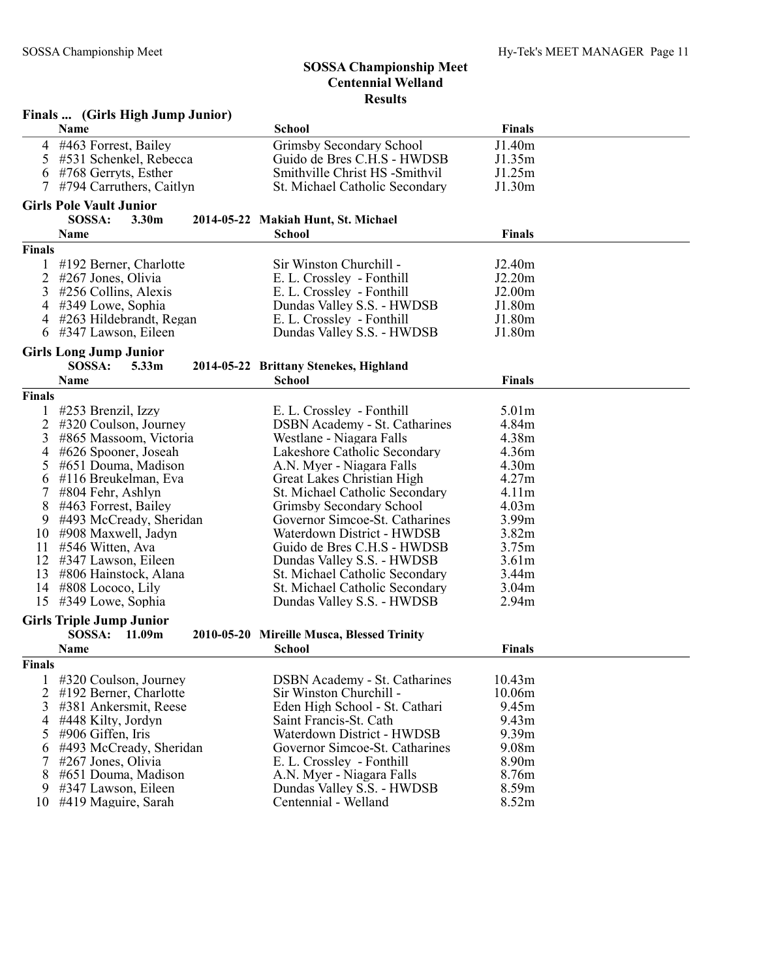|                | Finals  (Girls High Jump Junior)                             |                                                             |                            |  |
|----------------|--------------------------------------------------------------|-------------------------------------------------------------|----------------------------|--|
|                | Name                                                         | <b>School</b>                                               | <b>Finals</b>              |  |
| 4              | #463 Forrest, Bailey                                         | Grimsby Secondary School                                    | J1.40m                     |  |
| 5              | #531 Schenkel, Rebecca                                       | Guido de Bres C.H.S - HWDSB                                 | J1.35m                     |  |
| 6              | #768 Gerryts, Esther                                         | Smithville Christ HS -Smithvil                              | J1.25m                     |  |
|                | #794 Carruthers, Caitlyn                                     | St. Michael Catholic Secondary                              | J1.30m                     |  |
|                | <b>Girls Pole Vault Junior</b>                               |                                                             |                            |  |
|                | SOSSA:<br>3.30 <sub>m</sub>                                  | 2014-05-22 Makiah Hunt, St. Michael                         |                            |  |
|                | <b>Name</b>                                                  | <b>School</b>                                               | <b>Finals</b>              |  |
| <b>Finals</b>  |                                                              |                                                             |                            |  |
|                | #192 Berner, Charlotte                                       | Sir Winston Churchill -                                     | J2.40m                     |  |
| 2              | #267 Jones, Olivia                                           | E. L. Crossley - Fonthill                                   | J2.20m                     |  |
| 3              | #256 Collins, Alexis                                         | E. L. Crossley - Fonthill                                   | J2.00 <sub>m</sub>         |  |
| 4              | #349 Lowe, Sophia                                            | Dundas Valley S.S. - HWDSB                                  | J1.80m                     |  |
| 4              | #263 Hildebrandt, Regan                                      | E. L. Crossley - Fonthill                                   | J1.80m                     |  |
| 6              | #347 Lawson, Eileen                                          | Dundas Valley S.S. - HWDSB                                  | J1.80m                     |  |
|                |                                                              |                                                             |                            |  |
|                | <b>Girls Long Jump Junior</b><br>SOSSA:<br>5.33 <sub>m</sub> |                                                             |                            |  |
|                | <b>Name</b>                                                  | 2014-05-22 Brittany Stenekes, Highland<br><b>School</b>     | <b>Finals</b>              |  |
|                |                                                              |                                                             |                            |  |
| <b>Finals</b>  |                                                              |                                                             |                            |  |
|                | #253 Brenzil, Izzy                                           | E. L. Crossley - Fonthill                                   | 5.01 <sub>m</sub>          |  |
| 2              | #320 Coulson, Journey                                        | <b>DSBN</b> Academy - St. Catharines                        | 4.84m                      |  |
| 3              | #865 Massoom, Victoria                                       | Westlane - Niagara Falls                                    | 4.38m                      |  |
| 4              | #626 Spooner, Joseah                                         | Lakeshore Catholic Secondary                                | 4.36m<br>4.30m             |  |
| 5              | #651 Douma, Madison<br>#116 Breukelman, Eva                  | A.N. Myer - Niagara Falls<br>Great Lakes Christian High     | 4.27m                      |  |
| 6<br>7         | #804 Fehr, Ashlyn                                            | St. Michael Catholic Secondary                              | 4.11 <sub>m</sub>          |  |
| 8              | #463 Forrest, Bailey                                         | Grimsby Secondary School                                    | 4.03m                      |  |
| 9              | #493 McCready, Sheridan                                      | Governor Simcoe-St. Catharines                              | 3.99m                      |  |
| 10             | #908 Maxwell, Jadyn                                          | Waterdown District - HWDSB                                  | 3.82m                      |  |
| 11             | #546 Witten, Ava                                             | Guido de Bres C.H.S - HWDSB                                 | 3.75m                      |  |
| 12             | #347 Lawson, Eileen                                          | Dundas Valley S.S. - HWDSB                                  | 3.61 <sub>m</sub>          |  |
| 13             | #806 Hainstock, Alana                                        | St. Michael Catholic Secondary                              | 3.44m                      |  |
| 14             | $\#808$ Lococo, Lily                                         | St. Michael Catholic Secondary                              | 3.04 <sub>m</sub>          |  |
| 15             | #349 Lowe, Sophia                                            | Dundas Valley S.S. - HWDSB                                  | 2.94 <sub>m</sub>          |  |
|                |                                                              |                                                             |                            |  |
|                | <b>Girls Triple Jump Junior</b>                              |                                                             |                            |  |
|                | SOSSA:<br>11.09m                                             | 2010-05-20 Mireille Musca, Blessed Trinity                  |                            |  |
|                | <b>Name</b>                                                  | <b>School</b>                                               | <b>Finals</b>              |  |
| <b>Finals</b>  |                                                              |                                                             |                            |  |
| 1              | #320 Coulson, Journey                                        | <b>DSBN</b> Academy - St. Catharines                        | 10.43m                     |  |
| $\overline{2}$ | #192 Berner, Charlotte                                       | Sir Winston Churchill -                                     | 10.06m                     |  |
| 3              | #381 Ankersmit, Reese                                        | Eden High School - St. Cathari                              | 9.45m                      |  |
| 4              | #448 Kilty, Jordyn                                           | Saint Francis-St. Cath                                      | 9.43 <sub>m</sub>          |  |
| 5              | #906 Giffen, Iris                                            | Waterdown District - HWDSB                                  | 9.39m                      |  |
| 6              | #493 McCready, Sheridan                                      | Governor Simcoe-St. Catharines<br>E. L. Crossley - Fonthill | 9.08m                      |  |
| 7              | #267 Jones, Olivia<br>#651 Douma, Madison                    | A.N. Myer - Niagara Falls                                   | 8.90 <sub>m</sub><br>8.76m |  |
| 8<br>9         | #347 Lawson, Eileen                                          | Dundas Valley S.S. - HWDSB                                  | 8.59m                      |  |
|                | 10 #419 Maguire, Sarah                                       | Centennial - Welland                                        | 8.52m                      |  |
|                |                                                              |                                                             |                            |  |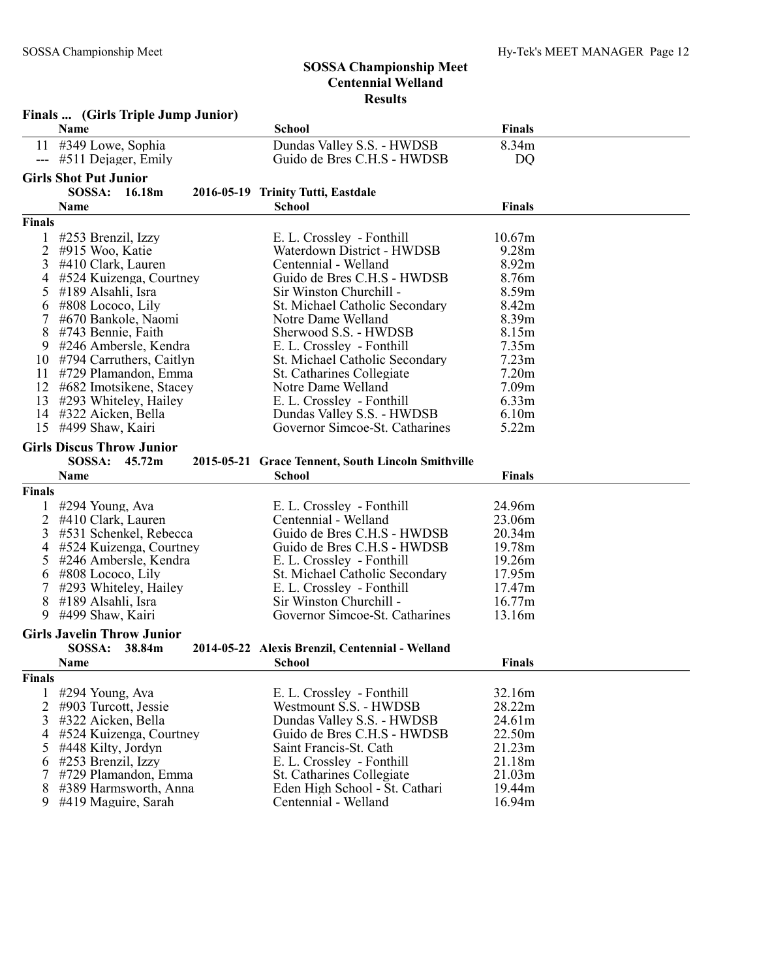Finals ... (Girls Triple Jump Junior)

|        | Name                                         | <b>School</b>                                          | <b>Finals</b>     |  |
|--------|----------------------------------------------|--------------------------------------------------------|-------------------|--|
|        | 11 #349 Lowe, Sophia                         | Dundas Valley S.S. - HWDSB                             | 8.34m             |  |
|        | --- #511 Dejager, Emily                      | Guido de Bres C.H.S - HWDSB                            | DQ                |  |
|        | <b>Girls Shot Put Junior</b>                 |                                                        |                   |  |
|        | SOSSA:<br>16.18m                             | 2016-05-19 Trinity Tutti, Eastdale                     |                   |  |
|        | <b>Name</b>                                  | <b>School</b>                                          | <b>Finals</b>     |  |
| Finals |                                              |                                                        |                   |  |
| 1      | #253 Brenzil, Izzy                           | E. L. Crossley - Fonthill                              | 10.67m            |  |
| 2      | #915 Woo, Katie                              | Waterdown District - HWDSB                             | 9.28m             |  |
| 3      | #410 Clark, Lauren                           | Centennial - Welland                                   | 8.92m             |  |
| 4      | #524 Kuizenga, Courtney                      | Guido de Bres C.H.S - HWDSB                            | 8.76m             |  |
| 5      | #189 Alsahli, Isra                           | Sir Winston Churchill -                                | 8.59m             |  |
| 6      | $\#808$ Lococo, Lily                         | St. Michael Catholic Secondary                         | 8.42m             |  |
| 7      | #670 Bankole, Naomi                          | Notre Dame Welland                                     | 8.39 <sub>m</sub> |  |
| 8      | #743 Bennie, Faith                           | Sherwood S.S. - HWDSB                                  | 8.15m             |  |
| 9      | #246 Ambersle, Kendra                        | E. L. Crossley - Fonthill                              | 7.35m             |  |
|        | 10 #794 Carruthers, Caitlyn                  | St. Michael Catholic Secondary                         | 7.23m             |  |
| 11     | #729 Plamandon, Emma                         | St. Catharines Collegiate                              | 7.20m             |  |
| 12     | #682 Imotsikene, Stacey                      | Notre Dame Welland                                     | 7.09 <sub>m</sub> |  |
| 13     | #293 Whiteley, Hailey                        | E. L. Crossley - Fonthill                              | 6.33m             |  |
| 14     | #322 Aicken, Bella                           | Dundas Valley S.S. - HWDSB                             | 6.10m             |  |
| 15     | #499 Shaw, Kairi                             | Governor Simcoe-St. Catharines                         | 5.22m             |  |
|        | <b>Girls Discus Throw Junior</b>             |                                                        |                   |  |
|        | SOSSA:<br>45.72m                             | 2015-05-21 Grace Tennent, South Lincoln Smithville     |                   |  |
|        |                                              |                                                        |                   |  |
|        |                                              |                                                        |                   |  |
|        | Name                                         | <b>School</b>                                          | <b>Finals</b>     |  |
| Finals |                                              |                                                        |                   |  |
| 1      | #294 Young, Ava                              | E. L. Crossley - Fonthill                              | 24.96m            |  |
| 2      | #410 Clark, Lauren                           | Centennial - Welland                                   | 23.06m            |  |
| 3      | #531 Schenkel, Rebecca                       | Guido de Bres C.H.S - HWDSB                            | 20.34m            |  |
| 4      | #524 Kuizenga, Courtney                      | Guido de Bres C.H.S - HWDSB                            | 19.78m            |  |
| 5      | #246 Ambersle, Kendra                        | E. L. Crossley - Fonthill                              | 19.26m            |  |
| 6      | #808 Lococo, Lily                            | St. Michael Catholic Secondary                         | 17.95m            |  |
| 7      | #293 Whiteley, Hailey                        | E. L. Crossley - Fonthill                              | 17.47m            |  |
| 8      | #189 Alsahli, Isra                           | Sir Winston Churchill -                                | 16.77m            |  |
| 9      | #499 Shaw, Kairi                             | Governor Simcoe-St. Catharines                         | 13.16m            |  |
|        | <b>Girls Javelin Throw Junior</b>            |                                                        |                   |  |
|        | <b>SOSSA:</b><br>38.84m                      | 2014-05-22 Alexis Brenzil, Centennial - Welland        |                   |  |
|        | Name                                         | <b>School</b>                                          | <b>Finals</b>     |  |
| Finals |                                              |                                                        |                   |  |
| 1      |                                              |                                                        |                   |  |
|        | #294 Young, Ava                              | E. L. Crossley - Fonthill                              | 32.16m            |  |
| 2<br>3 | #903 Turcott, Jessie                         | Westmount S.S. - HWDSB                                 | 28.22m            |  |
| 4      | #322 Aicken, Bella                           | Dundas Valley S.S. - HWDSB                             | 24.61m            |  |
| 5      | #524 Kuizenga, Courtney                      | Guido de Bres C.H.S - HWDSB                            | 22.50m            |  |
|        | #448 Kilty, Jordyn                           | Saint Francis-St. Cath                                 | 21.23m            |  |
| 6      | #253 Brenzil, Izzy                           | E. L. Crossley - Fonthill                              | 21.18m            |  |
| 7      | #729 Plamandon, Emma                         | St. Catharines Collegiate                              | 21.03m            |  |
| 8<br>9 | #389 Harmsworth, Anna<br>#419 Maguire, Sarah | Eden High School - St. Cathari<br>Centennial - Welland | 19.44m<br>16.94m  |  |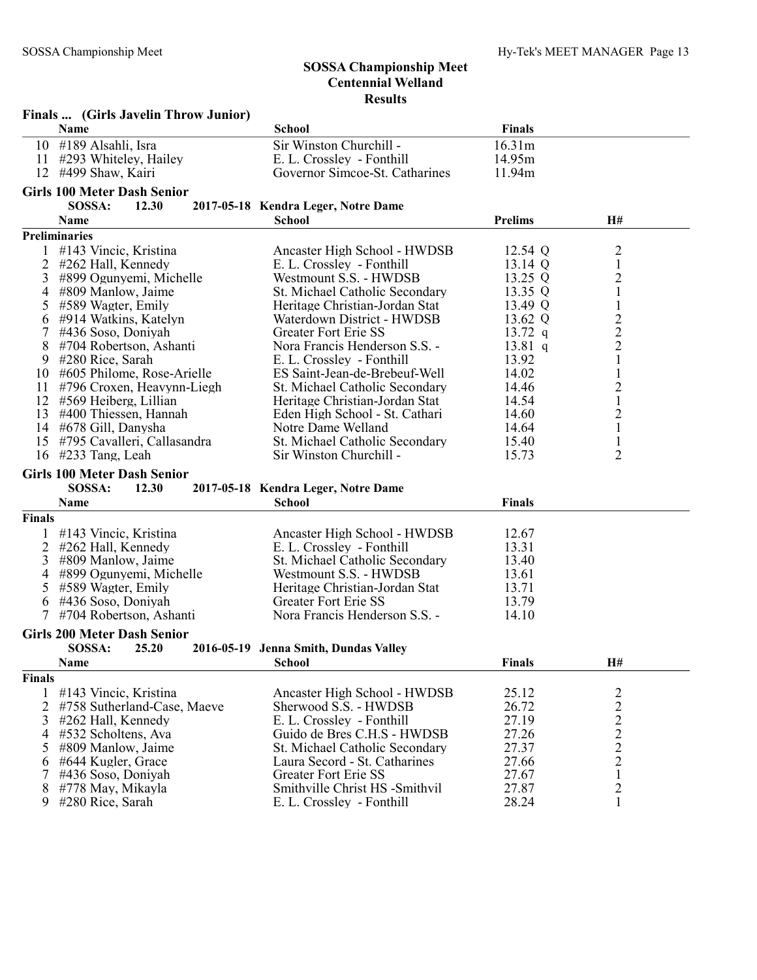|                | Finals  (Girls Javelin Throw Junior) |                                       |                |                |  |
|----------------|--------------------------------------|---------------------------------------|----------------|----------------|--|
|                | Name                                 | <b>School</b>                         | <b>Finals</b>  |                |  |
|                | 10 #189 Alsahli, Isra                | Sir Winston Churchill -               | 16.31m         |                |  |
| 11             | #293 Whiteley, Hailey                | E. L. Crossley - Fonthill             | 14.95m         |                |  |
| 12             | #499 Shaw, Kairi                     | Governor Simcoe-St. Catharines        | 11.94m         |                |  |
|                | <b>Girls 100 Meter Dash Senior</b>   |                                       |                |                |  |
|                | SOSSA:<br>12.30                      | 2017-05-18 Kendra Leger, Notre Dame   |                |                |  |
|                | Name                                 | <b>School</b>                         | <b>Prelims</b> | H#             |  |
|                | <b>Preliminaries</b>                 |                                       |                |                |  |
|                |                                      |                                       |                |                |  |
| 1              | #143 Vincic, Kristina                | Ancaster High School - HWDSB          | 12.54 Q        | 2              |  |
| 2              | #262 Hall, Kennedy                   | E. L. Crossley - Fonthill             | 13.14 Q        | $\mathbf{1}$   |  |
| 3              | #899 Ogunyemi, Michelle              | Westmount S.S. - HWDSB                | 13.25 Q        | $\overline{c}$ |  |
| 4              | #809 Manlow, Jaime                   | St. Michael Catholic Secondary        | 13.35 Q        | $\mathbf{1}$   |  |
| 5              | #589 Wagter, Emily                   | Heritage Christian-Jordan Stat        | 13.49 Q        | $\,1$          |  |
| 6              | #914 Watkins, Katelyn                | Waterdown District - HWDSB            | 13.62 Q        | $\frac{2}{2}$  |  |
| 7              | #436 Soso, Doniyah                   | Greater Fort Erie SS                  | 13.72 $q$      |                |  |
| 8              | #704 Robertson, Ashanti              | Nora Francis Henderson S.S. -         | $13.81$ q      | $\overline{2}$ |  |
| 9              | #280 Rice, Sarah                     | E. L. Crossley - Fonthill             | 13.92          | $\mathbf{1}$   |  |
| 10             | #605 Philome, Rose-Arielle           | ES Saint-Jean-de-Brebeuf-Well         | 14.02          | $\mathbf{1}$   |  |
| 11             | #796 Croxen, Heavynn-Liegh           | St. Michael Catholic Secondary        | 14.46          | $\overline{c}$ |  |
| 12             | #569 Heiberg, Lillian                | Heritage Christian-Jordan Stat        | 14.54          | $\mathbf{1}$   |  |
| 13             | #400 Thiessen, Hannah                | Eden High School - St. Cathari        | 14.60          | $\overline{c}$ |  |
| 14             | #678 Gill, Danysha                   | Notre Dame Welland                    | 14.64          | $\mathbf{1}$   |  |
| 15             | #795 Cavalleri, Callasandra          | St. Michael Catholic Secondary        | 15.40          | $\mathbf{1}$   |  |
| 16             | #233 Tang, Leah                      | Sir Winston Churchill -               | 15.73          | $\overline{2}$ |  |
|                | <b>Girls 100 Meter Dash Senior</b>   |                                       |                |                |  |
|                | SOSSA:<br>12.30                      | 2017-05-18 Kendra Leger, Notre Dame   |                |                |  |
|                | Name                                 | <b>School</b>                         | <b>Finals</b>  |                |  |
| <b>Finals</b>  |                                      |                                       |                |                |  |
|                | #143 Vincic, Kristina                | Ancaster High School - HWDSB          | 12.67          |                |  |
| $\overline{2}$ | #262 Hall, Kennedy                   | E. L. Crossley - Fonthill             | 13.31          |                |  |
| 3              | #809 Manlow, Jaime                   | St. Michael Catholic Secondary        | 13.40          |                |  |
| 4              | #899 Ogunyemi, Michelle              | Westmount S.S. - HWDSB                | 13.61          |                |  |
| 5              | #589 Wagter, Emily                   | Heritage Christian-Jordan Stat        | 13.71          |                |  |
| 6              | #436 Soso, Doniyah                   | Greater Fort Erie SS                  | 13.79          |                |  |
| $\tau$         | #704 Robertson, Ashanti              | Nora Francis Henderson S.S. -         | 14.10          |                |  |
|                | <b>Girls 200 Meter Dash Senior</b>   |                                       |                |                |  |
|                |                                      |                                       |                |                |  |
|                | SOSSA:<br>25.20<br>Name              | 2016-05-19 Jenna Smith, Dundas Valley |                | H#             |  |
|                |                                      | School                                | <b>Finals</b>  |                |  |
| <b>Finals</b>  |                                      |                                       |                |                |  |
| 1              | #143 Vincic, Kristina                | Ancaster High School - HWDSB          | 25.12          | $\frac{2}{2}$  |  |
| 2              | #758 Sutherland-Case, Maeve          | Sherwood S.S. - HWDSB                 | 26.72          |                |  |
| 3              | #262 Hall, Kennedy                   | E. L. Crossley - Fonthill             | 27.19          | $\overline{c}$ |  |
| 4              | #532 Scholtens, Ava                  | Guido de Bres C.H.S - HWDSB           | 27.26          | $\frac{2}{2}$  |  |
| 5              | #809 Manlow, Jaime                   | St. Michael Catholic Secondary        | 27.37          |                |  |
| 6              | #644 Kugler, Grace                   | Laura Secord - St. Catharines         | 27.66          | $\overline{2}$ |  |
| 7              | #436 Soso, Doniyah                   | <b>Greater Fort Erie SS</b>           | 27.67          | $\mathbf{1}$   |  |
| 8              | #778 May, Mikayla                    | Smithville Christ HS -Smithvil        | 27.87          | $\overline{2}$ |  |
| 9              | #280 Rice, Sarah                     | E. L. Crossley - Fonthill             | 28.24          | $\mathbf{1}$   |  |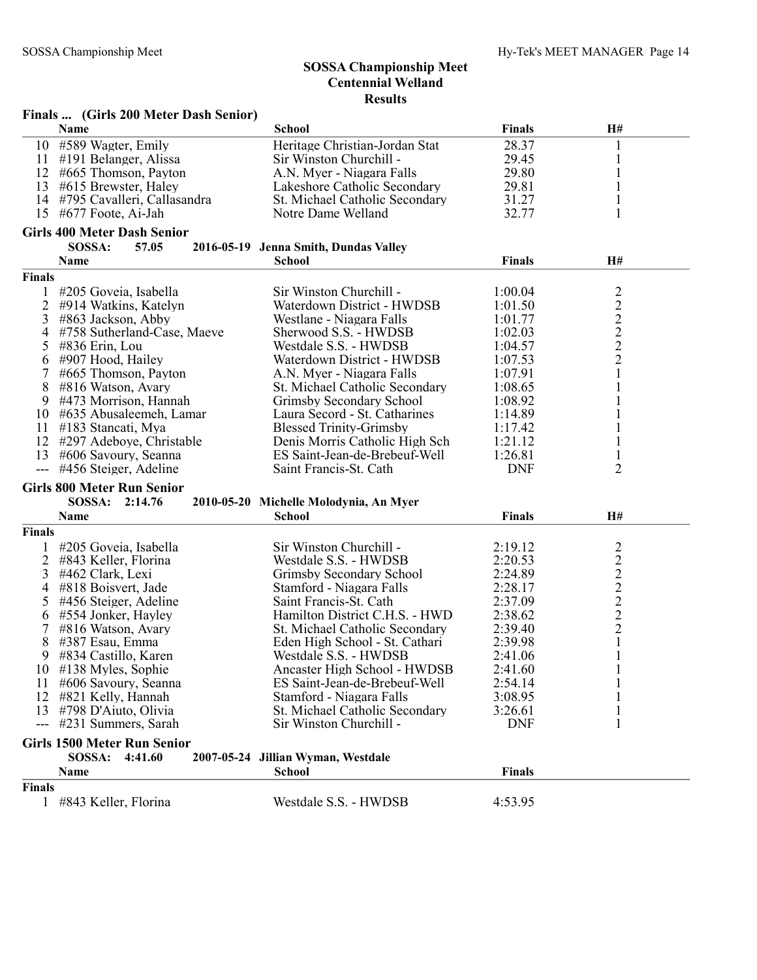|        | Finals  (Girls 200 Meter Dash Senior) |                                        |               |                                            |
|--------|---------------------------------------|----------------------------------------|---------------|--------------------------------------------|
|        | Name                                  | <b>School</b>                          | <b>Finals</b> | H#                                         |
|        | 10 #589 Wagter, Emily                 | Heritage Christian-Jordan Stat         | 28.37         | 1                                          |
|        | 11 #191 Belanger, Alissa              | Sir Winston Churchill -                | 29.45         | 1                                          |
| 12     | #665 Thomson, Payton                  | A.N. Myer - Niagara Falls              | 29.80         | $\mathbf{1}$                               |
| 13     | #615 Brewster, Haley                  | Lakeshore Catholic Secondary           | 29.81         | $\mathbf{1}$                               |
| 14     | #795 Cavalleri, Callasandra           | St. Michael Catholic Secondary         | 31.27         | 1                                          |
|        | 15 #677 Foote, Ai-Jah                 | Notre Dame Welland                     | 32.77         | 1                                          |
|        | <b>Girls 400 Meter Dash Senior</b>    |                                        |               |                                            |
|        | SOSSA:<br>57.05                       | 2016-05-19 Jenna Smith, Dundas Valley  |               |                                            |
|        | Name                                  | <b>School</b>                          | <b>Finals</b> | H#                                         |
| Finals |                                       |                                        |               |                                            |
|        | #205 Goveia, Isabella                 | Sir Winston Churchill -                | 1:00.04       |                                            |
| 2      | #914 Watkins, Katelyn                 | Waterdown District - HWDSB             | 1:01.50       |                                            |
| 3      | #863 Jackson, Abby                    | Westlane - Niagara Falls               | 1:01.77       |                                            |
| 4      | #758 Sutherland-Case, Maeve           | Sherwood S.S. - HWDSB                  | 1:02.03       | $\frac{2}{2}$ $\frac{2}{2}$ $\frac{2}{2}$  |
| 5      | #836 Erin, Lou                        | Westdale S.S. - HWDSB                  | 1:04.57       |                                            |
| 6      | #907 Hood, Hailey                     | Waterdown District - HWDSB             | 1:07.53       |                                            |
|        | #665 Thomson, Payton                  | A.N. Myer - Niagara Falls              | 1:07.91       | $\mathbf{1}$                               |
| 8      | #816 Watson, Avary                    | St. Michael Catholic Secondary         | 1:08.65       | $\mathbf{1}$                               |
| 9      | #473 Morrison, Hannah                 | Grimsby Secondary School               | 1:08.92       | 1                                          |
|        | 10 #635 Abusaleemeh, Lamar            | Laura Secord - St. Catharines          | 1:14.89       | $\mathbf{1}$                               |
| 11     | #183 Stancati, Mya                    | <b>Blessed Trinity-Grimsby</b>         | 1:17.42       | $\mathbf{1}$                               |
|        | 12 #297 Adeboye, Christable           | Denis Morris Catholic High Sch         | 1:21.12       | 1                                          |
| 13     | #606 Savoury, Seanna                  | ES Saint-Jean-de-Brebeuf-Well          | 1:26.81       | 1                                          |
|        | #456 Steiger, Adeline                 | Saint Francis-St. Cath                 | <b>DNF</b>    | $\overline{2}$                             |
|        |                                       |                                        |               |                                            |
|        | <b>Girls 800 Meter Run Senior</b>     |                                        |               |                                            |
|        | SOSSA: 2:14.76                        | 2010-05-20 Michelle Molodynia, An Myer |               |                                            |
|        | Name                                  | <b>School</b>                          | <b>Finals</b> | H#                                         |
| Finals |                                       |                                        |               |                                            |
|        | #205 Goveia, Isabella                 | Sir Winston Churchill -                | 2:19.12       | 2                                          |
| 2      | #843 Keller, Florina                  | Westdale S.S. - HWDSB                  | 2:20.53       | $\overline{2}$                             |
| 3      | #462 Clark, Lexi                      | Grimsby Secondary School               | 2:24.89       | $\overline{c}$                             |
| 4      | #818 Boisvert, Jade                   | Stamford - Niagara Falls               | 2:28.17       | $\begin{array}{c} 2 \\ 2 \\ 2 \end{array}$ |
| 5      | #456 Steiger, Adeline                 | Saint Francis-St. Cath                 | 2:37.09       |                                            |
| 6      | #554 Jonker, Hayley                   | Hamilton District C.H.S. - HWD         | 2:38.62       |                                            |
| 7      | #816 Watson, Avary                    | St. Michael Catholic Secondary         | 2:39.40       | $\sqrt{2}$                                 |
| 8      | #387 Esau, Emma                       | Eden High School - St. Cathari         | 2:39.98       | $\mathbf{1}$                               |
| 9      | #834 Castillo, Karen                  | Westdale S.S. - HWDSB                  | 2:41.06       |                                            |
|        | 10 #138 Myles, Sophie                 | Ancaster High School - HWDSB           | 2:41.60       | 1                                          |
| 11     | #606 Savoury, Seanna                  | ES Saint-Jean-de-Brebeuf-Well          | 2:54.14       |                                            |
| 12     | #821 Kelly, Hannah                    | Stamford - Niagara Falls               | 3:08.95       |                                            |
|        | 13 #798 D'Aiuto, Olivia               | St. Michael Catholic Secondary         | 3:26.61       |                                            |
| ---    | #231 Summers, Sarah                   | Sir Winston Churchill -                | <b>DNF</b>    |                                            |
|        | <b>Girls 1500 Meter Run Senior</b>    |                                        |               |                                            |
|        | SOSSA:<br>4:41.60                     | 2007-05-24 Jillian Wyman, Westdale     |               |                                            |
|        | Name                                  | <b>School</b>                          | <b>Finals</b> |                                            |
| Finals |                                       |                                        |               |                                            |
|        | 1 #843 Keller, Florina                | Westdale S.S. - HWDSB                  | 4:53.95       |                                            |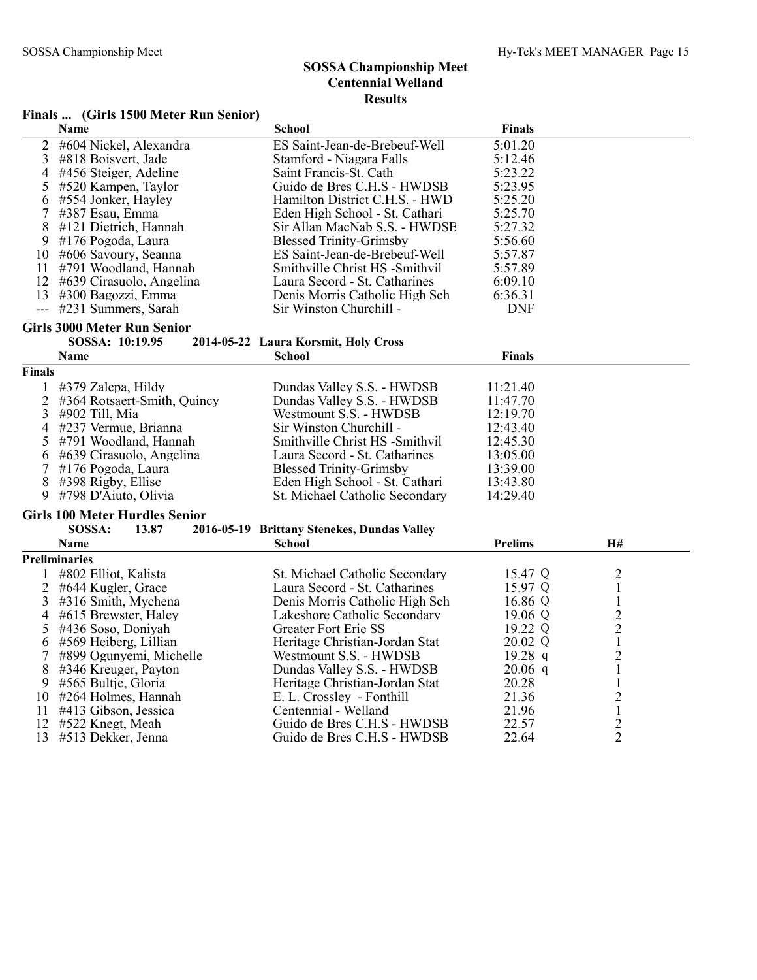#### Finals ... (Girls 1500 Meter Run Senior)

|                | Name                                  | <b>School</b>                               | <b>Finals</b>  |                |  |
|----------------|---------------------------------------|---------------------------------------------|----------------|----------------|--|
| $\overline{2}$ | #604 Nickel, Alexandra                | ES Saint-Jean-de-Brebeuf-Well               | 5:01.20        |                |  |
| 3              | #818 Boisvert, Jade                   | Stamford - Niagara Falls                    | 5:12.46        |                |  |
| 4              | #456 Steiger, Adeline                 | Saint Francis-St. Cath                      | 5:23.22        |                |  |
| 5              | #520 Kampen, Taylor                   | Guido de Bres C.H.S - HWDSB                 | 5:23.95        |                |  |
| 6              | #554 Jonker, Hayley                   | Hamilton District C.H.S. - HWD              | 5:25.20        |                |  |
| 7              | #387 Esau, Emma                       | Eden High School - St. Cathari              | 5:25.70        |                |  |
| 8              | #121 Dietrich, Hannah                 | Sir Allan MacNab S.S. - HWDSB               | 5:27.32        |                |  |
| 9              | #176 Pogoda, Laura                    | <b>Blessed Trinity-Grimsby</b>              | 5:56.60        |                |  |
| 10             | #606 Savoury, Seanna                  | ES Saint-Jean-de-Brebeuf-Well               | 5:57.87        |                |  |
| 11             | #791 Woodland, Hannah                 | Smithville Christ HS -Smithvil              | 5:57.89        |                |  |
| 12             | #639 Cirasuolo, Angelina              | Laura Secord - St. Catharines               | 6:09.10        |                |  |
| 13             | #300 Bagozzi, Emma                    | Denis Morris Catholic High Sch              | 6:36.31        |                |  |
| $\overline{a}$ | #231 Summers, Sarah                   | Sir Winston Churchill -                     | <b>DNF</b>     |                |  |
|                | <b>Girls 3000 Meter Run Senior</b>    |                                             |                |                |  |
|                | SOSSA: 10:19.95                       | 2014-05-22 Laura Korsmit, Holy Cross        |                |                |  |
|                | Name                                  | School                                      | <b>Finals</b>  |                |  |
| Finals         |                                       |                                             |                |                |  |
| $\mathbf{1}$   | #379 Zalepa, Hildy                    | Dundas Valley S.S. - HWDSB                  | 11:21.40       |                |  |
| $\overline{2}$ | #364 Rotsaert-Smith, Quincy           | Dundas Valley S.S. - HWDSB                  | 11:47.70       |                |  |
| 3              | #902 Till, Mia                        | Westmount S.S. - HWDSB                      | 12:19.70       |                |  |
| $\overline{4}$ | #237 Vermue, Brianna                  | Sir Winston Churchill -                     | 12:43.40       |                |  |
| 5              | #791 Woodland, Hannah                 | Smithville Christ HS -Smithvil              | 12:45.30       |                |  |
| 6              | #639 Cirasuolo, Angelina              | Laura Secord - St. Catharines               | 13:05.00       |                |  |
| 7              | #176 Pogoda, Laura                    | <b>Blessed Trinity-Grimsby</b>              | 13:39.00       |                |  |
| 8              | $\#398$ Rigby, Ellise                 | Eden High School - St. Cathari              | 13:43.80       |                |  |
|                | 9 #798 D'Aiuto, Olivia                | St. Michael Catholic Secondary              | 14:29.40       |                |  |
|                | <b>Girls 100 Meter Hurdles Senior</b> |                                             |                |                |  |
|                | SOSSA:<br>13.87                       | 2016-05-19 Brittany Stenekes, Dundas Valley |                |                |  |
|                | <b>Name</b>                           | School                                      | <b>Prelims</b> | H#             |  |
|                | <b>Preliminaries</b>                  |                                             |                |                |  |
|                | #802 Elliot, Kalista                  | St. Michael Catholic Secondary              | 15.47 Q        | 2              |  |
| $\overline{2}$ | #644 Kugler, Grace                    | Laura Secord - St. Catharines               | 15.97 Q        | $\mathbf{1}$   |  |
| 3              | #316 Smith, Mychena                   | Denis Morris Catholic High Sch              | 16.86 Q        | $\mathbf{1}$   |  |
| 4              | #615 Brewster, Haley                  | Lakeshore Catholic Secondary                | 19.06 Q        | $\frac{2}{2}$  |  |
| 5              | #436 Soso, Doniyah                    | <b>Greater Fort Erie SS</b>                 | 19.22 Q        |                |  |
| 6              | #569 Heiberg, Lillian                 | Heritage Christian-Jordan Stat              | 20.02 Q        | $\,1\,$        |  |
| 7              | #899 Ogunyemi, Michelle               | Westmount S.S. - HWDSB                      | $19.28$ q      | $\overline{c}$ |  |
| 8              | #346 Kreuger, Payton                  | Dundas Valley S.S. - HWDSB                  | $20.06$ q      | $\,1\,$        |  |
| 9              | #565 Bultje, Gloria                   | Heritage Christian-Jordan Stat              | 20.28          | $\mathbf{1}$   |  |
| 10             | #264 Holmes, Hannah                   | E. L. Crossley - Fonthill                   | 21.36          | $\overline{c}$ |  |
| 11             | #413 Gibson, Jessica                  | Centennial - Welland                        | 21.96          | $\,1\,$        |  |
| 12             | #522 Knegt, Meah                      | Guido de Bres C.H.S - HWDSB                 | 22.57          | $\frac{2}{2}$  |  |
| 13             | #513 Dekker, Jenna                    | Guido de Bres C.H.S - HWDSB                 | 22.64          |                |  |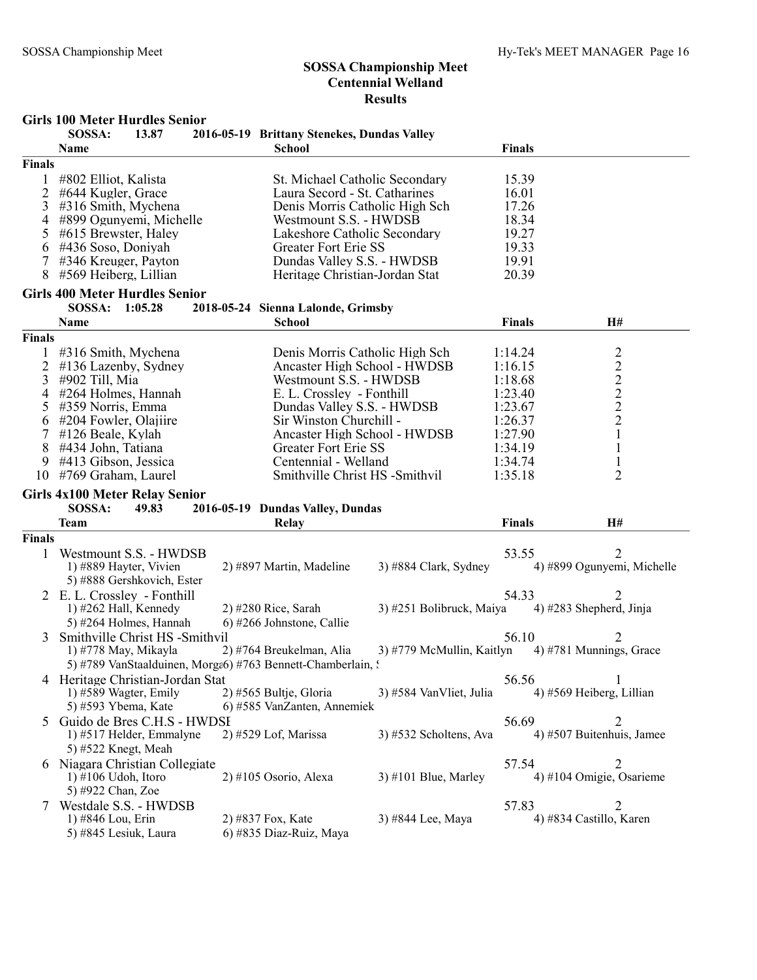#### Girls 100 Meter Hurdles Senior

|               | SOSSA:<br>13.87<br>Name                                     | 2016-05-19 Brittany Stenekes, Dundas Valley<br><b>School</b> |                         | <b>Finals</b> |                                                   |
|---------------|-------------------------------------------------------------|--------------------------------------------------------------|-------------------------|---------------|---------------------------------------------------|
| <b>Finals</b> |                                                             |                                                              |                         |               |                                                   |
|               | #802 Elliot, Kalista                                        | St. Michael Catholic Secondary                               |                         | 15.39         |                                                   |
| 2             | #644 Kugler, Grace                                          | Laura Secord - St. Catharines                                |                         | 16.01         |                                                   |
| 3             | #316 Smith, Mychena                                         | Denis Morris Catholic High Sch                               |                         | 17.26         |                                                   |
| 4             | #899 Ogunyemi, Michelle                                     | Westmount S.S. - HWDSB                                       |                         | 18.34         |                                                   |
| 5             | #615 Brewster, Haley                                        | Lakeshore Catholic Secondary                                 |                         | 19.27         |                                                   |
| 6             | #436 Soso, Doniyah                                          | Greater Fort Erie SS                                         |                         | 19.33         |                                                   |
|               | #346 Kreuger, Payton                                        | Dundas Valley S.S. - HWDSB                                   |                         | 19.91         |                                                   |
| 8             | #569 Heiberg, Lillian                                       | Heritage Christian-Jordan Stat                               |                         | 20.39         |                                                   |
|               | <b>Girls 400 Meter Hurdles Senior</b>                       |                                                              |                         |               |                                                   |
|               | SOSSA: 1:05.28                                              | 2018-05-24 Sienna Lalonde, Grimsby                           |                         |               |                                                   |
|               | Name                                                        | <b>School</b>                                                |                         | <b>Finals</b> | <b>H#</b>                                         |
| Finals        |                                                             |                                                              |                         |               |                                                   |
|               | 1 #316 Smith, Mychena                                       | Denis Morris Catholic High Sch                               |                         | 1:14.24       |                                                   |
| 2             | #136 Lazenby, Sydney                                        | Ancaster High School - HWDSB                                 |                         | 1:16.15       |                                                   |
| 3             | #902 Till, Mia                                              | Westmount S.S. - HWDSB                                       |                         | 1:18.68       |                                                   |
| 4             | #264 Holmes, Hannah                                         | E. L. Crossley - Fonthill                                    |                         | 1:23.40       | $2222$<br>$222$                                   |
| 5             | #359 Norris, Emma                                           | Dundas Valley S.S. - HWDSB                                   |                         | 1:23.67       |                                                   |
| 6             | #204 Fowler, Olajiire                                       | Sir Winston Churchill -                                      |                         | 1:26.37       |                                                   |
| 7             | #126 Beale, Kylah                                           | Ancaster High School - HWDSB                                 |                         | 1:27.90       | $\mathbf{1}$                                      |
| 8             | #434 John, Tatiana                                          | Greater Fort Erie SS                                         |                         | 1:34.19       | $\mathbf{1}$                                      |
| 9             | #413 Gibson, Jessica                                        | Centennial - Welland                                         |                         | 1:34.74       |                                                   |
| 10            | #769 Graham, Laurel                                         | Smithville Christ HS -Smithvil                               |                         | 1:35.18       | $\overline{2}$                                    |
|               | <b>Girls 4x100 Meter Relay Senior</b>                       |                                                              |                         |               |                                                   |
|               | SOSSA:<br>49.83                                             | 2016-05-19 Dundas Valley, Dundas                             |                         |               |                                                   |
|               | <b>Team</b>                                                 | Relay                                                        |                         | <b>Finals</b> | H#                                                |
| Finals        |                                                             |                                                              |                         |               |                                                   |
|               |                                                             |                                                              |                         |               |                                                   |
| 1             | Westmount S.S. - HWDSB                                      | 2) #897 Martin, Madeline                                     | 3) #884 Clark, Sydney   | 53.55         | 2<br>4) #899 Ogunyemi, Michelle                   |
|               | 1) #889 Hayter, Vivien                                      |                                                              |                         |               |                                                   |
|               | 5) #888 Gershkovich, Ester                                  |                                                              |                         |               |                                                   |
|               | 2 E.L. Crossley - Fonthill                                  |                                                              |                         | 54.33         |                                                   |
|               | 1) $#262$ Hall, Kennedy                                     | $2)$ #280 Rice, Sarah                                        |                         |               | 3) #251 Bolibruck, Maiya 4) #283 Shepherd, Jinja  |
|               | 5) #264 Holmes, Hannah                                      | 6) #266 Johnstone, Callie                                    |                         |               |                                                   |
| 3             | Smithville Christ HS -Smithvil                              |                                                              |                         | 56.10         | 2                                                 |
|               | 1) #778 May, Mikayla                                        | 2) #764 Breukelman, Alia                                     |                         |               | 3) #779 McMullin, Kaitlyn 4) #781 Munnings, Grace |
|               | 5) #789 VanStaalduinen, Morga6) #763 Bennett-Chamberlain, : |                                                              |                         |               |                                                   |
|               | 4 Heritage Christian-Jordan Stat                            |                                                              |                         | 56.56         |                                                   |
|               | 1) #589 Wagter, Emily                                       | 2) #565 Bultje, Gloria                                       | 3) #584 VanVliet, Julia |               | 4) #569 Heiberg, Lillian                          |
|               | 5) #593 Ybema, Kate                                         | 6) #585 VanZanten, Annemiek                                  |                         |               |                                                   |
| 5             | Guido de Bres C.H.S - HWDSI                                 |                                                              |                         | 56.69         |                                                   |
|               | 1) #517 Helder, Emmalyne                                    | 2) #529 Lof, Marissa                                         | 3) #532 Scholtens, Ava  |               | 4) #507 Buitenhuis, Jamee                         |
|               | 5) #522 Knegt, Meah                                         |                                                              |                         |               |                                                   |
|               | 6 Niagara Christian Collegiate                              |                                                              |                         | 57.54         | 2                                                 |
|               | $1)$ #106 Udoh, Itoro                                       | $2)$ #105 Osorio, Alexa                                      | $3)$ #101 Blue, Marley  |               | 4) #104 Omigie, Osarieme                          |
|               | 5) #922 Chan, Zoe                                           |                                                              |                         |               |                                                   |
|               | Westdale S.S. - HWDSB                                       |                                                              |                         | 57.83         | 2                                                 |
|               | 1) #846 Lou, Erin                                           | 2) #837 Fox, Kate                                            | 3) #844 Lee, Maya       |               | 4) #834 Castillo, Karen                           |
|               | 5) #845 Lesiuk, Laura                                       | 6) #835 Diaz-Ruiz, Maya                                      |                         |               |                                                   |
|               |                                                             |                                                              |                         |               |                                                   |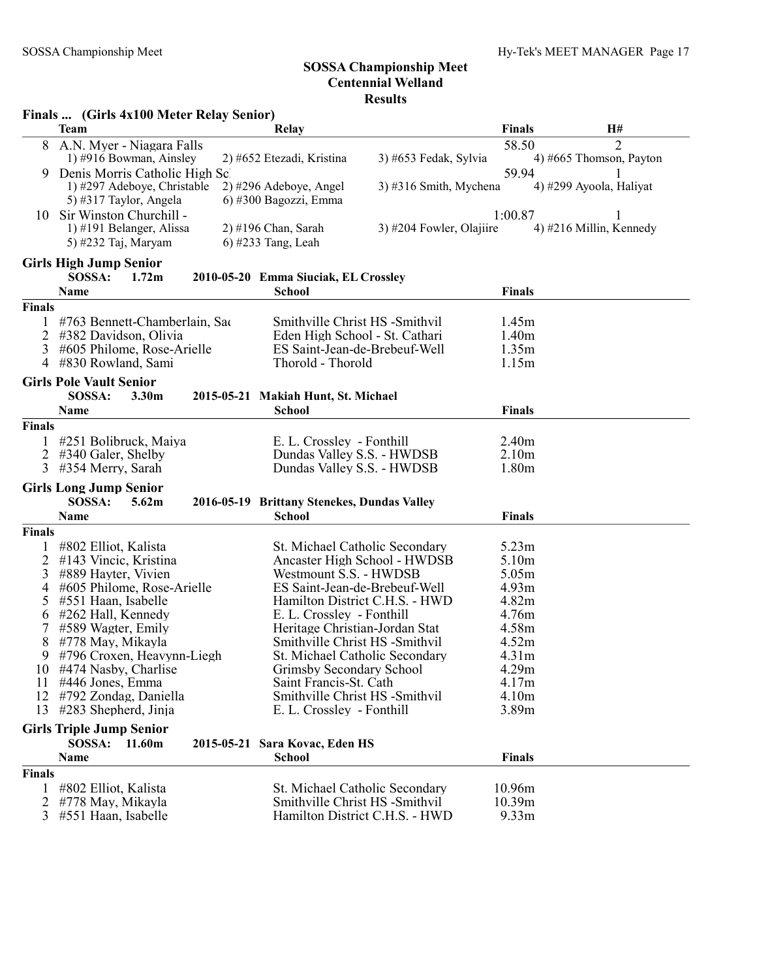|               | Finals  (Girls 4x100 Meter Relay Senior)          |                                                                 |                          |                   |                         |
|---------------|---------------------------------------------------|-----------------------------------------------------------------|--------------------------|-------------------|-------------------------|
|               | <b>Team</b>                                       | <b>Relay</b>                                                    |                          | <b>Finals</b>     | H#                      |
| 8             | A.N. Myer - Niagara Falls                         |                                                                 |                          | 58.50             | $\overline{2}$          |
|               | 1) #916 Bowman, Ainsley                           | 2) #652 Etezadi, Kristina                                       | 3) #653 Fedak, Sylvia    |                   | 4) #665 Thomson, Payton |
| 9.            | Denis Morris Catholic High Sc                     |                                                                 |                          | 59.94             |                         |
|               | 1) #297 Adeboye, Christable                       | 2) #296 Adeboye, Angel                                          | $3)$ #316 Smith, Mychena |                   | 4) #299 Ayoola, Haliyat |
|               | 5) #317 Taylor, Angela                            | 6) #300 Bagozzi, Emma                                           |                          |                   |                         |
|               | 10 Sir Winston Churchill -                        |                                                                 | 3) #204 Fowler, Olajiire | 1:00.87           |                         |
|               | 1) #191 Belanger, Alissa<br>5) #232 Taj, Maryam   | 2) #196 Chan, Sarah<br>$6$ ) #233 Tang, Leah                    |                          |                   | 4) #216 Millin, Kennedy |
|               |                                                   |                                                                 |                          |                   |                         |
|               | <b>Girls High Jump Senior</b>                     |                                                                 |                          |                   |                         |
|               | SOSSA:<br>1.72 <sub>m</sub>                       | 2010-05-20 Emma Siuciak, EL Crossley                            |                          |                   |                         |
|               | Name                                              | <b>School</b>                                                   |                          | <b>Finals</b>     |                         |
| <b>Finals</b> |                                                   |                                                                 |                          |                   |                         |
|               | #763 Bennett-Chamberlain, Sac                     | Smithville Christ HS -Smithvil                                  |                          | 1.45m             |                         |
| 2             | #382 Davidson, Olivia                             | Eden High School - St. Cathari                                  |                          | 1.40 <sub>m</sub> |                         |
| 3             | #605 Philome, Rose-Arielle                        | ES Saint-Jean-de-Brebeuf-Well                                   |                          | 1.35m<br>1.15m    |                         |
| 4             | #830 Rowland, Sami                                | Thorold - Thorold                                               |                          |                   |                         |
|               | <b>Girls Pole Vault Senior</b>                    |                                                                 |                          |                   |                         |
|               | SOSSA:<br>3.30 <sub>m</sub>                       | 2015-05-21 Makiah Hunt, St. Michael                             |                          |                   |                         |
|               | Name                                              | <b>School</b>                                                   |                          | <b>Finals</b>     |                         |
| <b>Finals</b> |                                                   |                                                                 |                          |                   |                         |
|               | #251 Bolibruck, Maiya                             | E. L. Crossley - Fonthill                                       |                          | 2.40 <sub>m</sub> |                         |
| 2             | #340 Galer, Shelby                                | Dundas Valley S.S. - HWDSB                                      |                          | 2.10 <sub>m</sub> |                         |
| 3             | #354 Merry, Sarah                                 | Dundas Valley S.S. - HWDSB                                      |                          | 1.80 <sub>m</sub> |                         |
|               | <b>Girls Long Jump Senior</b>                     |                                                                 |                          |                   |                         |
|               | SOSSA:<br>5.62m                                   | 2016-05-19 Brittany Stenekes, Dundas Valley                     |                          |                   |                         |
|               | Name                                              | <b>School</b>                                                   |                          | <b>Finals</b>     |                         |
| Finals        |                                                   |                                                                 |                          |                   |                         |
|               | #802 Elliot, Kalista                              | St. Michael Catholic Secondary                                  |                          | 5.23m             |                         |
| 2             | #143 Vincic, Kristina                             | Ancaster High School - HWDSB                                    |                          | 5.10 <sub>m</sub> |                         |
| 3             | #889 Hayter, Vivien<br>#605 Philome, Rose-Arielle | Westmount S.S. - HWDSB                                          |                          | 5.05m             |                         |
| 4<br>5        | #551 Haan, Isabelle                               | ES Saint-Jean-de-Brebeuf-Well<br>Hamilton District C.H.S. - HWD |                          | 4.93m<br>4.82m    |                         |
| 6             | #262 Hall, Kennedy                                | E. L. Crossley - Fonthill                                       |                          | 4.76m             |                         |
|               | #589 Wagter, Emily                                | Heritage Christian-Jordan Stat                                  |                          | 4.58m             |                         |
| 8             | #778 May, Mikayla                                 | Smithville Christ HS -Smithvil                                  |                          | 4.52m             |                         |
| 9             | #796 Croxen, Heavynn-Liegh                        | St. Michael Catholic Secondary                                  |                          | 4.31m             |                         |
|               | 10 #474 Nasby, Charlise                           | Grimsby Secondary School                                        |                          | 4.29m             |                         |
| 11            | #446 Jones, Emma                                  | Saint Francis-St. Cath                                          |                          | 4.17m             |                         |
| 12            | #792 Zondag, Daniella                             | Smithville Christ HS -Smithvil                                  |                          | 4.10m             |                         |
|               | 13 #283 Shepherd, Jinja                           | E. L. Crossley - Fonthill                                       |                          | 3.89m             |                         |
|               | <b>Girls Triple Jump Senior</b>                   |                                                                 |                          |                   |                         |
|               | SOSSA:<br>11.60m                                  | 2015-05-21 Sara Kovac, Eden HS                                  |                          |                   |                         |
|               | Name                                              | <b>School</b>                                                   |                          | <b>Finals</b>     |                         |
| <b>Finals</b> |                                                   |                                                                 |                          |                   |                         |
|               | #802 Elliot, Kalista                              | St. Michael Catholic Secondary                                  |                          | 10.96m            |                         |
| 2             | #778 May, Mikayla                                 | Smithville Christ HS -Smithvil                                  |                          | 10.39m            |                         |
| 3             | #551 Haan, Isabelle                               | Hamilton District C.H.S. - HWD                                  |                          | 9.33 <sub>m</sub> |                         |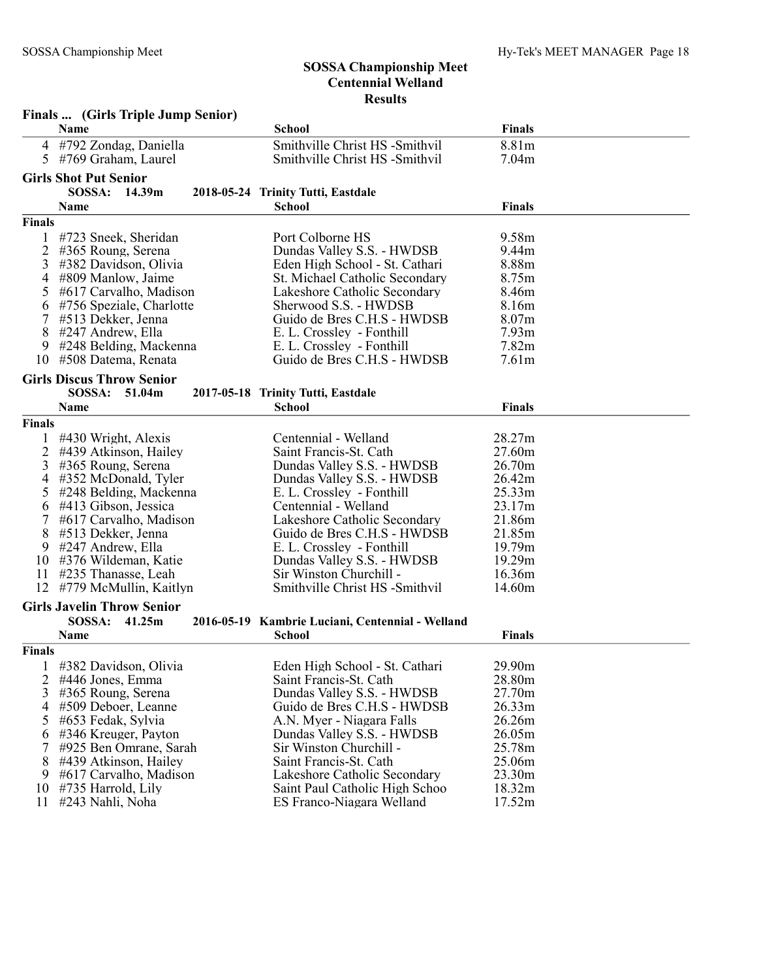|                | Finals  (Girls Triple Jump Senior) |                                                  |                   |  |
|----------------|------------------------------------|--------------------------------------------------|-------------------|--|
|                | Name                               | <b>School</b>                                    | <b>Finals</b>     |  |
| 4              | #792 Zondag, Daniella              | Smithville Christ HS -Smithvil                   | 8.81m             |  |
| 5              | #769 Graham, Laurel                | Smithville Christ HS -Smithvil                   | 7.04m             |  |
|                | <b>Girls Shot Put Senior</b>       |                                                  |                   |  |
|                | SOSSA:<br>14.39m                   | 2018-05-24 Trinity Tutti, Eastdale               |                   |  |
|                | Name                               | <b>School</b>                                    | <b>Finals</b>     |  |
| <b>Finals</b>  |                                    |                                                  |                   |  |
|                | #723 Sneek, Sheridan               | Port Colborne HS                                 | 9.58m             |  |
| 2              | #365 Roung, Serena                 | Dundas Valley S.S. - HWDSB                       | 9.44m             |  |
| 3              | #382 Davidson, Olivia              | Eden High School - St. Cathari                   | 8.88m             |  |
| 4              | #809 Manlow, Jaime                 | St. Michael Catholic Secondary                   | 8.75m             |  |
| 5              | #617 Carvalho, Madison             | Lakeshore Catholic Secondary                     | 8.46m             |  |
| 6              | #756 Speziale, Charlotte           | Sherwood S.S. - HWDSB                            | 8.16m             |  |
| 7              | #513 Dekker, Jenna                 | Guido de Bres C.H.S - HWDSB                      | 8.07m             |  |
| 8              | #247 Andrew, Ella                  | E. L. Crossley - Fonthill                        | 7.93 <sub>m</sub> |  |
| 9              | #248 Belding, Mackenna             | E. L. Crossley - Fonthill                        | 7.82m             |  |
| 10             | #508 Datema, Renata                | Guido de Bres C.H.S - HWDSB                      | 7.61 <sub>m</sub> |  |
|                | <b>Girls Discus Throw Senior</b>   |                                                  |                   |  |
|                | <b>SOSSA:</b><br>51.04m            | 2017-05-18 Trinity Tutti, Eastdale               |                   |  |
|                | Name                               | <b>School</b>                                    | <b>Finals</b>     |  |
| Finals         |                                    |                                                  |                   |  |
| 1              | #430 Wright, Alexis                | Centennial - Welland                             | 28.27m            |  |
| 2              | #439 Atkinson, Hailey              | Saint Francis-St. Cath                           | 27.60m            |  |
| 3              | #365 Roung, Serena                 | Dundas Valley S.S. - HWDSB                       | 26.70m            |  |
| 4              | #352 McDonald, Tyler               | Dundas Valley S.S. - HWDSB                       | 26.42m            |  |
| 5              | #248 Belding, Mackenna             | E. L. Crossley - Fonthill                        | 25.33m            |  |
| 6              | #413 Gibson, Jessica               | Centennial - Welland                             | 23.17m            |  |
| 7              | #617 Carvalho, Madison             | Lakeshore Catholic Secondary                     | 21.86m            |  |
| 8              | #513 Dekker, Jenna                 | Guido de Bres C.H.S - HWDSB                      | 21.85m            |  |
| 9              | #247 Andrew, Ella                  | E. L. Crossley - Fonthill                        | 19.79m            |  |
| 10             | #376 Wildeman, Katie               | Dundas Valley S.S. - HWDSB                       | 19.29m            |  |
| 11             | #235 Thanasse, Leah                | Sir Winston Churchill -                          | 16.36m            |  |
| 12             | #779 McMullin, Kaitlyn             | Smithville Christ HS -Smithvil                   | 14.60m            |  |
|                | <b>Girls Javelin Throw Senior</b>  |                                                  |                   |  |
|                | SOSSA:<br>41.25m                   | 2016-05-19 Kambrie Luciani, Centennial - Welland |                   |  |
|                | Name                               | <b>School</b>                                    | <b>Finals</b>     |  |
| <b>Finals</b>  |                                    |                                                  |                   |  |
| $\perp$        | #382 Davidson, Olivia              | Eden High School - St. Cathari                   | 29.90m            |  |
| $\overline{2}$ | #446 Jones, Emma                   | Saint Francis-St. Cath                           | 28.80m            |  |
| 3              | #365 Roung, Serena                 | Dundas Valley S.S. - HWDSB                       | 27.70m            |  |
| 4              | #509 Deboer, Leanne                | Guido de Bres C.H.S - HWDSB                      | 26.33m            |  |
| 5              | #653 Fedak, Sylvia                 | A.N. Myer - Niagara Falls                        | 26.26m            |  |
| 6              | #346 Kreuger, Payton               | Dundas Valley S.S. - HWDSB                       | 26.05m            |  |
| 7              | #925 Ben Omrane, Sarah             | Sir Winston Churchill -                          | 25.78m            |  |
| 8              | #439 Atkinson, Hailey              | Saint Francis-St. Cath                           | 25.06m            |  |
| 9              | #617 Carvalho, Madison             | Lakeshore Catholic Secondary                     | 23.30m            |  |
| 10             | #735 Harrold, Lily                 | Saint Paul Catholic High Schoo                   | 18.32m            |  |
| 11             | #243 Nahli, Noha                   | ES Franco-Niagara Welland                        | 17.52m            |  |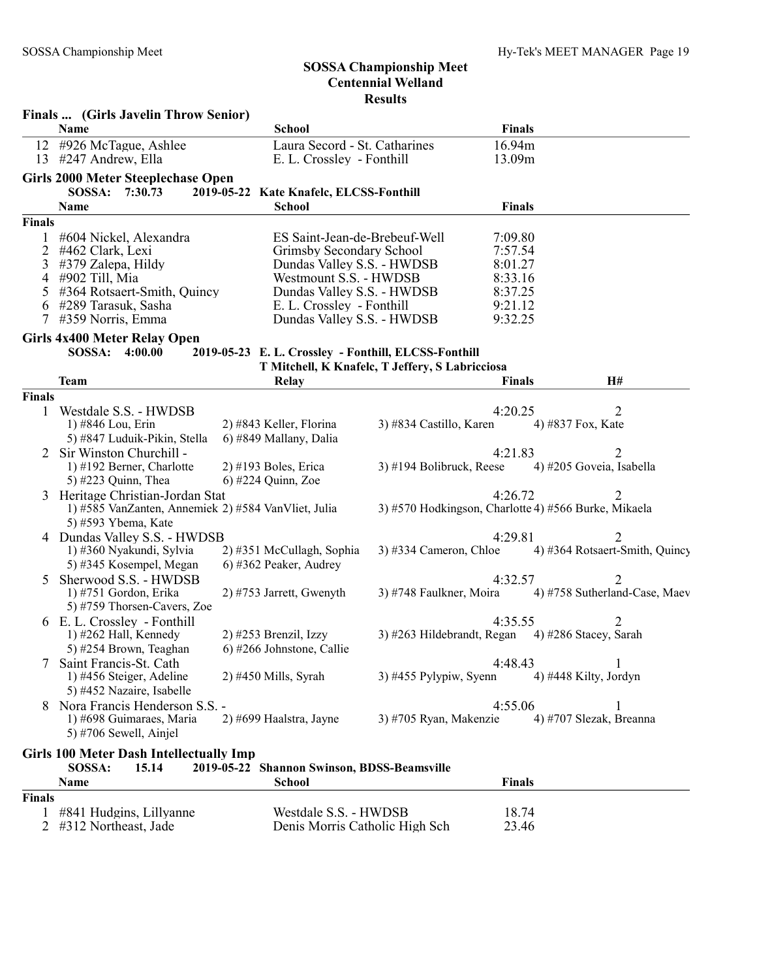|               | Finals  (Girls Javelin Throw Senior)                |                                                      |                                                      |               |                                |
|---------------|-----------------------------------------------------|------------------------------------------------------|------------------------------------------------------|---------------|--------------------------------|
|               | Name                                                | <b>School</b>                                        |                                                      | <b>Finals</b> |                                |
|               | 12 #926 McTague, Ashlee                             | Laura Secord - St. Catharines                        |                                                      | 16.94m        |                                |
|               | 13 #247 Andrew, Ella                                | E. L. Crossley - Fonthill                            |                                                      | 13.09m        |                                |
|               | Girls 2000 Meter Steeplechase Open                  |                                                      |                                                      |               |                                |
|               | SOSSA: 7:30.73                                      | 2019-05-22 Kate Knafelc, ELCSS-Fonthill              |                                                      |               |                                |
|               | Name                                                | <b>School</b>                                        |                                                      | <b>Finals</b> |                                |
| <b>Finals</b> |                                                     |                                                      |                                                      |               |                                |
| 1             | #604 Nickel, Alexandra                              | ES Saint-Jean-de-Brebeuf-Well                        |                                                      | 7:09.80       |                                |
| 2             | #462 Clark, Lexi                                    | Grimsby Secondary School                             |                                                      | 7:57.54       |                                |
| 3             | #379 Zalepa, Hildy                                  | Dundas Valley S.S. - HWDSB                           |                                                      | 8:01.27       |                                |
| 4             | #902 Till, Mia                                      | Westmount S.S. - HWDSB                               |                                                      | 8:33.16       |                                |
| 5             | #364 Rotsaert-Smith, Quincy                         | Dundas Valley S.S. - HWDSB                           |                                                      | 8:37.25       |                                |
| 6             | #289 Tarasuk, Sasha                                 | E. L. Crossley - Fonthill                            |                                                      | 9:21.12       |                                |
| 7             | #359 Norris, Emma                                   | Dundas Valley S.S. - HWDSB                           |                                                      | 9:32.25       |                                |
|               |                                                     |                                                      |                                                      |               |                                |
|               | <b>Girls 4x400 Meter Relay Open</b>                 |                                                      |                                                      |               |                                |
|               | SOSSA: 4:00.00                                      | 2019-05-23 E. L. Crossley - Fonthill, ELCSS-Fonthill |                                                      |               |                                |
|               |                                                     |                                                      | T Mitchell, K Knafelc, T Jeffery, S Labricciosa      |               |                                |
|               | <b>Team</b>                                         | <b>Relay</b>                                         |                                                      | <b>Finals</b> | H#                             |
| <b>Finals</b> |                                                     |                                                      |                                                      |               |                                |
| 1             | Westdale S.S. - HWDSB                               |                                                      |                                                      | 4:20.25       | 2                              |
|               | 1) #846 Lou, Erin                                   | 2) #843 Keller, Florina                              | 3) #834 Castillo, Karen                              |               | 4) #837 Fox, Kate              |
|               | 5) #847 Luduik-Pikin, Stella                        | 6) #849 Mallany, Dalia                               |                                                      |               |                                |
|               | Sir Winston Churchill -                             |                                                      |                                                      | 4:21.83       | $\overline{2}$                 |
|               | 1) #192 Berner, Charlotte                           | $2)$ #193 Boles, Erica                               | 3) #194 Bolibruck, Reese                             |               | 4) #205 Goveia, Isabella       |
|               | 5) #223 Quinn, Thea                                 | $6$ ) #224 Quinn, Zoe                                |                                                      |               |                                |
|               | Heritage Christian-Jordan Stat                      |                                                      |                                                      | 4:26.72       | 2                              |
|               | 1) #585 VanZanten, Annemiek 2) #584 VanVliet, Julia |                                                      | 3) #570 Hodkingson, Charlotte 4) #566 Burke, Mikaela |               |                                |
|               | 5) #593 Ybema, Kate                                 |                                                      |                                                      |               |                                |
|               | 4 Dundas Valley S.S. - HWDSB                        |                                                      |                                                      | 4:29.81       | 2                              |
|               | 1) #360 Nyakundi, Sylvia                            | 2) #351 McCullagh, Sophia                            | $3)$ #334 Cameron, Chloe                             |               | 4) #364 Rotsaert-Smith, Quincy |
|               | 5) #345 Kosempel, Megan                             | 6) #362 Peaker, Audrey                               |                                                      |               |                                |
|               | Sherwood S.S. - HWDSB                               |                                                      |                                                      | 4:32.57       | 2                              |
|               | 1) #751 Gordon, Erika                               | 2) #753 Jarrett, Gwenyth                             | 3) #748 Faulkner, Moira                              |               | 4) #758 Sutherland-Case, Maev  |
|               | 5) #759 Thorsen-Cavers, Zoe                         |                                                      |                                                      |               |                                |
|               | 6 E.L. Crossley - Fonthill                          |                                                      |                                                      | 4:35.55       |                                |
|               | 1) $#262$ Hall, Kennedy                             | 2) #253 Brenzil, Izzy                                | 3) #263 Hildebrandt, Regan 4) #286 Stacey, Sarah     |               |                                |
|               | 5) #254 Brown, Teaghan                              | 6) #266 Johnstone, Callie                            |                                                      |               |                                |
|               | 7 Saint Francis-St. Cath                            |                                                      |                                                      | 4:48.43       |                                |
|               | 1) #456 Steiger, Adeline                            | 2) #450 Mills, Syrah                                 | $3)$ #455 Pylypiw, Syenn                             |               | 4) #448 Kilty, Jordyn          |
|               | 5) #452 Nazaire, Isabelle                           |                                                      |                                                      |               |                                |
|               | Nora Francis Henderson S.S. -                       |                                                      |                                                      | 4:55.06       |                                |
|               | 1) #698 Guimaraes, Maria                            | 2) #699 Haalstra, Jayne                              | 3) #705 Ryan, Makenzie                               |               | 4) #707 Slezak, Breanna        |
|               | 5) #706 Sewell, Ainjel                              |                                                      |                                                      |               |                                |
|               |                                                     |                                                      |                                                      |               |                                |
|               | <b>Girls 100 Meter Dash Intellectually Imp</b>      |                                                      |                                                      |               |                                |
|               | SOSSA:<br>15.14                                     | 2019-05-22 Shannon Swinson, BDSS-Beamsville          |                                                      |               |                                |
|               | Name                                                | <b>School</b>                                        |                                                      | <b>Finals</b> |                                |
| <b>Finals</b> |                                                     |                                                      |                                                      |               |                                |
|               | #841 Hudgins, Lillyanne                             | Westdale S.S. - HWDSB                                |                                                      | 18.74         |                                |

| $#841$ Hudgins, Lillyanne | westuale $S.S. - HWD5D$        | 10.74 |
|---------------------------|--------------------------------|-------|
| 2 #312 Northeast, Jade    | Denis Morris Catholic High Sch | 23.46 |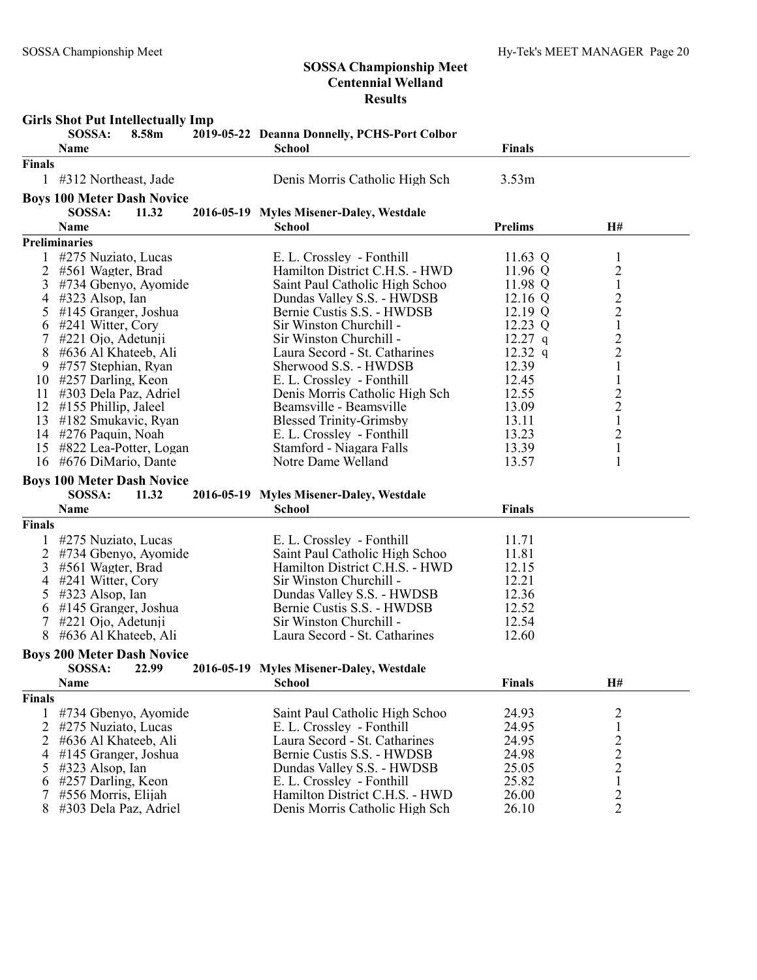|                | <b>Girls Shot Put Intellectually Imp</b> |                                              |                |                         |  |
|----------------|------------------------------------------|----------------------------------------------|----------------|-------------------------|--|
|                | 8.58m<br>SOSSA:                          | 2019-05-22 Deanna Donnelly, PCHS-Port Colbor |                |                         |  |
|                | Name                                     | <b>School</b>                                | <b>Finals</b>  |                         |  |
| <b>Finals</b>  |                                          |                                              |                |                         |  |
|                | 1 #312 Northeast, Jade                   | Denis Morris Catholic High Sch               | 3.53m          |                         |  |
|                | <b>Boys 100 Meter Dash Novice</b>        |                                              |                |                         |  |
|                | SOSSA:<br>11.32                          | 2016-05-19 Myles Misener-Daley, Westdale     |                |                         |  |
|                | Name                                     | <b>School</b>                                | <b>Prelims</b> | H#                      |  |
|                | <b>Preliminaries</b>                     |                                              |                |                         |  |
| 1              | #275 Nuziato, Lucas                      | E. L. Crossley - Fonthill                    | 11.63 Q        | $\mathbf{1}$            |  |
| $\overline{2}$ | #561 Wagter, Brad                        | Hamilton District C.H.S. - HWD               | 11.96 Q        | $\overline{c}$          |  |
| 3              | #734 Gbenyo, Ayomide                     | Saint Paul Catholic High Schoo               | 11.98 Q        | $\mathbf{1}$            |  |
| 4              | $\#323$ Alsop, Ian                       | Dundas Valley S.S. - HWDSB                   | 12.16 $Q$      | $\overline{c}$          |  |
| 5              | #145 Granger, Joshua                     | Bernie Custis S.S. - HWDSB                   | 12.19 Q        | $\frac{2}{1}$           |  |
| 6              | $#241$ Witter, Cory                      | Sir Winston Churchill -                      | 12.23 Q        |                         |  |
| 7              | $#221$ Ojo, Adetunji                     | Sir Winston Churchill -                      | $12.27$ q      | $\overline{\mathbf{c}}$ |  |
| 8              | #636 Al Khateeb, Ali                     | Laura Secord - St. Catharines                | $12.32$ q      | $\overline{c}$          |  |
| 9              | #757 Stephian, Ryan                      | Sherwood S.S. - HWDSB                        | 12.39          | $\mathbf{1}$            |  |
| 10             | #257 Darling, Keon                       | E. L. Crossley - Fonthill                    | 12.45          | $\mathbf{1}$            |  |
| 11             | #303 Dela Paz, Adriel                    | Denis Morris Catholic High Sch               | 12.55          | $\frac{2}{2}$           |  |
| 12             | #155 Phillip, Jaleel                     | Beamsville - Beamsville                      | 13.09          |                         |  |
| 13             | #182 Smukavic, Ryan                      | <b>Blessed Trinity-Grimsby</b>               | 13.11          | $\,1\,$                 |  |
| 14             | #276 Paquin, Noah                        | E. L. Crossley - Fonthill                    | 13.23          | $\overline{c}$          |  |
| 15             | #822 Lea-Potter, Logan                   | Stamford - Niagara Falls                     | 13.39          | $\mathbf{1}$            |  |
| 16             | #676 DiMario, Dante                      | Notre Dame Welland                           | 13.57          | 1                       |  |
|                | <b>Boys 100 Meter Dash Novice</b>        |                                              |                |                         |  |
|                | SOSSA:<br>11.32                          | 2016-05-19 Myles Misener-Daley, Westdale     |                |                         |  |
|                | Name                                     | <b>School</b>                                | <b>Finals</b>  |                         |  |
| <b>Finals</b>  |                                          |                                              |                |                         |  |
|                | #275 Nuziato, Lucas                      | E. L. Crossley - Fonthill                    | 11.71          |                         |  |
| $\overline{2}$ | #734 Gbenyo, Ayomide                     | Saint Paul Catholic High Schoo               | 11.81          |                         |  |
| 3              | #561 Wagter, Brad                        | Hamilton District C.H.S. - HWD               | 12.15          |                         |  |
| 4              | #241 Witter, Cory                        | Sir Winston Churchill -                      | 12.21          |                         |  |
|                | $\#323$ Alsop, Ian                       | Dundas Valley S.S. - HWDSB                   | 12.36          |                         |  |
| 6              | #145 Granger, Joshua                     | Bernie Custis S.S. - HWDSB                   | 12.52          |                         |  |
| 7              | $\#221$ Ojo, Adetunji                    | Sir Winston Churchill -                      | 12.54          |                         |  |
| 8              | #636 Al Khateeb, Ali                     | Laura Secord - St. Catharines                | 12.60          |                         |  |
|                | <b>Boys 200 Meter Dash Novice</b>        |                                              |                |                         |  |
|                | SOSSA:<br>22.99                          | 2016-05-19 Myles Misener-Daley, Westdale     |                |                         |  |
|                | Name                                     | <b>School</b>                                | <b>Finals</b>  | H#                      |  |
| <b>Finals</b>  |                                          |                                              |                |                         |  |
| 1              | #734 Gbenyo, Ayomide                     | Saint Paul Catholic High Schoo               | 24.93          | $\overline{c}$          |  |
| 2              | #275 Nuziato, Lucas                      | E. L. Crossley - Fonthill                    | 24.95          | $\,1$                   |  |
| 2              | #636 Al Khateeb, Ali                     | Laura Secord - St. Catharines                | 24.95          | $\overline{c}$          |  |
| 4              | #145 Granger, Joshua                     | Bernie Custis S.S. - HWDSB                   | 24.98          |                         |  |
| 5              | $\#323$ Alsop, Ian                       | Dundas Valley S.S. - HWDSB                   | 25.05          | $\frac{2}{2}$           |  |
| 6              | #257 Darling, Keon                       | E. L. Crossley - Fonthill                    | 25.82          | $\mathbf{1}$            |  |
| 7              | #556 Morris, Elijah                      | Hamilton District C.H.S. - HWD               | 26.00          | $\overline{2}$          |  |
| 8              | #303 Dela Paz, Adriel                    | Denis Morris Catholic High Sch               | 26.10          | $\overline{2}$          |  |
|                |                                          |                                              |                |                         |  |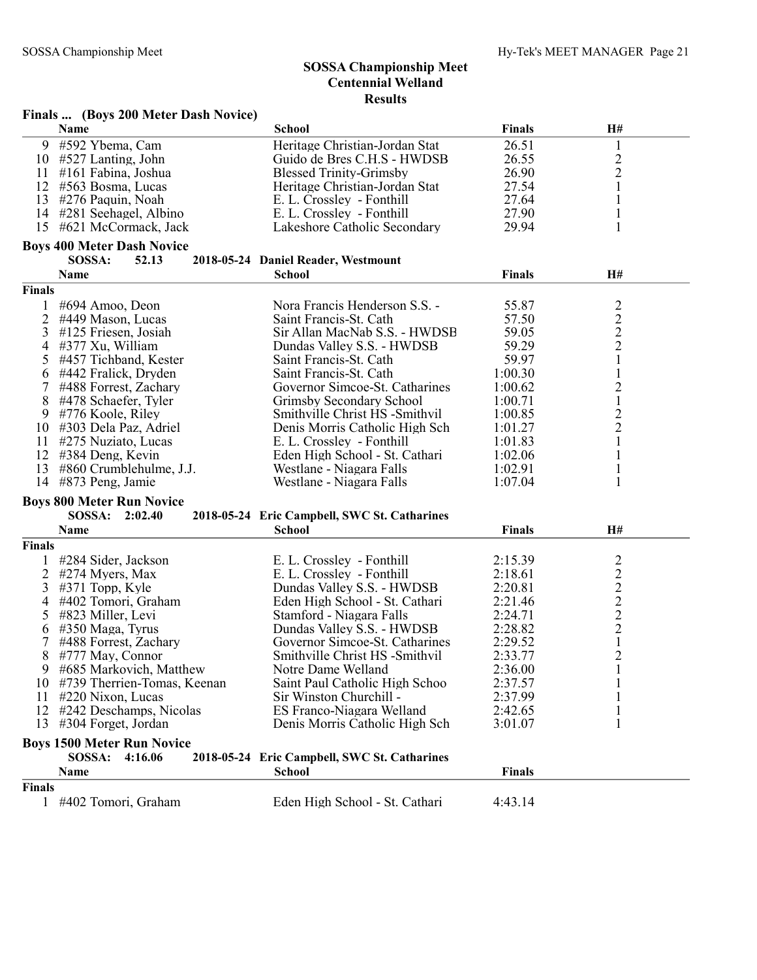|                | Finals  (Boys 200 Meter Dash Novice) |                                              |               |                         |  |  |  |
|----------------|--------------------------------------|----------------------------------------------|---------------|-------------------------|--|--|--|
|                | Name                                 | <b>School</b>                                | <b>Finals</b> | H#                      |  |  |  |
| 9              | #592 Ybema, Cam                      | Heritage Christian-Jordan Stat               | 26.51         | $\mathbf{1}$            |  |  |  |
| 10             | #527 Lanting, John                   | Guido de Bres C.H.S - HWDSB                  | 26.55         | $\frac{2}{2}$           |  |  |  |
| 11             | #161 Fabina, Joshua                  | <b>Blessed Trinity-Grimsby</b>               | 26.90         |                         |  |  |  |
| 12             | #563 Bosma, Lucas                    | Heritage Christian-Jordan Stat               | 27.54         | $\mathbf{1}$            |  |  |  |
|                | 13 #276 Paquin, Noah                 | E. L. Crossley - Fonthill                    | 27.64         | $\mathbf{1}$            |  |  |  |
|                | 14 #281 Seehagel, Albino             | E. L. Crossley - Fonthill                    | 27.90         | $\mathbf{l}$            |  |  |  |
|                | 15 #621 McCormack, Jack              | Lakeshore Catholic Secondary                 | 29.94         | 1                       |  |  |  |
|                | <b>Boys 400 Meter Dash Novice</b>    |                                              |               |                         |  |  |  |
|                | SOSSA:<br>52.13                      | 2018-05-24 Daniel Reader, Westmount          |               |                         |  |  |  |
|                | Name                                 | <b>School</b>                                | <b>Finals</b> | H#                      |  |  |  |
| Finals         |                                      |                                              |               |                         |  |  |  |
| 1              | #694 Amoo, Deon                      | Nora Francis Henderson S.S. -                | 55.87         | $\overline{2}$          |  |  |  |
| $\overline{2}$ | #449 Mason, Lucas                    | Saint Francis-St. Cath                       | 57.50         |                         |  |  |  |
| 3              | #125 Friesen, Josiah                 | Sir Allan MacNab S.S. - HWDSB                | 59.05         | $\frac{2}{2}$           |  |  |  |
| 4              | #377 Xu, William                     | Dundas Valley S.S. - HWDSB                   | 59.29         | $\overline{2}$          |  |  |  |
| 5              | #457 Tichband, Kester                | Saint Francis-St. Cath                       | 59.97         | $\mathbf{1}$            |  |  |  |
| 6              | #442 Fralick, Dryden                 | Saint Francis-St. Cath                       | 1:00.30       | $\mathbf{1}$            |  |  |  |
|                | #488 Forrest, Zachary                | Governor Simcoe-St. Catharines               | 1:00.62       | $\overline{c}$          |  |  |  |
| 8              | #478 Schaefer, Tyler                 | Grimsby Secondary School                     | 1:00.71       | $\mathbf{1}$            |  |  |  |
| 9              | #776 Koole, Riley                    | Smithville Christ HS -Smithvil               | 1:00.85       | $\overline{c}$          |  |  |  |
| 10             | #303 Dela Paz, Adriel                | Denis Morris Catholic High Sch               | 1:01.27       | $\overline{c}$          |  |  |  |
| 11             | #275 Nuziato, Lucas                  | E. L. Crossley - Fonthill                    | 1:01.83       | $\mathbf{1}$            |  |  |  |
| 12             | #384 Deng, Kevin                     | Eden High School - St. Cathari               | 1:02.06       | $\mathbf{1}$            |  |  |  |
| 13             | #860 Crumblehulme, J.J.              | Westlane - Niagara Falls                     | 1:02.91       | $\mathbf{1}$            |  |  |  |
| 14             | #873 Peng, Jamie                     | Westlane - Niagara Falls                     | 1:07.04       | 1                       |  |  |  |
|                | <b>Boys 800 Meter Run Novice</b>     |                                              |               |                         |  |  |  |
|                | <b>SOSSA:</b><br>2:02.40             | 2018-05-24 Eric Campbell, SWC St. Catharines |               |                         |  |  |  |
|                | Name                                 | <b>School</b>                                | <b>Finals</b> | H#                      |  |  |  |
| Finals         |                                      |                                              |               |                         |  |  |  |
|                | #284 Sider, Jackson                  | E. L. Crossley - Fonthill                    | 2:15.39       | $\overline{\mathbf{c}}$ |  |  |  |
| 2              | #274 Myers, Max                      | E. L. Crossley - Fonthill                    | 2:18.61       | $\overline{c}$          |  |  |  |
| 3              | $#371$ Topp, Kyle                    | Dundas Valley S.S. - HWDSB                   | 2:20.81       | $\overline{c}$          |  |  |  |
| 4              | #402 Tomori, Graham                  | Eden High School - St. Cathari               | 2:21.46       |                         |  |  |  |
| 5              | #823 Miller, Levi                    | Stamford - Niagara Falls                     | 2:24.71       |                         |  |  |  |
| 6              | #350 Maga, Tyrus                     | Dundas Valley S.S. - HWDSB                   | 2:28.82       | $\frac{2}{2}$           |  |  |  |
|                | #488 Forrest, Zachary                | Governor Simcoe-St. Catharines               | 2:29.52       | $\mathbf{1}$            |  |  |  |
| 8              | #777 May, Connor                     | Smithville Christ HS -Smithvil               | 2:33.77       | $\overline{2}$          |  |  |  |
| 9              | #685 Markovich, Matthew              | Notre Dame Welland                           | 2:36.00       | 1                       |  |  |  |
| 10             | #739 Therrien-Tomas, Keenan          | Saint Paul Catholic High Schoo               | 2:37.57       |                         |  |  |  |
| 11             | #220 Nixon, Lucas                    | Sir Winston Churchill -                      | 2:37.99       |                         |  |  |  |
| 12             | #242 Deschamps, Nicolas              | ES Franco-Niagara Welland                    | 2:42.65       |                         |  |  |  |
| 13             | #304 Forget, Jordan                  | Denis Morris Catholic High Sch               | 3:01.07       |                         |  |  |  |
|                | <b>Boys 1500 Meter Run Novice</b>    |                                              |               |                         |  |  |  |
|                | SOSSA:<br>4:16.06                    | 2018-05-24 Eric Campbell, SWC St. Catharines |               |                         |  |  |  |
|                | Name                                 | <b>School</b>                                | <b>Finals</b> |                         |  |  |  |
| Finals         |                                      |                                              |               |                         |  |  |  |
|                | 1 #402 Tomori, Graham                | Eden High School - St. Cathari               | 4:43.14       |                         |  |  |  |
|                |                                      |                                              |               |                         |  |  |  |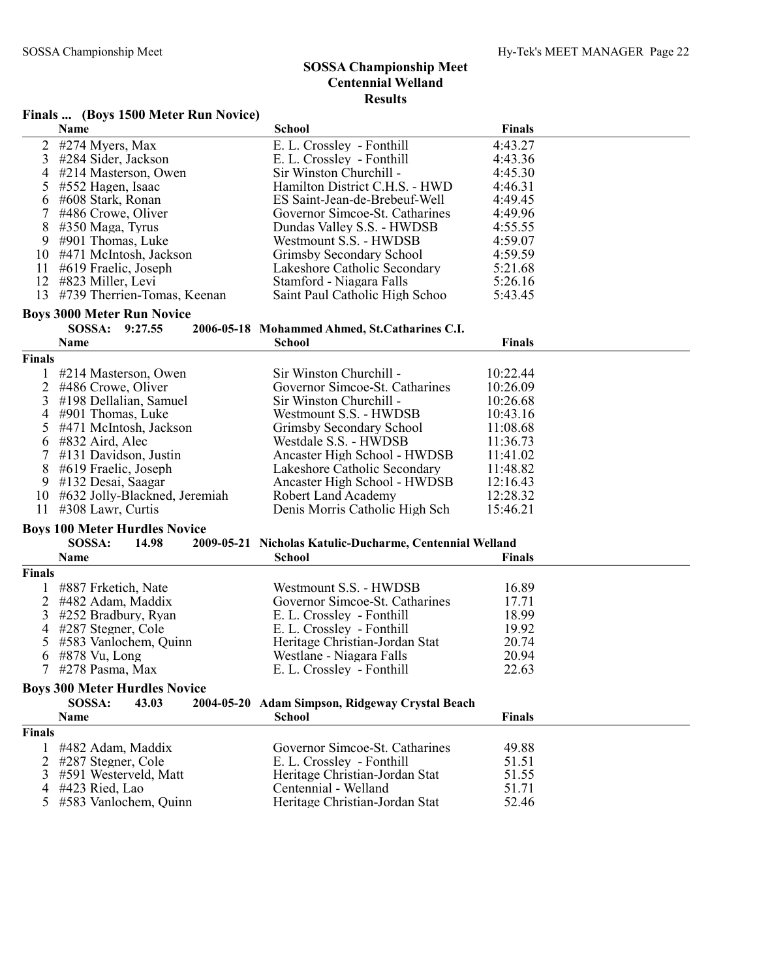## Finals ... (Boys 1500 Meter Run Novice)

|                | Finals  (DOYS 1500 MEter Kun Novice) |                                                          |               |
|----------------|--------------------------------------|----------------------------------------------------------|---------------|
|                | Name                                 | <b>School</b>                                            | Finals        |
| $\overline{2}$ | #274 Myers, Max                      | E. L. Crossley - Fonthill                                | 4:43.27       |
| 3              | #284 Sider, Jackson                  | E. L. Crossley - Fonthill                                | 4:43.36       |
| 4              | #214 Masterson, Owen                 | Sir Winston Churchill -                                  | 4:45.30       |
| 5              | #552 Hagen, Isaac                    | Hamilton District C.H.S. - HWD                           | 4:46.31       |
| 6              | #608 Stark, Ronan                    | ES Saint-Jean-de-Brebeuf-Well                            | 4:49.45       |
| 7              | #486 Crowe, Oliver                   | Governor Simcoe-St. Catharines                           | 4:49.96       |
| 8              | #350 Maga, Tyrus                     | Dundas Valley S.S. - HWDSB                               | 4:55.55       |
| 9              | #901 Thomas, Luke                    | Westmount S.S. - HWDSB                                   | 4:59.07       |
| 10             | #471 McIntosh, Jackson               | Grimsby Secondary School                                 | 4:59.59       |
| 11             | #619 Fraelic, Joseph                 | Lakeshore Catholic Secondary                             | 5:21.68       |
| 12             | #823 Miller, Levi                    | Stamford - Niagara Falls                                 | 5:26.16       |
| 13             | #739 Therrien-Tomas, Keenan          | Saint Paul Catholic High Schoo                           | 5:43.45       |
|                | <b>Boys 3000 Meter Run Novice</b>    |                                                          |               |
|                | SOSSA: 9:27.55                       | 2006-05-18 Mohammed Ahmed, St.Catharines C.I.            |               |
|                | Name                                 | School                                                   | <b>Finals</b> |
| Finals         |                                      |                                                          |               |
| 1              | #214 Masterson, Owen                 | Sir Winston Churchill -                                  | 10:22.44      |
| $\overline{2}$ | #486 Crowe, Oliver                   | Governor Simcoe-St. Catharines                           | 10:26.09      |
| 3              | #198 Dellalian, Samuel               | Sir Winston Churchill -                                  | 10:26.68      |
| 4              | #901 Thomas, Luke                    | Westmount S.S. - HWDSB                                   | 10:43.16      |
| 5              | #471 McIntosh, Jackson               | Grimsby Secondary School                                 | 11:08.68      |
| 6              | #832 Aird, Alec                      | Westdale S.S. - HWDSB                                    | 11:36.73      |
| $\tau$         | #131 Davidson, Justin                | Ancaster High School - HWDSB                             | 11:41.02      |
| 8              | #619 Fraelic, Joseph                 | Lakeshore Catholic Secondary                             | 11:48.82      |
| 9              | #132 Desai, Saagar                   | Ancaster High School - HWDSB                             | 12:16.43      |
| 10             | #632 Jolly-Blackned, Jeremiah        | <b>Robert Land Academy</b>                               | 12:28.32      |
|                | 11 #308 Lawr, Curtis                 | Denis Morris Catholic High Sch                           | 15:46.21      |
|                | <b>Boys 100 Meter Hurdles Novice</b> |                                                          |               |
|                | SOSSA:<br>14.98                      | 2009-05-21 Nicholas Katulic-Ducharme, Centennial Welland |               |
|                | <b>Name</b>                          | <b>School</b>                                            | <b>Finals</b> |
| Finals         |                                      |                                                          |               |
| $\mathbf{1}$   | #887 Frketich, Nate                  | Westmount S.S. - HWDSB                                   | 16.89         |
| $\overline{2}$ | #482 Adam, Maddix                    | Governor Simcoe-St. Catharines                           | 17.71         |
| 3              | #252 Bradbury, Ryan                  | E. L. Crossley - Fonthill                                | 18.99         |
| 4              | #287 Stegner, Cole                   | E. L. Crossley - Fonthill                                | 19.92         |
| 5              | #583 Vanlochem, Quinn                | Heritage Christian-Jordan Stat                           | 20.74         |
| 6              | #878 Vu, Long                        | Westlane - Niagara Falls                                 | 20.94         |
|                | #278 Pasma, Max                      | E. L. Crossley - Fonthill                                | 22.63         |
|                |                                      |                                                          |               |
|                | <b>Boys 300 Meter Hurdles Novice</b> |                                                          |               |
|                | SOSSA:<br>43.03                      | 2004-05-20 Adam Simpson, Ridgeway Crystal Beach          |               |
|                | Name                                 | <b>School</b>                                            | <b>Finals</b> |
| <b>Finals</b>  |                                      |                                                          |               |

| #482 Adam, Maddix       | Governor Simcoe-St. Catharines | 49.88 |
|-------------------------|--------------------------------|-------|
| 2 #287 Stegner, Cole    | E. L. Crossley - Fonthill      | 51.51 |
| 3 #591 Westerveld, Matt | Heritage Christian-Jordan Stat | 51.55 |
| $4$ #423 Ried, Lao      | Centennial - Welland           | 51.71 |
| 5 #583 Vanlochem, Quinn | Heritage Christian-Jordan Stat | 52.46 |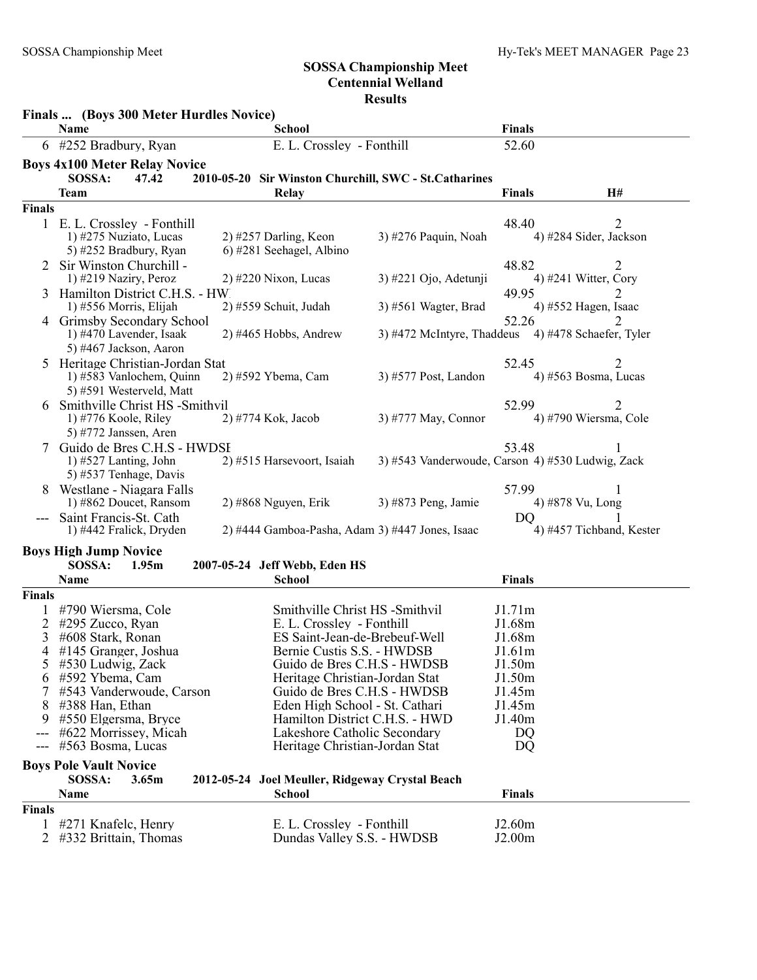|                | Finals  (Boys 300 Meter Hurdles Novice)                    |                                                               |                                                    |                  |                             |
|----------------|------------------------------------------------------------|---------------------------------------------------------------|----------------------------------------------------|------------------|-----------------------------|
|                | Name                                                       | <b>School</b>                                                 |                                                    | Finals           |                             |
|                | 6 #252 Bradbury, Ryan                                      | E. L. Crossley - Fonthill                                     |                                                    | 52.60            |                             |
|                | <b>Boys 4x100 Meter Relay Novice</b>                       |                                                               |                                                    |                  |                             |
|                | SOSSA:<br>47.42                                            | 2010-05-20 Sir Winston Churchill, SWC - St.Catharines         |                                                    |                  |                             |
|                | <b>Team</b>                                                | Relay                                                         |                                                    | <b>Finals</b>    | H#                          |
| <b>Finals</b>  |                                                            |                                                               |                                                    |                  |                             |
|                | 1 E. L. Crossley - Fonthill<br>1) #275 Nuziato, Lucas      | $2)$ #257 Darling, Keon                                       | 3) #276 Paquin, Noah                               | 48.40            | 2<br>4) #284 Sider, Jackson |
|                | 5) #252 Bradbury, Ryan                                     | 6) #281 Seehagel, Albino                                      |                                                    |                  |                             |
|                | 2 Sir Winston Churchill -                                  |                                                               |                                                    | 48.82            |                             |
|                | 1) #219 Naziry, Peroz                                      | $2)$ #220 Nixon, Lucas                                        | 3) #221 Ojo, Adetunji                              |                  | 4) #241 Witter, Cory        |
|                | Hamilton District C.H.S. - HW                              |                                                               |                                                    | 49.95            |                             |
|                | 1) #556 Morris, Elijah                                     | 2) #559 Schuit, Judah                                         | $3)$ #561 Wagter, Brad                             |                  | 4) #552 Hagen, Isaac        |
| 4              | Grimsby Secondary School                                   |                                                               |                                                    | 52.26            |                             |
|                | 1) #470 Lavender, Isaak                                    | 2) #465 Hobbs, Andrew                                         | 3) #472 McIntyre, Thaddeus 4) #478 Schaefer, Tyler |                  |                             |
|                | 5) #467 Jackson, Aaron                                     |                                                               |                                                    |                  |                             |
| 5.             | Heritage Christian-Jordan Stat<br>1) #583 Vanlochem, Quinn | 2) #592 Ybema, Cam                                            | 3) #577 Post, Landon                               | 52.45            | 2<br>4) #563 Bosma, Lucas   |
|                | 5) #591 Westerveld, Matt                                   |                                                               |                                                    |                  |                             |
|                | Smithville Christ HS -Smithvil                             |                                                               |                                                    | 52.99            | 2                           |
|                | 1) #776 Koole, Riley                                       | 2) #774 Kok, Jacob                                            | 3) #777 May, Connor                                |                  | 4) #790 Wiersma, Cole       |
|                | 5) #772 Janssen, Aren                                      |                                                               |                                                    |                  |                             |
| 7              | Guido de Bres C.H.S - HWDSI                                |                                                               |                                                    | 53.48            |                             |
|                | 1) $#527$ Lanting, John                                    | 2) #515 Harsevoort, Isaiah                                    | 3) #543 Vanderwoude, Carson 4) #530 Ludwig, Zack   |                  |                             |
|                | 5) #537 Tenhage, Davis                                     |                                                               |                                                    |                  |                             |
|                | Westlane - Niagara Falls<br>1) #862 Doucet, Ransom         | $2)$ #868 Nguyen, Erik                                        | 3) #873 Peng, Jamie                                | 57.99            | 4) #878 Vu, Long            |
|                | Saint Francis-St. Cath                                     |                                                               |                                                    | DQ               |                             |
|                | 1) #442 Fralick, Dryden                                    | 2) #444 Gamboa-Pasha, Adam 3) #447 Jones, Isaac               |                                                    |                  | 4) #457 Tichband, Kester    |
|                |                                                            |                                                               |                                                    |                  |                             |
|                | <b>Boys High Jump Novice</b><br>SOSSA:<br>1.95m            | 2007-05-24 Jeff Webb, Eden HS                                 |                                                    |                  |                             |
|                | Name                                                       | <b>School</b>                                                 |                                                    | <b>Finals</b>    |                             |
| Finals         |                                                            |                                                               |                                                    |                  |                             |
| 1              | #790 Wiersma, Cole                                         | Smithville Christ HS -Smithvil                                |                                                    | J1.71m           |                             |
| 2              | #295 Zucco, Ryan                                           | E. L. Crossley - Fonthill                                     |                                                    | J1.68m           |                             |
| 3              | #608 Stark, Ronan                                          | ES Saint-Jean-de-Brebeuf-Well                                 |                                                    | J1.68m           |                             |
| 4              | #145 Granger, Joshua                                       | Bernie Custis S.S. - HWDSB                                    |                                                    | J1.61m           |                             |
| C              | #530 Ludwig, Zack                                          | Guido de Bres C.H.S - HWDSB                                   |                                                    | J1.50m           |                             |
| 6              | #592 Ybema, Cam<br>#543 Vanderwoude, Carson                | Heritage Christian-Jordan Stat<br>Guido de Bres C.H.S - HWDSB |                                                    | J1.50m<br>J1.45m |                             |
| 8              | #388 Han, Ethan                                            | Eden High School - St. Cathari                                |                                                    | J1.45m           |                             |
| 9              | #550 Elgersma, Bryce                                       | Hamilton District C.H.S. - HWD                                |                                                    | J1.40m           |                             |
|                | #622 Morrissey, Micah                                      | Lakeshore Catholic Secondary                                  |                                                    | DQ               |                             |
| $---$          | #563 Bosma, Lucas                                          | Heritage Christian-Jordan Stat                                |                                                    | DQ               |                             |
|                | <b>Boys Pole Vault Novice</b>                              |                                                               |                                                    |                  |                             |
|                | SOSSA:<br>3.65m                                            | 2012-05-24 Joel Meuller, Ridgeway Crystal Beach               |                                                    |                  |                             |
|                | Name                                                       | <b>School</b>                                                 |                                                    | <b>Finals</b>    |                             |
| <b>Finals</b>  |                                                            |                                                               |                                                    |                  |                             |
| 1              | #271 Knafelc, Henry                                        | E. L. Crossley - Fonthill                                     |                                                    | J2.60m           |                             |
| $\overline{2}$ | #332 Brittain, Thomas                                      | Dundas Valley S.S. - HWDSB                                    |                                                    | J2.00m           |                             |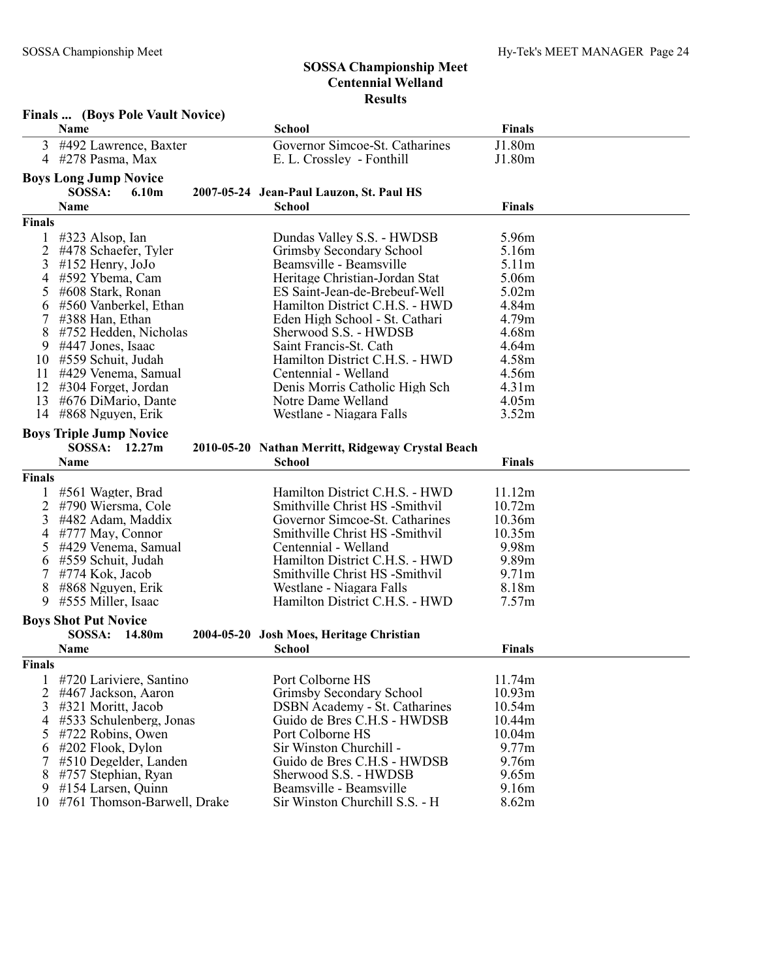|               | Finals  (Boys Pole Vault Novice)       |                                                           |                   |  |
|---------------|----------------------------------------|-----------------------------------------------------------|-------------------|--|
|               | <b>Name</b>                            | School                                                    | <b>Finals</b>     |  |
| 3             | #492 Lawrence, Baxter                  | Governor Simcoe-St. Catharines                            | J1.80m            |  |
| 4             | #278 Pasma, Max                        | E. L. Crossley - Fonthill                                 | J1.80m            |  |
|               | <b>Boys Long Jump Novice</b>           |                                                           |                   |  |
|               | SOSSA:<br>6.10m                        | 2007-05-24 Jean-Paul Lauzon, St. Paul HS                  |                   |  |
|               | <b>Name</b>                            | <b>School</b>                                             | <b>Finals</b>     |  |
| <b>Finals</b> |                                        |                                                           |                   |  |
|               |                                        |                                                           |                   |  |
|               | #323 Alsop, Ian                        | Dundas Valley S.S. - HWDSB                                | 5.96m             |  |
| 2             | #478 Schaefer, Tyler                   | Grimsby Secondary School                                  | 5.16m             |  |
| 3             | $\#152$ Henry, JoJo<br>#592 Ybema, Cam | Beamsville - Beamsville<br>Heritage Christian-Jordan Stat | 5.11m<br>5.06m    |  |
| 4             | #608 Stark, Ronan                      | ES Saint-Jean-de-Brebeuf-Well                             | 5.02m             |  |
| 5             | #560 Vanberkel, Ethan                  | Hamilton District C.H.S. - HWD                            | 4.84m             |  |
| 6<br>7        | #388 Han, Ethan                        | Eden High School - St. Cathari                            | 4.79 <sub>m</sub> |  |
| 8             | #752 Hedden, Nicholas                  | Sherwood S.S. - HWDSB                                     | 4.68m             |  |
| 9             | #447 Jones, Isaac                      | Saint Francis-St. Cath                                    | 4.64m             |  |
| 10            | #559 Schuit, Judah                     | Hamilton District C.H.S. - HWD                            | 4.58m             |  |
| 11            | #429 Venema, Samual                    | Centennial - Welland                                      | 4.56m             |  |
| 12            | #304 Forget, Jordan                    | Denis Morris Catholic High Sch                            | 4.31 <sub>m</sub> |  |
| 13            | #676 DiMario, Dante                    | Notre Dame Welland                                        | 4.05m             |  |
| 14            | #868 Nguyen, Erik                      | Westlane - Niagara Falls                                  | 3.52m             |  |
|               |                                        |                                                           |                   |  |
|               | <b>Boys Triple Jump Novice</b>         |                                                           |                   |  |
|               | SOSSA:<br>12.27m                       | 2010-05-20 Nathan Merritt, Ridgeway Crystal Beach         |                   |  |
|               | Name                                   | <b>School</b>                                             | <b>Finals</b>     |  |
| <b>Finals</b> |                                        |                                                           |                   |  |
|               | #561 Wagter, Brad                      | Hamilton District C.H.S. - HWD                            | 11.12m            |  |
| 2             | #790 Wiersma, Cole                     | Smithville Christ HS -Smithvil                            | 10.72m            |  |
| 3             | #482 Adam, Maddix                      | Governor Simcoe-St. Catharines                            | 10.36m            |  |
| 4             | #777 May, Connor                       | Smithville Christ HS -Smithvil                            | 10.35m            |  |
|               | #429 Venema, Samual                    | Centennial - Welland                                      | 9.98m             |  |
| 6             | #559 Schuit, Judah                     | Hamilton District C.H.S. - HWD                            | 9.89m             |  |
| 7             | #774 Kok, Jacob                        | Smithville Christ HS -Smithvil                            | 9.71 <sub>m</sub> |  |
| 8             | #868 Nguyen, Erik                      | Westlane - Niagara Falls                                  | 8.18m             |  |
| 9             | #555 Miller, Isaac                     | Hamilton District C.H.S. - HWD                            | 7.57m             |  |
|               | <b>Boys Shot Put Novice</b>            |                                                           |                   |  |
|               | SOSSA:<br>14.80m                       | 2004-05-20 Josh Moes, Heritage Christian                  |                   |  |
|               | <b>Name</b>                            | <b>School</b>                                             | <b>Finals</b>     |  |
| <b>Finals</b> |                                        |                                                           |                   |  |
| 1             | #720 Lariviere, Santino                | Port Colborne HS                                          | 11.74m            |  |
| 2             | #467 Jackson, Aaron                    | Grimsby Secondary School                                  | 10.93m            |  |
| 3             | #321 Moritt, Jacob                     | <b>DSBN</b> Academy - St. Catharines                      | 10.54m            |  |
| 4             | #533 Schulenberg, Jonas                | Guido de Bres C.H.S - HWDSB                               | 10.44m            |  |
| 5             | #722 Robins, Owen                      | Port Colborne HS                                          | 10.04m            |  |
| 6             | $\#202$ Flook, Dylon                   | Sir Winston Churchill -                                   | 9.77m             |  |
| 7             | #510 Degelder, Landen                  | Guido de Bres C.H.S - HWDSB                               | 9.76m             |  |
| 8             | #757 Stephian, Ryan                    | Sherwood S.S. - HWDSB                                     | 9.65m             |  |
| 9             | #154 Larsen, Quinn                     | Beamsville - Beamsville                                   | 9.16m             |  |
| 10            | #761 Thomson-Barwell, Drake            | Sir Winston Churchill S.S. - H                            | 8.62m             |  |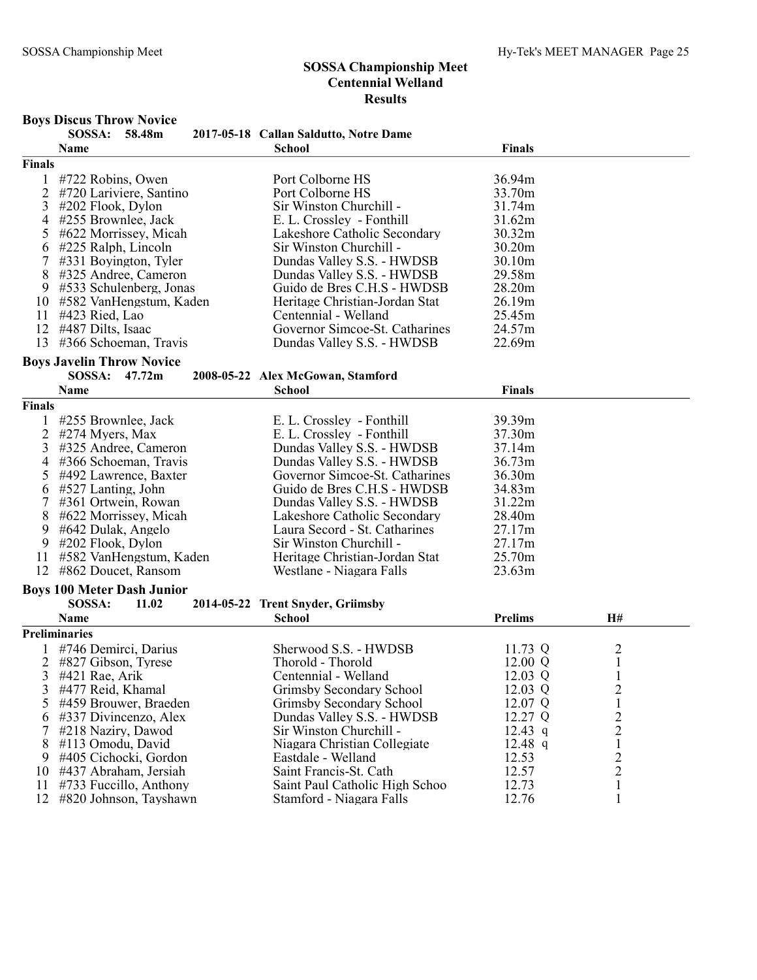## Boys Discus Throw Novice

|                | SOSSA: 58.48m                     | 2017-05-18 Callan Saldutto, Notre Dame |                   |                         |
|----------------|-----------------------------------|----------------------------------------|-------------------|-------------------------|
|                | Name                              | <b>School</b>                          | <b>Finals</b>     |                         |
| Finals         |                                   |                                        |                   |                         |
| 1              | #722 Robins, Owen                 | Port Colborne HS                       | 36.94m            |                         |
| 2              | #720 Lariviere, Santino           | Port Colborne HS                       | 33.70m            |                         |
| 3              | $\#202$ Flook, Dylon              | Sir Winston Churchill -                | 31.74m            |                         |
| 4              | #255 Brownlee, Jack               | E. L. Crossley - Fonthill              | 31.62m            |                         |
| 5              | #622 Morrissey, Micah             | Lakeshore Catholic Secondary           | 30.32m            |                         |
| 6              | #225 Ralph, Lincoln               | Sir Winston Churchill -                | 30.20m            |                         |
| 7              | $\#331$ Boyington, Tyler          | Dundas Valley S.S. - HWDSB             | 30.10m            |                         |
| 8              | #325 Andree, Cameron              | Dundas Valley S.S. - HWDSB             | 29.58m            |                         |
| 9              | #533 Schulenberg, Jonas           | Guido de Bres C.H.S - HWDSB            | 28.20m            |                         |
| 10             | #582 VanHengstum, Kaden           | Heritage Christian-Jordan Stat         | 26.19m            |                         |
| 11             | #423 Ried, Lao                    | Centennial - Welland                   | 25.45m            |                         |
| 12             | #487 Dilts, Isaac                 | Governor Simcoe-St. Catharines         | 24.57m            |                         |
| 13             | #366 Schoeman, Travis             | Dundas Valley S.S. - HWDSB             | 22.69m            |                         |
|                | <b>Boys Javelin Throw Novice</b>  |                                        |                   |                         |
|                | SOSSA: 47.72m                     | 2008-05-22 Alex McGowan, Stamford      |                   |                         |
|                | Name                              | <b>School</b>                          | <b>Finals</b>     |                         |
| <b>Finals</b>  |                                   |                                        |                   |                         |
|                | #255 Brownlee, Jack               | E. L. Crossley - Fonthill              | 39.39m            |                         |
| $\overline{2}$ | #274 Myers, Max                   | E. L. Crossley - Fonthill              | 37.30m            |                         |
| 3              | #325 Andree, Cameron              | Dundas Valley S.S. - HWDSB             | 37.14m            |                         |
| 4              | #366 Schoeman, Travis             | Dundas Valley S.S. - HWDSB             | 36.73m            |                         |
| 5              | #492 Lawrence, Baxter             | Governor Simcoe-St. Catharines         | 36.30m            |                         |
| 6              | #527 Lanting, John                | Guido de Bres C.H.S - HWDSB            | 34.83m            |                         |
| 7              | #361 Ortwein, Rowan               | Dundas Valley S.S. - HWDSB             | 31.22m            |                         |
| 8              | #622 Morrissey, Micah             | Lakeshore Catholic Secondary           | 28.40m            |                         |
| 9              | #642 Dulak, Angelo                | Laura Secord - St. Catharines          | 27.17m            |                         |
| 9              | #202 Flook, Dylon                 | Sir Winston Churchill -                | 27.17m            |                         |
| 11             | #582 VanHengstum, Kaden           | Heritage Christian-Jordan Stat         | 25.70m            |                         |
| 12             | #862 Doucet, Ransom               | Westlane - Niagara Falls               | 23.63m            |                         |
|                | <b>Boys 100 Meter Dash Junior</b> |                                        |                   |                         |
|                | SOSSA:<br>11.02                   | 2014-05-22 Trent Snyder, Griimsby      |                   |                         |
|                | Name                              | <b>School</b>                          | <b>Prelims</b>    | H#                      |
|                | <b>Preliminaries</b>              |                                        |                   |                         |
|                | 1 #746 Demirci, Darius            | Sherwood S.S. - HWDSB                  | 11.73 Q           | $\overline{c}$          |
|                | 2 #827 Gibson, Tyrese             | Thorold - Thorold                      | 12.00 $Q$         | $\mathbf{1}$            |
| 3              | #421 Rae, Arik                    | Centennial - Welland                   | 12.03 Q           |                         |
| 3              | #477 Reid, Khamal                 | Grimsby Secondary School               | $12.03 \text{ Q}$ | $\overline{\mathbf{c}}$ |
| 5              | #459 Brouwer, Braeden             | Grimsby Secondary School               | 12.07 Q           |                         |
| 6              | #337 Divincenzo, Alex             | Dundas Valley S.S. - HWDSB             | 12.27 Q           |                         |
|                | #218 Naziry, Dawod                | Sir Winston Churchill -                | $12.43$ q         | $\frac{2}{2}$           |
| 8              | #113 Omodu, David                 | Niagara Christian Collegiate           | 12.48 $q$         | 1                       |
| 9              | #405 Cichocki, Gordon             | Eastdale - Welland                     | 12.53             | $\overline{c}$          |
| 10             | #437 Abraham, Jersiah             | Saint Francis-St. Cath                 | 12.57             | 2                       |
| 11             | #733 Fuccillo, Anthony            | Saint Paul Catholic High Schoo         | 12.73             | 1                       |
| 12             | #820 Johnson, Tayshawn            | Stamford - Niagara Falls               | 12.76             | 1                       |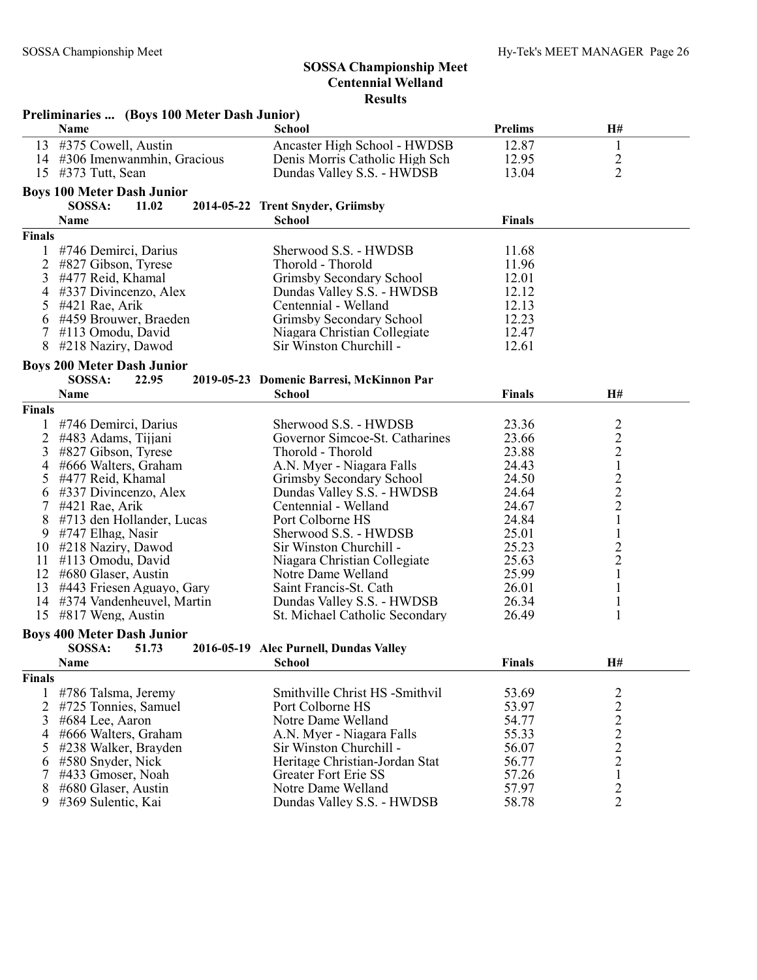|               | Preliminaries  (Boys 100 Meter Dash Junior) |                                          |                |                                            |
|---------------|---------------------------------------------|------------------------------------------|----------------|--------------------------------------------|
|               | Name                                        | School                                   | <b>Prelims</b> | H#                                         |
| 13            | #375 Cowell, Austin                         | Ancaster High School - HWDSB             | 12.87          | $\mathbf{1}$                               |
| 14            | #306 Imenwanmhin, Gracious                  | Denis Morris Catholic High Sch           | 12.95          | $\overline{2}$                             |
| 15            | #373 Tutt, Sean                             | Dundas Valley S.S. - HWDSB               | 13.04          | $\overline{2}$                             |
|               | <b>Boys 100 Meter Dash Junior</b>           |                                          |                |                                            |
|               | SOSSA:<br>11.02                             | 2014-05-22 Trent Snyder, Griimsby        |                |                                            |
|               | Name                                        | <b>School</b>                            | <b>Finals</b>  |                                            |
| <b>Finals</b> |                                             |                                          |                |                                            |
| 1             | #746 Demirci, Darius                        | Sherwood S.S. - HWDSB                    | 11.68          |                                            |
| 2             | #827 Gibson, Tyrese                         | Thorold - Thorold                        | 11.96          |                                            |
| 3             | #477 Reid, Khamal                           | Grimsby Secondary School                 | 12.01          |                                            |
| 4             | #337 Divincenzo, Alex                       | Dundas Valley S.S. - HWDSB               | 12.12          |                                            |
|               | #421 Rae, Arik                              | Centennial - Welland                     | 12.13          |                                            |
| 5             | #459 Brouwer, Braeden                       | Grimsby Secondary School                 | 12.23          |                                            |
| 6<br>7        | #113 Omodu, David                           | Niagara Christian Collegiate             | 12.47          |                                            |
| 8             | #218 Naziry, Dawod                          | Sir Winston Churchill -                  | 12.61          |                                            |
|               |                                             |                                          |                |                                            |
|               | <b>Boys 200 Meter Dash Junior</b>           |                                          |                |                                            |
|               | SOSSA:<br>22.95                             | 2019-05-23 Domenic Barresi, McKinnon Par |                |                                            |
|               | Name                                        | <b>School</b>                            | <b>Finals</b>  | H#                                         |
| <b>Finals</b> |                                             |                                          |                |                                            |
| 1             | #746 Demirci, Darius                        | Sherwood S.S. - HWDSB                    | 23.36          | $\overline{2}$                             |
| 2             | #483 Adams, Tijjani                         | Governor Simcoe-St. Catharines           | 23.66          |                                            |
| 3             | #827 Gibson, Tyrese                         | Thorold - Thorold                        | 23.88          | $\begin{array}{c} 2 \\ 2 \\ 1 \end{array}$ |
| 4             | #666 Walters, Graham                        | A.N. Myer - Niagara Falls                | 24.43          |                                            |
| 5             | #477 Reid, Khamal                           | Grimsby Secondary School                 | 24.50          | $\frac{2}{2}$                              |
| 6             | #337 Divincenzo, Alex                       | Dundas Valley S.S. - HWDSB               | 24.64          |                                            |
| 7             | #421 Rae, Arik                              | Centennial - Welland                     | 24.67          |                                            |
| 8             | #713 den Hollander, Lucas                   | Port Colborne HS                         | 24.84          | $\,1$                                      |
| 9             | #747 Elhag, Nasir                           | Sherwood S.S. - HWDSB                    | 25.01          | $\mathbf{1}$                               |
| 10            | #218 Naziry, Dawod                          | Sir Winston Churchill -                  | 25.23          | $\overline{c}$                             |
| 11            | #113 Omodu, David                           | Niagara Christian Collegiate             | 25.63          | $\frac{2}{1}$                              |
| 12            | #680 Glaser, Austin                         | Notre Dame Welland                       | 25.99          |                                            |
| 13            | #443 Friesen Aguayo, Gary                   | Saint Francis-St. Cath                   | 26.01          | $\mathbf{1}$                               |
| 14            | #374 Vandenheuvel, Martin                   | Dundas Valley S.S. - HWDSB               | 26.34          | $\mathbf{1}$                               |
| 15            | $\#817$ Weng, Austin                        | St. Michael Catholic Secondary           | 26.49          | 1                                          |
|               | <b>Boys 400 Meter Dash Junior</b>           |                                          |                |                                            |
|               | SOSSA:<br>51.73                             | 2016-05-19 Alec Purnell, Dundas Valley   |                |                                            |
|               | Name                                        | School                                   | <b>Finals</b>  | H#                                         |
| Finals        |                                             |                                          |                |                                            |
| 1             | #786 Talsma, Jeremy                         | Smithville Christ HS -Smithvil           | 53.69          |                                            |
| 2             | #725 Tonnies, Samuel                        | Port Colborne HS                         | 53.97          |                                            |
| 3             | #684 Lee, Aaron                             | Notre Dame Welland                       | 54.77          |                                            |
| 4             | #666 Walters, Graham                        | A.N. Myer - Niagara Falls                | 55.33          |                                            |
| 5             | #238 Walker, Brayden                        | Sir Winston Churchill -                  | 56.07          | $\frac{2}{2}$<br>$\frac{2}{2}$             |
| 6             | #580 Snyder, Nick                           | Heritage Christian-Jordan Stat           | 56.77          | $\overline{c}$                             |
| 7             | #433 Gmoser, Noah                           | <b>Greater Fort Erie SS</b>              | 57.26          | $\mathbf{1}$                               |
| 8             | #680 Glaser, Austin                         | Notre Dame Welland                       | 57.97          | $\overline{2}$                             |
| 9             | #369 Sulentic, Kai                          | Dundas Valley S.S. - HWDSB               | 58.78          | $\overline{2}$                             |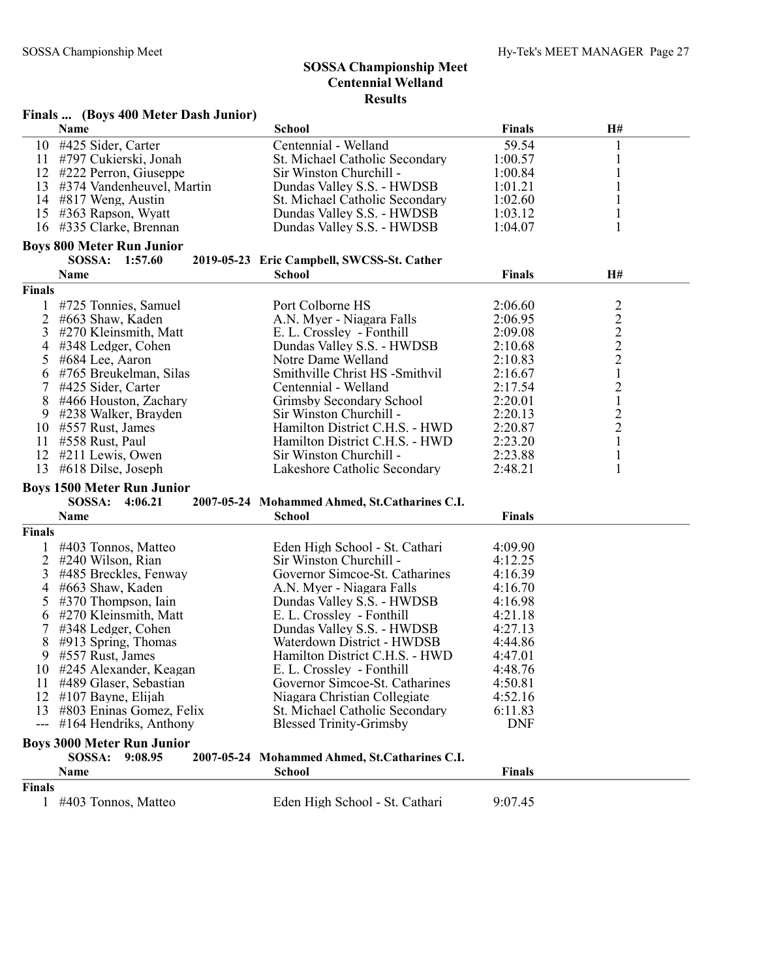|                     | Finals  (Boys 400 Meter Dash Junior) |                                               |               |                 |
|---------------------|--------------------------------------|-----------------------------------------------|---------------|-----------------|
|                     | Name                                 | <b>School</b>                                 | <b>Finals</b> | H#              |
| 10                  | #425 Sider, Carter                   | Centennial - Welland                          | 59.54         | 1               |
| 11                  | #797 Cukierski, Jonah                | St. Michael Catholic Secondary                | 1:00.57       | 1               |
| 12                  | #222 Perron, Giuseppe                | Sir Winston Churchill -                       | 1:00.84       | 1               |
| 13                  | #374 Vandenheuvel, Martin            | Dundas Valley S.S. - HWDSB                    | 1:01.21       |                 |
|                     | 14 #817 Weng, Austin                 | St. Michael Catholic Secondary                | 1:02.60       | 1               |
| 15                  | #363 Rapson, Wyatt                   | Dundas Valley S.S. - HWDSB                    | 1:03.12       |                 |
| 16                  | #335 Clarke, Brennan                 | Dundas Valley S.S. - HWDSB                    | 1:04.07       | 1               |
|                     | <b>Boys 800 Meter Run Junior</b>     |                                               |               |                 |
|                     | SOSSA: 1:57.60                       | 2019-05-23 Eric Campbell, SWCSS-St. Cather    |               |                 |
|                     | Name                                 | <b>School</b>                                 | Finals        | H#              |
| Finals              |                                      |                                               |               |                 |
|                     | #725 Tonnies, Samuel                 | Port Colborne HS                              | 2:06.60       | $\overline{c}$  |
| 2                   | #663 Shaw, Kaden                     | A.N. Myer - Niagara Falls                     | 2:06.95       |                 |
| 3                   | #270 Kleinsmith, Matt                | E. L. Crossley - Fonthill                     | 2:09.08       | $2222$<br>$221$ |
| 4                   | #348 Ledger, Cohen                   | Dundas Valley S.S. - HWDSB                    | 2:10.68       |                 |
| 5                   | #684 Lee, Aaron                      | Notre Dame Welland                            | 2:10.83       |                 |
| 6                   | #765 Breukelman, Silas               | Smithville Christ HS -Smithvil                | 2:16.67       |                 |
| 7                   | #425 Sider, Carter                   | Centennial - Welland                          | 2:17.54       | $\overline{c}$  |
| 8                   | #466 Houston, Zachary                | Grimsby Secondary School                      | 2:20.01       | $\,1$           |
| 9                   | #238 Walker, Brayden                 | Sir Winston Churchill -                       | 2:20.13       | $\overline{c}$  |
|                     | #557 Rust, James                     | Hamilton District C.H.S. - HWD                | 2:20.87       | $\overline{2}$  |
| 10<br>11            |                                      | Hamilton District C.H.S. - HWD                | 2:23.20       | $\mathbf{1}$    |
| 12                  | #558 Rust, Paul                      | Sir Winston Churchill -                       |               |                 |
| 13                  | #211 Lewis, Owen                     |                                               | 2:23.88       | $\mathbf{1}$    |
|                     | #618 Dilse, Joseph                   | Lakeshore Catholic Secondary                  | 2:48.21       | 1               |
|                     | <b>Boys 1500 Meter Run Junior</b>    |                                               |               |                 |
|                     | <b>SOSSA:</b><br>4:06.21             | 2007-05-24 Mohammed Ahmed, St.Catharines C.I. |               |                 |
|                     | Name                                 | <b>School</b>                                 | <b>Finals</b> |                 |
| <b>Finals</b>       |                                      |                                               |               |                 |
|                     | #403 Tonnos, Matteo                  | Eden High School - St. Cathari                | 4:09.90       |                 |
| 2                   | #240 Wilson, Rian                    | Sir Winston Churchill -                       | 4:12.25       |                 |
| 3                   | #485 Breckles, Fenway                | Governor Simcoe-St. Catharines                | 4:16.39       |                 |
| 4                   | #663 Shaw, Kaden                     | A.N. Myer - Niagara Falls                     | 4:16.70       |                 |
| 5                   | $\#370$ Thompson, Iain               | Dundas Valley S.S. - HWDSB                    | 4:16.98       |                 |
| 6                   | #270 Kleinsmith, Matt                | E. L. Crossley - Fonthill                     | 4:21.18       |                 |
| 7                   | #348 Ledger, Cohen                   | Dundas Valley S.S. - HWDSB                    | 4:27.13       |                 |
| 8                   | $\#913$ Spring, Thomas               | Waterdown District - HWDSB                    | 4:44.86       |                 |
| 9                   | #557 Rust, James                     | Hamilton District C.H.S. - HWD                | 4:47.01       |                 |
| 10.                 | #245 Alexander, Keagan               | E. L. Crossley - Fonthill                     | 4:48.76       |                 |
| 11                  | #489 Glaser, Sebastian               | Governor Simcoe-St. Catharines                | 4:50.81       |                 |
| 12                  | $\#107$ Bayne, Elijah                | Niagara Christian Collegiate                  | 4:52.16       |                 |
| 13                  | #803 Eninas Gomez, Felix             | St. Michael Catholic Secondary                | 6:11.83       |                 |
| $\qquad \qquad - -$ | $\#164$ Hendriks, Anthony            | <b>Blessed Trinity-Grimsby</b>                | <b>DNF</b>    |                 |
|                     | <b>Boys 3000 Meter Run Junior</b>    |                                               |               |                 |
|                     | SOSSA:<br>9:08.95                    | 2007-05-24 Mohammed Ahmed, St.Catharines C.I. |               |                 |
|                     | Name                                 | <b>School</b>                                 | <b>Finals</b> |                 |
| Finals              |                                      |                                               |               |                 |
|                     | 1 #403 Tonnos, Matteo                | Eden High School - St. Cathari                | 9:07.45       |                 |
|                     |                                      |                                               |               |                 |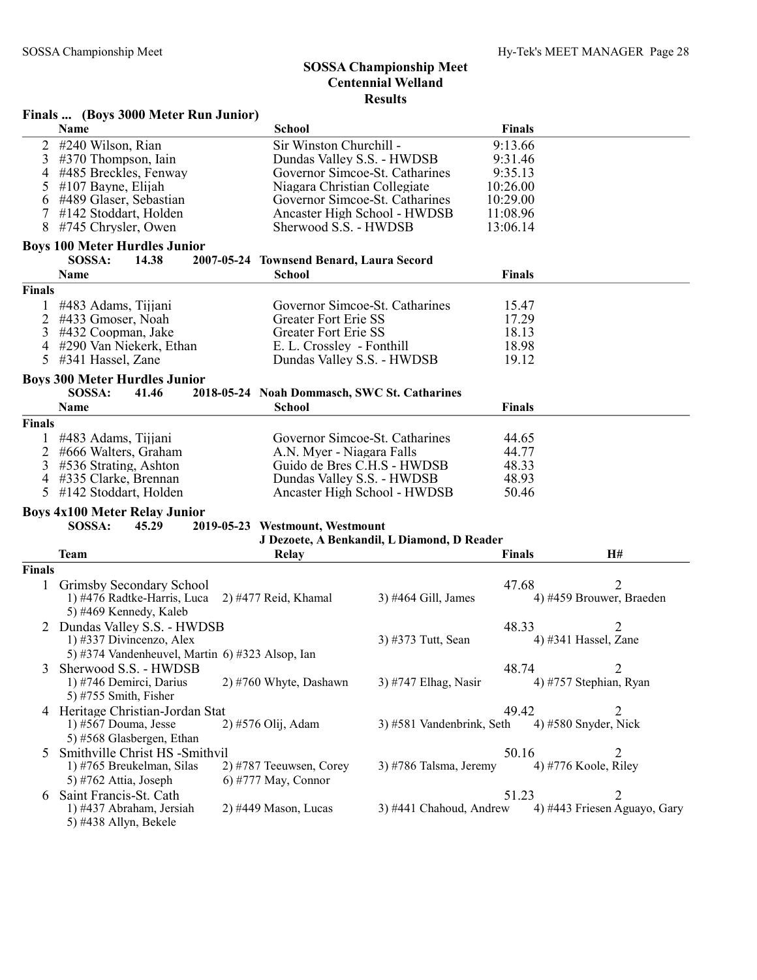#### Finals ... (Boys 3000 Meter Run Junior) Name School Finals 2 #240 Wilson, Rian Sir Winston Churchill - 9:13.66<br>
3 #370 Thompson, Iain Dundas Valley S.S. - HWDSB 9:31.46 3 #370 Thompson, Iain Dundas Valley S.S. - HWDSB 4 #485 Breckles, Fenway Governor Simcoe-St. Catharines 9:35.13 5 #107 Bayne, Elijah Niagara Christian Collegiate 10:26.00 6 #489 Glaser, Sebastian Governor Simcoe-St. Catharines 10:29.00 Ancaster High School - HWDSB<br>Sherwood S.S. - HWDSB 8 #745 Chrysler, Owen Sherwood S.S. - HWDSB 13:06.14 Boys 100 Meter Hurdles Junior SOSSA: 14.38 2007-05-24 Townsend Benard, Laura Secord Name **School** School **Finals** Finals 1 #483 Adams, Tijjani Governor Simcoe-St. Catharines 15.47 4433 Gmoser, Noah Greater Fort Erie SS<br>4432 Coopman. Jake Greater Fort Erie SS 3 #432 Coopman, Jake Greater Fort Erie SS 18.13 4 #290 Van Niekerk, Ethan E. L. Crossley - Fonthill 18.98<br>5 #341 Hassel, Zane Dundas Valley S.S. - HWDSB 19.12 Dundas Valley S.S. - HWDSB Boys 300 Meter Hurdles Junior SOSSA: 41.46 2018-05-24 Noah Dommasch, SWC St. Catharines Name School Finals Finals 1 #483 Adams, Tijjani Governor Simcoe-St. Catharines 44.65 2 #666 Walters, Graham A.N. Myer - Niagara Falls 44.77<br>2 #536 Strating, Ashton Guido de Bres C.H.S - HWDSB 48.33 3 #536 Strating, Ashton Guido de Bres C.H.S - HWDSB<br>4 #335 Clarke. Brennan Dundas Valley S.S. - HWDSB Dundas Valley S.S. - HWDSB 48.93 5 #142 Stoddart, Holden Ancaster High School - HWDSB 50.46 Boys 4x100 Meter Relay Junior SOSSA: 45.29 2019-05-23 Westmount, Westmount J Dezoete, A Benkandil, L Diamond, D Reader Team Relay Finals H# Finals 1 Grimsby Secondary School (and School and School 47.68 2) 4476 Radtke-Harris, Luca 2) 4477 Reid, Khamal (b) 4464 Gill, James (c) 4459 Brouwer, Braeden 1) #476 Radtke-Harris, Luca 5) #469 Kennedy, Kaleb 2 Dundas Valley S.S. - HWDSB 48.33 2<br>
1) #337 Divincenzo, Alex 3) #373 Tutt, Sean 4) #341 Hassel, Zane 1) #337 Divincenzo, Alex 5) #374 Vandenheuvel, Martin 6) #323 Alsop, Ian 3 Sherwood S.S. - HWDSB 48.74 2<br>
1) #746 Demirci, Darius 2) #760 Whyte, Dashawn 3) #747 Elhag, Nasir 4) #757 Stephian, Ryan 2) #760 Whyte, Dashawn  $3$ ) #747 Elhag, Nasir 5) #755 Smith, Fisher 4 Heritage Christian-Jordan Stat 49.42 2<br>
1) #567 Douma, Jesse 2) #576 Olij, Adam 3) #581 Vandenbrink, Seth 4) #580 Snyder, Nick 3) #581 Vandenbrink, Seth 5) #568 Glasbergen, Ethan 5 Smithville Christ HS -Smithvil<br>
1) #765 Breukelman, Silas 2) #787 Teeuwsen, Corey 3) #786 Talsma, Jeremy 4) #776 Koole, Riley 1) #765 Breukelman, Silas  $2)$  #787 Teeuwsen, Corey  $3)$  #786 Talsma, Jeremy 5) #762 Attia, Joseph 6) #777 May, Connor 6 Saint Francis-St. Cath 51.23 2 4) #443 Friesen Aguayo, Gary 5) #438 Allyn, Bekele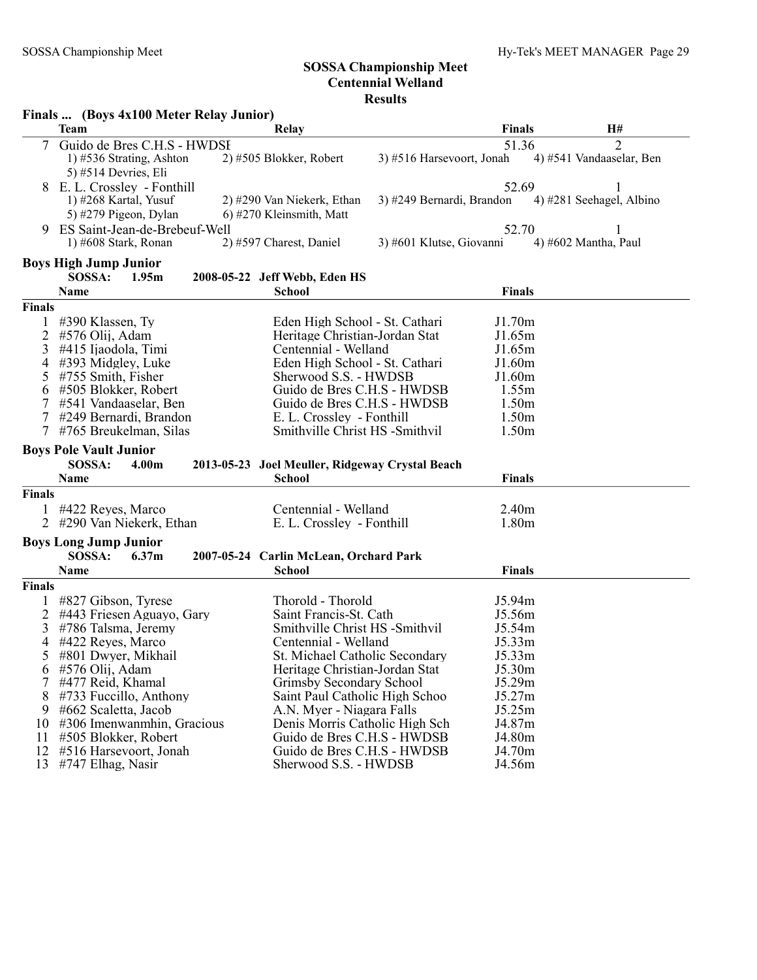|               | Finals  (Boys 4x100 Meter Relay Junior)         |                                                            |                           |                          |
|---------------|-------------------------------------------------|------------------------------------------------------------|---------------------------|--------------------------|
|               | <b>Team</b>                                     | Relay                                                      | <b>Finals</b>             | H#                       |
|               | Guido de Bres C.H.S - HWDSI                     |                                                            | 51.36                     | 2                        |
|               | 1) #536 Strating, Ashton                        | 2) #505 Blokker, Robert                                    | 3) #516 Harsevoort, Jonah | 4) #541 Vandaaselar, Ben |
|               | 5) #514 Devries, Eli                            |                                                            |                           |                          |
| 8             | E. L. Crossley - Fonthill                       |                                                            | 52.69                     |                          |
|               | 1) $\#268$ Kartal, Yusuf                        | 2) #290 Van Niekerk, Ethan                                 | 3) #249 Bernardi, Brandon | 4) #281 Seehagel, Albino |
|               | 5) #279 Pigeon, Dylan                           | 6) #270 Kleinsmith, Matt                                   |                           |                          |
| 9             | ES Saint-Jean-de-Brebeuf-Well                   |                                                            | 52.70                     |                          |
|               | 1) #608 Stark, Ronan                            | 2) #597 Charest, Daniel                                    | 3) #601 Klutse, Giovanni  | 4) #602 Mantha, Paul     |
|               | <b>Boys High Jump Junior</b>                    |                                                            |                           |                          |
|               | SOSSA:<br>1.95m                                 | 2008-05-22 Jeff Webb, Eden HS                              |                           |                          |
|               | <b>Name</b>                                     | <b>School</b>                                              | <b>Finals</b>             |                          |
| <b>Finals</b> |                                                 |                                                            |                           |                          |
|               | #390 Klassen, Ty                                | Eden High School - St. Cathari                             | J1.70m                    |                          |
| 2             | #576 Olij, Adam                                 | Heritage Christian-Jordan Stat                             | J1.65m                    |                          |
| 3             | #415 Ijaodola, Timi                             | Centennial - Welland                                       | J1.65m                    |                          |
| 4             | #393 Midgley, Luke                              | Eden High School - St. Cathari                             | J1.60m                    |                          |
| 5             | #755 Smith, Fisher                              | Sherwood S.S. - HWDSB                                      | J1.60m                    |                          |
| 6             | #505 Blokker, Robert                            | Guido de Bres C.H.S - HWDSB                                | 1.55m                     |                          |
| 7             | #541 Vandaaselar, Ben                           | Guido de Bres C.H.S - HWDSB                                | 1.50 <sub>m</sub>         |                          |
|               | #249 Bernardi, Brandon                          | E. L. Crossley - Fonthill                                  | 1.50m                     |                          |
|               | #765 Breukelman, Silas                          | Smithville Christ HS -Smithvil                             | 1.50m                     |                          |
|               | <b>Boys Pole Vault Junior</b>                   |                                                            |                           |                          |
|               | SOSSA:<br>4.00m                                 | 2013-05-23 Joel Meuller, Ridgeway Crystal Beach            |                           |                          |
|               | <b>Name</b>                                     | <b>School</b>                                              | <b>Finals</b>             |                          |
| <b>Finals</b> |                                                 |                                                            |                           |                          |
|               | #422 Reyes, Marco                               | Centennial - Welland                                       | 2.40 <sub>m</sub>         |                          |
|               | 2 #290 Van Niekerk, Ethan                       | E. L. Crossley - Fonthill                                  | 1.80m                     |                          |
|               |                                                 |                                                            |                           |                          |
|               | <b>Boys Long Jump Junior</b><br>SOSSA:<br>6.37m | 2007-05-24 Carlin McLean, Orchard Park                     |                           |                          |
|               | <b>Name</b>                                     | <b>School</b>                                              |                           |                          |
|               |                                                 |                                                            |                           |                          |
|               |                                                 |                                                            | <b>Finals</b>             |                          |
| <b>Finals</b> |                                                 |                                                            |                           |                          |
|               | #827 Gibson, Tyrese                             | Thorold - Thorold                                          | J5.94m                    |                          |
| 2             | #443 Friesen Aguayo, Gary                       | Saint Francis-St. Cath                                     | J5.56m                    |                          |
| 3             | #786 Talsma, Jeremy                             | Smithville Christ HS -Smithvil                             | J5.54m                    |                          |
| 4             | #422 Reyes, Marco                               | Centennial - Welland                                       | J5.33m                    |                          |
| 5             | #801 Dwyer, Mikhail                             | St. Michael Catholic Secondary                             | J5.33m                    |                          |
| 6             | #576 Olij, Adam                                 | Heritage Christian-Jordan Stat                             | J5.30m                    |                          |
| 7             | #477 Reid, Khamal                               | Grimsby Secondary School                                   | J5.29m                    |                          |
| 8             | #733 Fuccillo, Anthony                          | Saint Paul Catholic High Schoo                             | J5.27m                    |                          |
| 9             | #662 Scaletta, Jacob                            | A.N. Myer - Niagara Falls                                  | J5.25m                    |                          |
| 10            | #306 Imenwanmhin, Gracious                      | Denis Morris Catholic High Sch                             | J4.87m                    |                          |
| 11<br>12      | #505 Blokker, Robert<br>#516 Harsevoort, Jonah  | Guido de Bres C.H.S - HWDSB<br>Guido de Bres C.H.S - HWDSB | J4.80m<br>J4.70m          |                          |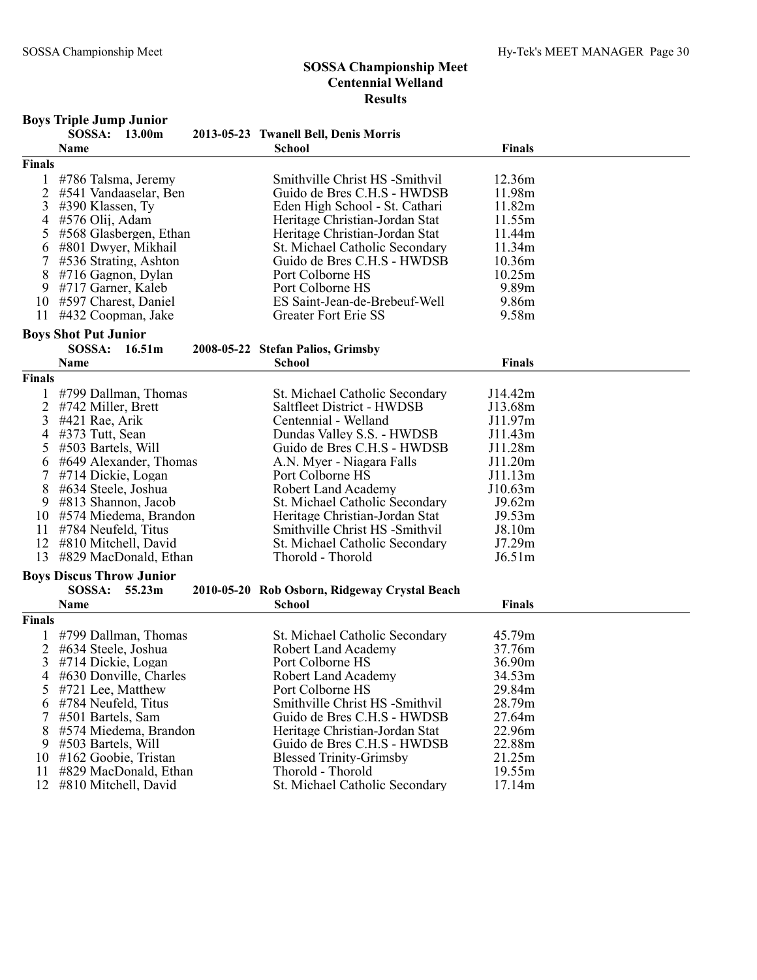| 2013-05-23 Twanell Bell, Denis Morris<br><b>School</b><br><b>Finals</b><br>Name<br>Finals<br>Smithville Christ HS -Smithvil<br>1<br>#786 Talsma, Jeremy<br>12.36m<br>2<br>#541 Vandaaselar, Ben<br>Guido de Bres C.H.S - HWDSB<br>11.98m<br>3<br>#390 Klassen, Ty<br>Eden High School - St. Cathari<br>11.82m<br>#576 Olij, Adam<br>11.55m<br>4<br>Heritage Christian-Jordan Stat<br>5<br>#568 Glasbergen, Ethan<br>Heritage Christian-Jordan Stat<br>11.44m<br>#801 Dwyer, Mikhail<br>St. Michael Catholic Secondary<br>11.34m<br>6<br>7<br>Guido de Bres C.H.S - HWDSB<br>#536 Strating, Ashton<br>10.36m<br>8<br>#716 Gagnon, Dylan<br>Port Colborne HS<br>10.25m<br>Port Colborne HS<br>9.89m<br>9<br>#717 Garner, Kaleb<br>ES Saint-Jean-de-Brebeuf-Well<br>9.86m<br>10 #597 Charest, Daniel<br>9.58m<br>11<br>#432 Coopman, Jake<br><b>Greater Fort Erie SS</b><br><b>Boys Shot Put Junior</b><br>SOSSA: 16.51m<br>2008-05-22 Stefan Palios, Grimsby<br><b>Finals</b><br><b>Name</b><br>School<br>Finals<br>#799 Dallman, Thomas<br>St. Michael Catholic Secondary<br>J14.42m<br>1<br>Saltfleet District - HWDSB<br>2<br>J13.68m<br>#742 Miller, Brett<br>Centennial - Welland<br>3<br>#421 Rae, Arik<br>J11.97m<br>$\overline{4}$<br>J11.43m<br>#373 Tutt, Sean<br>Dundas Valley S.S. - HWDSB<br>Guido de Bres C.H.S - HWDSB<br>J11.28m<br>5<br>#503 Bartels, Will<br>J11.20m<br>#649 Alexander, Thomas<br>A.N. Myer - Niagara Falls<br>6<br>7<br>J11.13m<br>#714 Dickie, Logan<br>Port Colborne HS<br>8<br>#634 Steele, Joshua<br><b>Robert Land Academy</b><br>J10.63m<br>9<br>#813 Shannon, Jacob<br>St. Michael Catholic Secondary<br>J9.62m<br>10 #574 Miedema, Brandon<br>J9.53m<br>Heritage Christian-Jordan Stat<br>#784 Neufeld, Titus<br>Smithville Christ HS -Smithvil<br>J8.10m<br>11<br>J7.29m<br>12 #810 Mitchell, David<br>St. Michael Catholic Secondary<br>13<br>#829 MacDonald, Ethan<br>Thorold - Thorold<br>J6.51m<br><b>Boys Discus Throw Junior</b><br>SOSSA: 55.23m<br>2010-05-20 Rob Osborn, Ridgeway Crystal Beach<br><b>School</b><br><b>Finals</b><br>Name<br>Finals<br>45.79m<br>#799 Dallman, Thomas<br>St. Michael Catholic Secondary<br>$\overline{2}$<br>37.76m<br>#634 Steele, Joshua<br><b>Robert Land Academy</b><br>3 #714 Dickie, Logan<br>36.90m<br>Port Colborne HS<br>#630 Donville, Charles<br>Robert Land Academy<br>34.53m<br>4<br>29.84m<br>#721 Lee, Matthew<br>Port Colborne HS<br>Smithville Christ HS -Smithvil<br>28.79m<br>#784 Neufeld, Titus<br>6<br>Guido de Bres C.H.S - HWDSB<br>27.64m<br>#501 Bartels, Sam<br>22.96m<br>8<br>#574 Miedema, Brandon<br>Heritage Christian-Jordan Stat<br>22.88m<br>#503 Bartels, Will<br>Guido de Bres C.H.S - HWDSB<br>9.<br>#162 Goobie, Tristan<br>21.25m<br><b>Blessed Trinity-Grimsby</b><br>10<br>#829 MacDonald, Ethan<br>Thorold - Thorold<br>19.55m<br>11 |    | <b>Boys Triple Jump Junior</b><br>SOSSA: 13.00m |                                |        |  |
|-------------------------------------------------------------------------------------------------------------------------------------------------------------------------------------------------------------------------------------------------------------------------------------------------------------------------------------------------------------------------------------------------------------------------------------------------------------------------------------------------------------------------------------------------------------------------------------------------------------------------------------------------------------------------------------------------------------------------------------------------------------------------------------------------------------------------------------------------------------------------------------------------------------------------------------------------------------------------------------------------------------------------------------------------------------------------------------------------------------------------------------------------------------------------------------------------------------------------------------------------------------------------------------------------------------------------------------------------------------------------------------------------------------------------------------------------------------------------------------------------------------------------------------------------------------------------------------------------------------------------------------------------------------------------------------------------------------------------------------------------------------------------------------------------------------------------------------------------------------------------------------------------------------------------------------------------------------------------------------------------------------------------------------------------------------------------------------------------------------------------------------------------------------------------------------------------------------------------------------------------------------------------------------------------------------------------------------------------------------------------------------------------------------------------------------------------------------------------------------------------------------------------------------------------------------------------------------------------------------------------------------------------------------------------------------------------------------------------------------------------------------------------------------------------------------------------------------------------------------------|----|-------------------------------------------------|--------------------------------|--------|--|
|                                                                                                                                                                                                                                                                                                                                                                                                                                                                                                                                                                                                                                                                                                                                                                                                                                                                                                                                                                                                                                                                                                                                                                                                                                                                                                                                                                                                                                                                                                                                                                                                                                                                                                                                                                                                                                                                                                                                                                                                                                                                                                                                                                                                                                                                                                                                                                                                                                                                                                                                                                                                                                                                                                                                                                                                                                                                   |    |                                                 |                                |        |  |
|                                                                                                                                                                                                                                                                                                                                                                                                                                                                                                                                                                                                                                                                                                                                                                                                                                                                                                                                                                                                                                                                                                                                                                                                                                                                                                                                                                                                                                                                                                                                                                                                                                                                                                                                                                                                                                                                                                                                                                                                                                                                                                                                                                                                                                                                                                                                                                                                                                                                                                                                                                                                                                                                                                                                                                                                                                                                   |    |                                                 |                                |        |  |
|                                                                                                                                                                                                                                                                                                                                                                                                                                                                                                                                                                                                                                                                                                                                                                                                                                                                                                                                                                                                                                                                                                                                                                                                                                                                                                                                                                                                                                                                                                                                                                                                                                                                                                                                                                                                                                                                                                                                                                                                                                                                                                                                                                                                                                                                                                                                                                                                                                                                                                                                                                                                                                                                                                                                                                                                                                                                   |    |                                                 |                                |        |  |
|                                                                                                                                                                                                                                                                                                                                                                                                                                                                                                                                                                                                                                                                                                                                                                                                                                                                                                                                                                                                                                                                                                                                                                                                                                                                                                                                                                                                                                                                                                                                                                                                                                                                                                                                                                                                                                                                                                                                                                                                                                                                                                                                                                                                                                                                                                                                                                                                                                                                                                                                                                                                                                                                                                                                                                                                                                                                   |    |                                                 |                                |        |  |
|                                                                                                                                                                                                                                                                                                                                                                                                                                                                                                                                                                                                                                                                                                                                                                                                                                                                                                                                                                                                                                                                                                                                                                                                                                                                                                                                                                                                                                                                                                                                                                                                                                                                                                                                                                                                                                                                                                                                                                                                                                                                                                                                                                                                                                                                                                                                                                                                                                                                                                                                                                                                                                                                                                                                                                                                                                                                   |    |                                                 |                                |        |  |
|                                                                                                                                                                                                                                                                                                                                                                                                                                                                                                                                                                                                                                                                                                                                                                                                                                                                                                                                                                                                                                                                                                                                                                                                                                                                                                                                                                                                                                                                                                                                                                                                                                                                                                                                                                                                                                                                                                                                                                                                                                                                                                                                                                                                                                                                                                                                                                                                                                                                                                                                                                                                                                                                                                                                                                                                                                                                   |    |                                                 |                                |        |  |
|                                                                                                                                                                                                                                                                                                                                                                                                                                                                                                                                                                                                                                                                                                                                                                                                                                                                                                                                                                                                                                                                                                                                                                                                                                                                                                                                                                                                                                                                                                                                                                                                                                                                                                                                                                                                                                                                                                                                                                                                                                                                                                                                                                                                                                                                                                                                                                                                                                                                                                                                                                                                                                                                                                                                                                                                                                                                   |    |                                                 |                                |        |  |
|                                                                                                                                                                                                                                                                                                                                                                                                                                                                                                                                                                                                                                                                                                                                                                                                                                                                                                                                                                                                                                                                                                                                                                                                                                                                                                                                                                                                                                                                                                                                                                                                                                                                                                                                                                                                                                                                                                                                                                                                                                                                                                                                                                                                                                                                                                                                                                                                                                                                                                                                                                                                                                                                                                                                                                                                                                                                   |    |                                                 |                                |        |  |
|                                                                                                                                                                                                                                                                                                                                                                                                                                                                                                                                                                                                                                                                                                                                                                                                                                                                                                                                                                                                                                                                                                                                                                                                                                                                                                                                                                                                                                                                                                                                                                                                                                                                                                                                                                                                                                                                                                                                                                                                                                                                                                                                                                                                                                                                                                                                                                                                                                                                                                                                                                                                                                                                                                                                                                                                                                                                   |    |                                                 |                                |        |  |
|                                                                                                                                                                                                                                                                                                                                                                                                                                                                                                                                                                                                                                                                                                                                                                                                                                                                                                                                                                                                                                                                                                                                                                                                                                                                                                                                                                                                                                                                                                                                                                                                                                                                                                                                                                                                                                                                                                                                                                                                                                                                                                                                                                                                                                                                                                                                                                                                                                                                                                                                                                                                                                                                                                                                                                                                                                                                   |    |                                                 |                                |        |  |
|                                                                                                                                                                                                                                                                                                                                                                                                                                                                                                                                                                                                                                                                                                                                                                                                                                                                                                                                                                                                                                                                                                                                                                                                                                                                                                                                                                                                                                                                                                                                                                                                                                                                                                                                                                                                                                                                                                                                                                                                                                                                                                                                                                                                                                                                                                                                                                                                                                                                                                                                                                                                                                                                                                                                                                                                                                                                   |    |                                                 |                                |        |  |
|                                                                                                                                                                                                                                                                                                                                                                                                                                                                                                                                                                                                                                                                                                                                                                                                                                                                                                                                                                                                                                                                                                                                                                                                                                                                                                                                                                                                                                                                                                                                                                                                                                                                                                                                                                                                                                                                                                                                                                                                                                                                                                                                                                                                                                                                                                                                                                                                                                                                                                                                                                                                                                                                                                                                                                                                                                                                   |    |                                                 |                                |        |  |
|                                                                                                                                                                                                                                                                                                                                                                                                                                                                                                                                                                                                                                                                                                                                                                                                                                                                                                                                                                                                                                                                                                                                                                                                                                                                                                                                                                                                                                                                                                                                                                                                                                                                                                                                                                                                                                                                                                                                                                                                                                                                                                                                                                                                                                                                                                                                                                                                                                                                                                                                                                                                                                                                                                                                                                                                                                                                   |    |                                                 |                                |        |  |
|                                                                                                                                                                                                                                                                                                                                                                                                                                                                                                                                                                                                                                                                                                                                                                                                                                                                                                                                                                                                                                                                                                                                                                                                                                                                                                                                                                                                                                                                                                                                                                                                                                                                                                                                                                                                                                                                                                                                                                                                                                                                                                                                                                                                                                                                                                                                                                                                                                                                                                                                                                                                                                                                                                                                                                                                                                                                   |    |                                                 |                                |        |  |
|                                                                                                                                                                                                                                                                                                                                                                                                                                                                                                                                                                                                                                                                                                                                                                                                                                                                                                                                                                                                                                                                                                                                                                                                                                                                                                                                                                                                                                                                                                                                                                                                                                                                                                                                                                                                                                                                                                                                                                                                                                                                                                                                                                                                                                                                                                                                                                                                                                                                                                                                                                                                                                                                                                                                                                                                                                                                   |    |                                                 |                                |        |  |
|                                                                                                                                                                                                                                                                                                                                                                                                                                                                                                                                                                                                                                                                                                                                                                                                                                                                                                                                                                                                                                                                                                                                                                                                                                                                                                                                                                                                                                                                                                                                                                                                                                                                                                                                                                                                                                                                                                                                                                                                                                                                                                                                                                                                                                                                                                                                                                                                                                                                                                                                                                                                                                                                                                                                                                                                                                                                   |    |                                                 |                                |        |  |
|                                                                                                                                                                                                                                                                                                                                                                                                                                                                                                                                                                                                                                                                                                                                                                                                                                                                                                                                                                                                                                                                                                                                                                                                                                                                                                                                                                                                                                                                                                                                                                                                                                                                                                                                                                                                                                                                                                                                                                                                                                                                                                                                                                                                                                                                                                                                                                                                                                                                                                                                                                                                                                                                                                                                                                                                                                                                   |    |                                                 |                                |        |  |
|                                                                                                                                                                                                                                                                                                                                                                                                                                                                                                                                                                                                                                                                                                                                                                                                                                                                                                                                                                                                                                                                                                                                                                                                                                                                                                                                                                                                                                                                                                                                                                                                                                                                                                                                                                                                                                                                                                                                                                                                                                                                                                                                                                                                                                                                                                                                                                                                                                                                                                                                                                                                                                                                                                                                                                                                                                                                   |    |                                                 |                                |        |  |
|                                                                                                                                                                                                                                                                                                                                                                                                                                                                                                                                                                                                                                                                                                                                                                                                                                                                                                                                                                                                                                                                                                                                                                                                                                                                                                                                                                                                                                                                                                                                                                                                                                                                                                                                                                                                                                                                                                                                                                                                                                                                                                                                                                                                                                                                                                                                                                                                                                                                                                                                                                                                                                                                                                                                                                                                                                                                   |    |                                                 |                                |        |  |
|                                                                                                                                                                                                                                                                                                                                                                                                                                                                                                                                                                                                                                                                                                                                                                                                                                                                                                                                                                                                                                                                                                                                                                                                                                                                                                                                                                                                                                                                                                                                                                                                                                                                                                                                                                                                                                                                                                                                                                                                                                                                                                                                                                                                                                                                                                                                                                                                                                                                                                                                                                                                                                                                                                                                                                                                                                                                   |    |                                                 |                                |        |  |
|                                                                                                                                                                                                                                                                                                                                                                                                                                                                                                                                                                                                                                                                                                                                                                                                                                                                                                                                                                                                                                                                                                                                                                                                                                                                                                                                                                                                                                                                                                                                                                                                                                                                                                                                                                                                                                                                                                                                                                                                                                                                                                                                                                                                                                                                                                                                                                                                                                                                                                                                                                                                                                                                                                                                                                                                                                                                   |    |                                                 |                                |        |  |
|                                                                                                                                                                                                                                                                                                                                                                                                                                                                                                                                                                                                                                                                                                                                                                                                                                                                                                                                                                                                                                                                                                                                                                                                                                                                                                                                                                                                                                                                                                                                                                                                                                                                                                                                                                                                                                                                                                                                                                                                                                                                                                                                                                                                                                                                                                                                                                                                                                                                                                                                                                                                                                                                                                                                                                                                                                                                   |    |                                                 |                                |        |  |
|                                                                                                                                                                                                                                                                                                                                                                                                                                                                                                                                                                                                                                                                                                                                                                                                                                                                                                                                                                                                                                                                                                                                                                                                                                                                                                                                                                                                                                                                                                                                                                                                                                                                                                                                                                                                                                                                                                                                                                                                                                                                                                                                                                                                                                                                                                                                                                                                                                                                                                                                                                                                                                                                                                                                                                                                                                                                   |    |                                                 |                                |        |  |
|                                                                                                                                                                                                                                                                                                                                                                                                                                                                                                                                                                                                                                                                                                                                                                                                                                                                                                                                                                                                                                                                                                                                                                                                                                                                                                                                                                                                                                                                                                                                                                                                                                                                                                                                                                                                                                                                                                                                                                                                                                                                                                                                                                                                                                                                                                                                                                                                                                                                                                                                                                                                                                                                                                                                                                                                                                                                   |    |                                                 |                                |        |  |
|                                                                                                                                                                                                                                                                                                                                                                                                                                                                                                                                                                                                                                                                                                                                                                                                                                                                                                                                                                                                                                                                                                                                                                                                                                                                                                                                                                                                                                                                                                                                                                                                                                                                                                                                                                                                                                                                                                                                                                                                                                                                                                                                                                                                                                                                                                                                                                                                                                                                                                                                                                                                                                                                                                                                                                                                                                                                   |    |                                                 |                                |        |  |
|                                                                                                                                                                                                                                                                                                                                                                                                                                                                                                                                                                                                                                                                                                                                                                                                                                                                                                                                                                                                                                                                                                                                                                                                                                                                                                                                                                                                                                                                                                                                                                                                                                                                                                                                                                                                                                                                                                                                                                                                                                                                                                                                                                                                                                                                                                                                                                                                                                                                                                                                                                                                                                                                                                                                                                                                                                                                   | 12 | #810 Mitchell, David                            | St. Michael Catholic Secondary | 17.14m |  |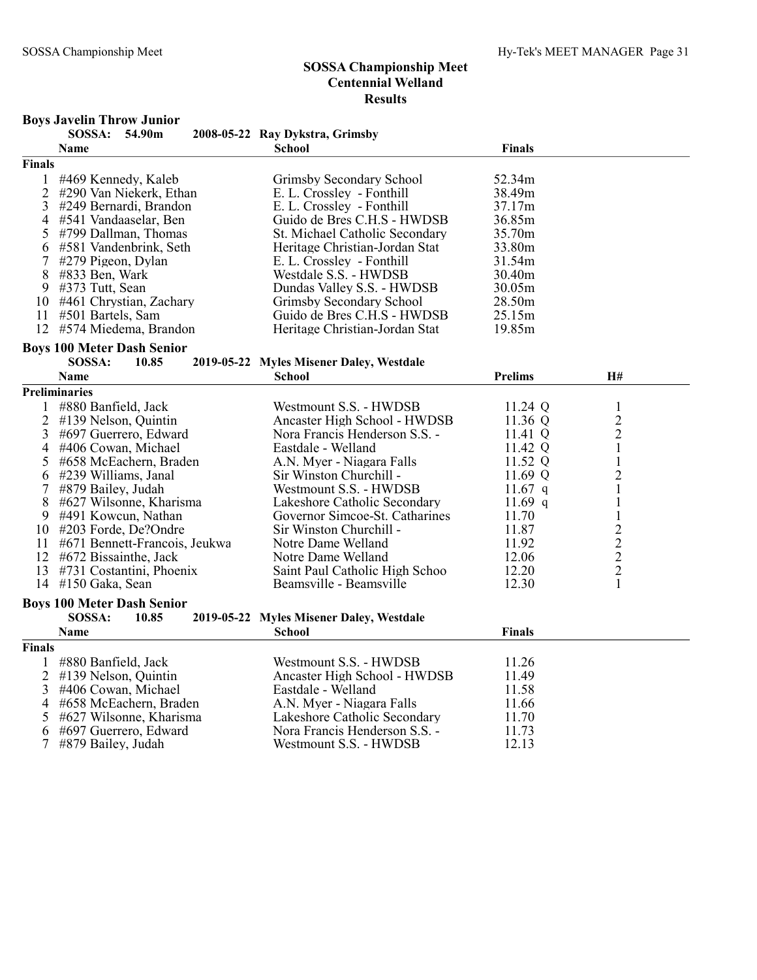#### Boys Javelin Throw Junior

|               | роўэ батыш тіпом б<br>SOSSA: 54.90m              | 2008-05-22 Ray Dykstra, Grimsby                               |                |                                            |
|---------------|--------------------------------------------------|---------------------------------------------------------------|----------------|--------------------------------------------|
|               | Name                                             | <b>School</b>                                                 | <b>Finals</b>  |                                            |
| <b>Finals</b> |                                                  |                                                               |                |                                            |
|               | 1 #469 Kennedy, Kaleb                            | Grimsby Secondary School                                      | 52.34m         |                                            |
| 2             | #290 Van Niekerk, Ethan                          | E. L. Crossley - Fonthill                                     | 38.49m         |                                            |
| 3             | #249 Bernardi, Brandon                           | E. L. Crossley - Fonthill                                     | 37.17m         |                                            |
| 4             | #541 Vandaaselar, Ben                            | Guido de Bres C.H.S - HWDSB                                   | 36.85m         |                                            |
| 5             | #799 Dallman, Thomas                             | St. Michael Catholic Secondary                                | 35.70m         |                                            |
| 6             | #581 Vandenbrink, Seth                           | Heritage Christian-Jordan Stat                                | 33.80m         |                                            |
| 7             | #279 Pigeon, Dylan                               | E. L. Crossley - Fonthill                                     | 31.54m         |                                            |
| 8             | #833 Ben, Wark                                   | Westdale S.S. - HWDSB                                         | 30.40m         |                                            |
| 9             | #373 Tutt, Sean                                  | Dundas Valley S.S. - HWDSB                                    | 30.05m         |                                            |
|               | 10 #461 Chrystian, Zachary                       | Grimsby Secondary School                                      | 28.50m         |                                            |
|               | 11 #501 Bartels, Sam                             | Guido de Bres C.H.S - HWDSB                                   | 25.15m         |                                            |
|               | 12 #574 Miedema, Brandon                         | Heritage Christian-Jordan Stat                                | 19.85m         |                                            |
|               | <b>Boys 100 Meter Dash Senior</b>                |                                                               |                |                                            |
|               | SOSSA:<br>10.85                                  | 2019-05-22 Myles Misener Daley, Westdale                      |                |                                            |
|               | Name                                             | <b>School</b>                                                 | <b>Prelims</b> | H#                                         |
|               | <b>Preliminaries</b>                             |                                                               |                |                                            |
|               |                                                  |                                                               |                |                                            |
| 1             | #880 Banfield, Jack                              | Westmount S.S. - HWDSB                                        | 11.24 Q        | $\mathbf{1}$                               |
| 2             | #139 Nelson, Quintin                             | Ancaster High School - HWDSB                                  | 11.36 Q        | $\overline{c}$                             |
| 3             | #697 Guerrero, Edward                            | Nora Francis Henderson S.S. -                                 | 11.41 Q        | $\sqrt{2}$                                 |
| 4             | #406 Cowan, Michael                              | Eastdale - Welland                                            | 11.42 Q        | $\mathbf{1}$                               |
| 5             | #658 McEachern, Braden                           | A.N. Myer - Niagara Falls                                     | 11.52 Q        | $\mathbf{1}$                               |
| 6             | #239 Williams, Janal                             | Sir Winston Churchill -                                       | 11.69 Q        | $\overline{c}$                             |
| 7             | #879 Bailey, Judah                               | Westmount S.S. - HWDSB                                        | 11.67 $q$      | $\mathbf{1}$                               |
| 8             | #627 Wilsonne, Kharisma                          | Lakeshore Catholic Secondary                                  | 11.69 $q$      | 1                                          |
| 9             | #491 Kowcun, Nathan                              | Governor Simcoe-St. Catharines                                | 11.70          | $\mathbf{1}$                               |
|               | 10 #203 Forde, De?Ondre                          | Sir Winston Churchill -                                       | 11.87          |                                            |
|               | 11 #671 Bennett-Francois, Jeukwa                 | Notre Dame Welland                                            | 11.92          | $\begin{array}{c} 2 \\ 2 \\ 2 \end{array}$ |
|               | 12 #672 Bissainthe, Jack                         | Notre Dame Welland                                            | 12.06          |                                            |
| 13            | #731 Costantini, Phoenix                         | Saint Paul Catholic High Schoo                                | 12.20          |                                            |
|               | 14 #150 Gaka, Sean                               | Beamsville - Beamsville                                       | 12.30          | $\mathbf{1}$                               |
|               | <b>Boys 100 Meter Dash Senior</b>                |                                                               |                |                                            |
|               | SOSSA:<br>10.85                                  | 2019-05-22 Myles Misener Daley, Westdale                      |                |                                            |
|               | <b>Name</b>                                      | <b>School</b>                                                 | <b>Finals</b>  |                                            |
| <b>Finals</b> |                                                  |                                                               |                |                                            |
| 1             | #880 Banfield, Jack                              | Westmount S.S. - HWDSB                                        | 11.26          |                                            |
| 2             | #139 Nelson, Quintin                             | Ancaster High School - HWDSB                                  | 11.49          |                                            |
| 3             | #406 Cowan, Michael                              | Eastdale - Welland                                            | 11.58          |                                            |
| 4             | #658 McEachern, Braden                           | A.N. Myer - Niagara Falls                                     | 11.66          |                                            |
| 5             |                                                  |                                                               |                |                                            |
|               |                                                  |                                                               |                |                                            |
| 6             | #627 Wilsonne, Kharisma<br>#697 Guerrero, Edward | Lakeshore Catholic Secondary<br>Nora Francis Henderson S.S. - | 11.70<br>11.73 |                                            |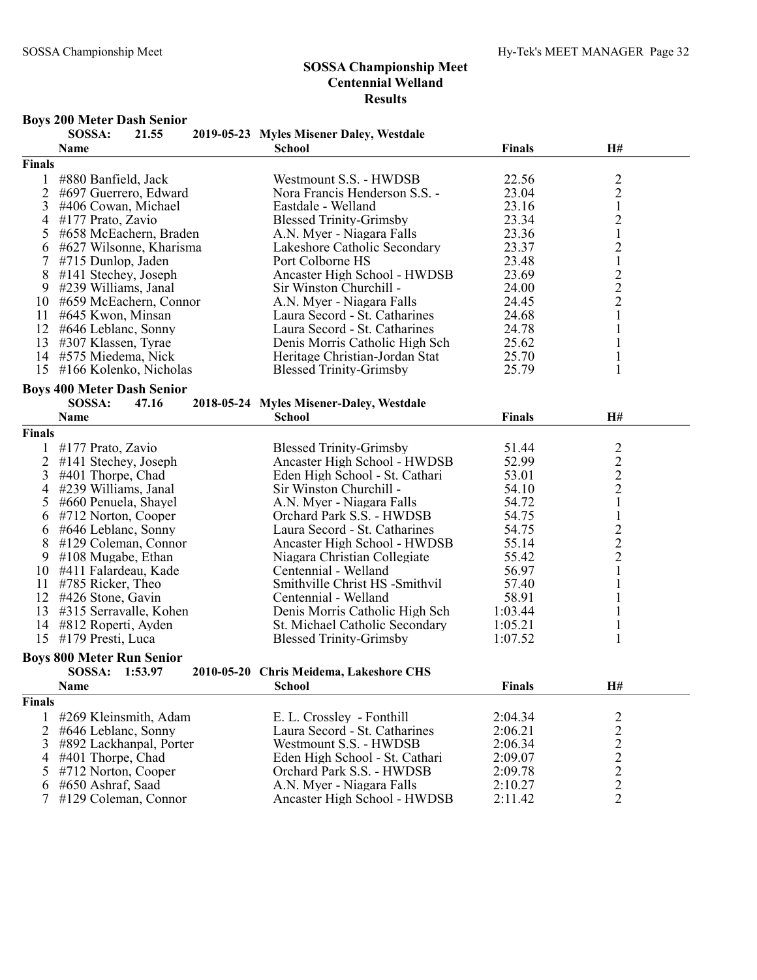## Boys 200 Meter Dash Senior

|                | SOSSA:                            | 21.55 | 2019-05-23 Myles Misener Daley, Westdale |               |                                            |  |
|----------------|-----------------------------------|-------|------------------------------------------|---------------|--------------------------------------------|--|
|                | Name                              |       | <b>School</b>                            | <b>Finals</b> | H#                                         |  |
| <b>Finals</b>  |                                   |       |                                          |               |                                            |  |
| 1              | #880 Banfield, Jack               |       | Westmount S.S. - HWDSB                   | 22.56         | $\overline{c}$                             |  |
| 2              | #697 Guerrero, Edward             |       | Nora Francis Henderson S.S. -            | 23.04         | $\overline{2}$                             |  |
| 3              | #406 Cowan, Michael               |       | Eastdale - Welland                       | 23.16         | $\mathbf{1}$                               |  |
| 4              | #177 Prato, Zavio                 |       | <b>Blessed Trinity-Grimsby</b>           | 23.34         | $\overline{c}$                             |  |
| 5              | #658 McEachern, Braden            |       | A.N. Myer - Niagara Falls                | 23.36         | $\mathbf{1}$                               |  |
| 6              | #627 Wilsonne, Kharisma           |       | Lakeshore Catholic Secondary             | 23.37         | $\overline{c}$                             |  |
|                | #715 Dunlop, Jaden                |       | Port Colborne HS                         | 23.48         | $\mathbf{1}$                               |  |
| 8              | #141 Stechey, Joseph              |       | Ancaster High School - HWDSB             | 23.69         |                                            |  |
| 9              | #239 Williams, Janal              |       | Sir Winston Churchill -                  | 24.00         | $\frac{2}{2}$                              |  |
| 10             | #659 McEachern, Connor            |       | A.N. Myer - Niagara Falls                | 24.45         | $\overline{c}$                             |  |
| 11             | #645 Kwon, Minsan                 |       | Laura Secord - St. Catharines            | 24.68         | $\mathbf{1}$                               |  |
| 12             | #646 Leblanc, Sonny               |       | Laura Secord - St. Catharines            | 24.78         | $\mathbf{1}$                               |  |
| 13             | #307 Klassen, Tyrae               |       | Denis Morris Catholic High Sch           | 25.62         | $\mathbf{1}$                               |  |
| 14             | #575 Miedema, Nick                |       | Heritage Christian-Jordan Stat           | 25.70         | $\mathbf{1}$                               |  |
| 15             | #166 Kolenko, Nicholas            |       | <b>Blessed Trinity-Grimsby</b>           | 25.79         | 1                                          |  |
|                |                                   |       |                                          |               |                                            |  |
|                | <b>Boys 400 Meter Dash Senior</b> |       |                                          |               |                                            |  |
|                | SOSSA:                            | 47.16 | 2018-05-24 Myles Misener-Daley, Westdale |               |                                            |  |
|                | Name                              |       | <b>School</b>                            | <b>Finals</b> | H#                                         |  |
| <b>Finals</b>  |                                   |       |                                          |               |                                            |  |
|                | #177 Prato, Zavio                 |       | <b>Blessed Trinity-Grimsby</b>           | 51.44         |                                            |  |
| 2              | #141 Stechey, Joseph              |       | Ancaster High School - HWDSB             | 52.99         |                                            |  |
| 3              | #401 Thorpe, Chad                 |       | Eden High School - St. Cathari           | 53.01         |                                            |  |
| 4              | #239 Williams, Janal              |       | Sir Winston Churchill -                  | 54.10         | $\begin{array}{c} 2 \\ 2 \\ 2 \end{array}$ |  |
| 5              | #660 Penuela, Shayel              |       | A.N. Myer - Niagara Falls                | 54.72         | $\mathbf{1}$                               |  |
| 6              | #712 Norton, Cooper               |       | Orchard Park S.S. - HWDSB                | 54.75         | $\mathbf{1}$                               |  |
| 6              | #646 Leblanc, Sonny               |       | Laura Secord - St. Catharines            | 54.75         |                                            |  |
| 8              | #129 Coleman, Connor              |       | Ancaster High School - HWDSB             | 55.14         | $\frac{2}{2}$                              |  |
| 9              | $\#108$ Mugabe, Ethan             |       | Niagara Christian Collegiate             | 55.42         |                                            |  |
|                | 10 #411 Falardeau, Kade           |       | Centennial - Welland                     | 56.97         | $\mathbf 1$                                |  |
| 11             | #785 Ricker, Theo                 |       | Smithville Christ HS -Smithvil           | 57.40         | $\mathbf{1}$                               |  |
| 12             | #426 Stone, Gavin                 |       | Centennial - Welland                     | 58.91         | 1                                          |  |
| 13             | #315 Serravalle, Kohen            |       | Denis Morris Catholic High Sch           | 1:03.44       | $\mathbf{1}$                               |  |
| 14             | #812 Roperti, Ayden               |       | St. Michael Catholic Secondary           | 1:05.21       | $\mathbf{1}$                               |  |
| 15             | #179 Presti, Luca                 |       | <b>Blessed Trinity-Grimsby</b>           | 1:07.52       | $\mathbf{1}$                               |  |
|                |                                   |       |                                          |               |                                            |  |
|                | <b>Boys 800 Meter Run Senior</b>  |       |                                          |               |                                            |  |
|                | SOSSA: 1:53.97                    |       | 2010-05-20 Chris Meidema, Lakeshore CHS  |               |                                            |  |
|                | Name                              |       | <b>School</b>                            | <b>Finals</b> | H#                                         |  |
| <b>Finals</b>  |                                   |       |                                          |               |                                            |  |
| $\mathbf{1}$   | #269 Kleinsmith, Adam             |       | E. L. Crossley - Fonthill                | 2:04.34       | 2                                          |  |
| $\overline{2}$ | #646 Leblanc, Sonny               |       | Laura Secord - St. Catharines            | 2:06.21       | $\overline{c}$                             |  |
| 3              | #892 Lackhanpal, Porter           |       | Westmount S.S. - HWDSB                   | 2:06.34       |                                            |  |
| 4              | #401 Thorpe, Chad                 |       | Eden High School - St. Cathari           | 2:09.07       | $\frac{2}{2}$                              |  |
| 5              | #712 Norton, Cooper               |       | Orchard Park S.S. - HWDSB                | 2:09.78       |                                            |  |
| 6              | #650 Ashraf, Saad                 |       | A.N. Myer - Niagara Falls                | 2:10.27       | $\sqrt{2}$                                 |  |
| 7              | #129 Coleman, Connor              |       | Ancaster High School - HWDSB             | 2:11.42       | $\overline{2}$                             |  |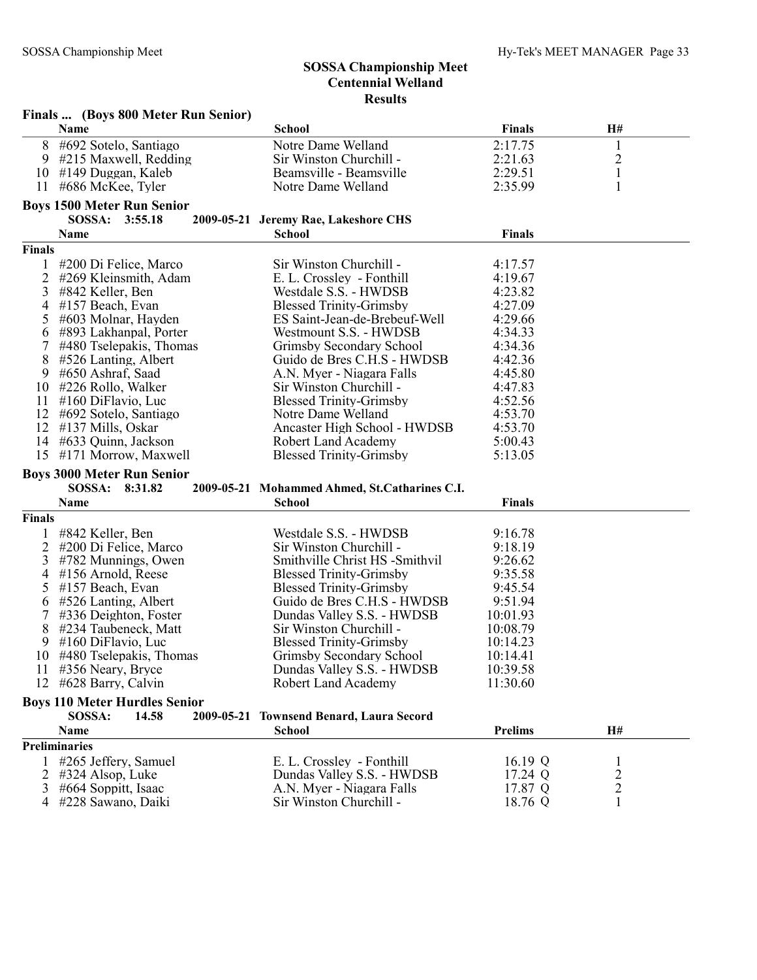|               | Finals  (Boys 800 Meter Run Senior)             |                                               |                      |                |  |
|---------------|-------------------------------------------------|-----------------------------------------------|----------------------|----------------|--|
|               | Name                                            | <b>School</b>                                 | <b>Finals</b>        | H#             |  |
| 8             | #692 Sotelo, Santiago                           | Notre Dame Welland                            | 2:17.75              | $\mathbf{1}$   |  |
| 9.            | #215 Maxwell, Redding                           | Sir Winston Churchill -                       | 2:21.63              | $\overline{c}$ |  |
| 10            | #149 Duggan, Kaleb                              | Beamsville - Beamsville                       | 2:29.51              | $\mathbf 1$    |  |
| 11            | #686 McKee, Tyler                               | Notre Dame Welland                            | 2:35.99              | $\mathbf{1}$   |  |
|               | <b>Boys 1500 Meter Run Senior</b>               |                                               |                      |                |  |
|               | SOSSA: 3:55.18                                  |                                               |                      |                |  |
|               |                                                 | 2009-05-21 Jeremy Rae, Lakeshore CHS          |                      |                |  |
|               | Name                                            | <b>School</b>                                 | <b>Finals</b>        |                |  |
| <b>Finals</b> |                                                 |                                               |                      |                |  |
|               | #200 Di Felice, Marco                           | Sir Winston Churchill -                       | 4:17.57              |                |  |
| 2             | #269 Kleinsmith, Adam                           | E. L. Crossley - Fonthill                     | 4:19.67              |                |  |
| 3             | #842 Keller, Ben                                | Westdale S.S. - HWDSB                         | 4:23.82              |                |  |
| 4             | #157 Beach, Evan                                | <b>Blessed Trinity-Grimsby</b>                | 4:27.09              |                |  |
| 5             | #603 Molnar, Hayden                             | ES Saint-Jean-de-Brebeuf-Well                 | 4:29.66              |                |  |
| 6             | #893 Lakhanpal, Porter                          | Westmount S.S. - HWDSB                        | 4:34.33              |                |  |
| 7             | #480 Tselepakis, Thomas                         | Grimsby Secondary School                      | 4:34.36              |                |  |
| 8             | #526 Lanting, Albert                            | Guido de Bres C.H.S - HWDSB                   | 4:42.36              |                |  |
| 9             | #650 Ashraf, Saad                               | A.N. Myer - Niagara Falls                     | 4:45.80              |                |  |
| 10            | #226 Rollo, Walker                              | Sir Winston Churchill -                       | 4:47.83              |                |  |
| 11            | $#160$ DiFlavio, Luc                            | <b>Blessed Trinity-Grimsby</b>                | 4:52.56              |                |  |
| 12            | #692 Sotelo, Santiago                           | Notre Dame Welland                            | 4:53.70              |                |  |
| 12            | #137 Mills, Oskar                               | Ancaster High School - HWDSB                  | 4:53.70              |                |  |
| 14            | #633 Quinn, Jackson                             | Robert Land Academy                           | 5:00.43              |                |  |
| 15            | #171 Morrow, Maxwell                            | <b>Blessed Trinity-Grimsby</b>                | 5:13.05              |                |  |
|               | <b>Boys 3000 Meter Run Senior</b>               |                                               |                      |                |  |
|               | SOSSA: 8:31.82                                  | 2009-05-21 Mohammed Ahmed, St.Catharines C.I. |                      |                |  |
|               | Name                                            | <b>School</b>                                 | <b>Finals</b>        |                |  |
| <b>Finals</b> |                                                 |                                               |                      |                |  |
|               | #842 Keller, Ben                                | Westdale S.S. - HWDSB                         | 9:16.78              |                |  |
| 2             | #200 Di Felice, Marco                           | Sir Winston Churchill -                       | 9:18.19              |                |  |
| 3             | #782 Munnings, Owen                             | Smithville Christ HS -Smithvil                | 9:26.62              |                |  |
| 4             | #156 Arnold, Reese                              | <b>Blessed Trinity-Grimsby</b>                | 9:35.58              |                |  |
| 5             | #157 Beach, Evan                                | <b>Blessed Trinity-Grimsby</b>                | 9:45.54              |                |  |
| 6             | #526 Lanting, Albert                            | Guido de Bres C.H.S - HWDSB                   | 9:51.94              |                |  |
| 7             | #336 Deighton, Foster                           | Dundas Valley S.S. - HWDSB                    | 10:01.93             |                |  |
| 8             | #234 Taubeneck, Matt                            | Sir Winston Churchill -                       | 10:08.79             |                |  |
|               | $#160$ DiFlavio, Luc                            | <b>Blessed Trinity-Grimsby</b>                |                      |                |  |
| 9<br>10       |                                                 |                                               | 10:14.23<br>10:14.41 |                |  |
|               | #480 Tselepakis, Thomas<br>11 #356 Neary, Bryce | Grimsby Secondary School                      | 10:39.58             |                |  |
|               |                                                 | Dundas Valley S.S. - HWDSB                    |                      |                |  |
| 12            | #628 Barry, Calvin                              | <b>Robert Land Academy</b>                    | 11:30.60             |                |  |
|               | <b>Boys 110 Meter Hurdles Senior</b>            |                                               |                      |                |  |
|               | SOSSA:<br>14.58                                 | 2009-05-21 Townsend Benard, Laura Secord      |                      |                |  |
|               | Name                                            | <b>School</b>                                 | <b>Prelims</b>       | H#             |  |
|               | <b>Preliminaries</b>                            |                                               |                      |                |  |
|               | #265 Jeffery, Samuel                            | E. L. Crossley - Fonthill                     | 16.19 Q              | $\perp$        |  |
| 2             | #324 Alsop, Luke                                | Dundas Valley S.S. - HWDSB                    | 17.24 Q              | $\overline{c}$ |  |
| 3             | #664 Soppitt, Isaac                             | A.N. Myer - Niagara Falls                     | 17.87 Q              | $\sqrt{2}$     |  |
| 4             | #228 Sawano, Daiki                              | Sir Winston Churchill -                       | 18.76 Q              | 1              |  |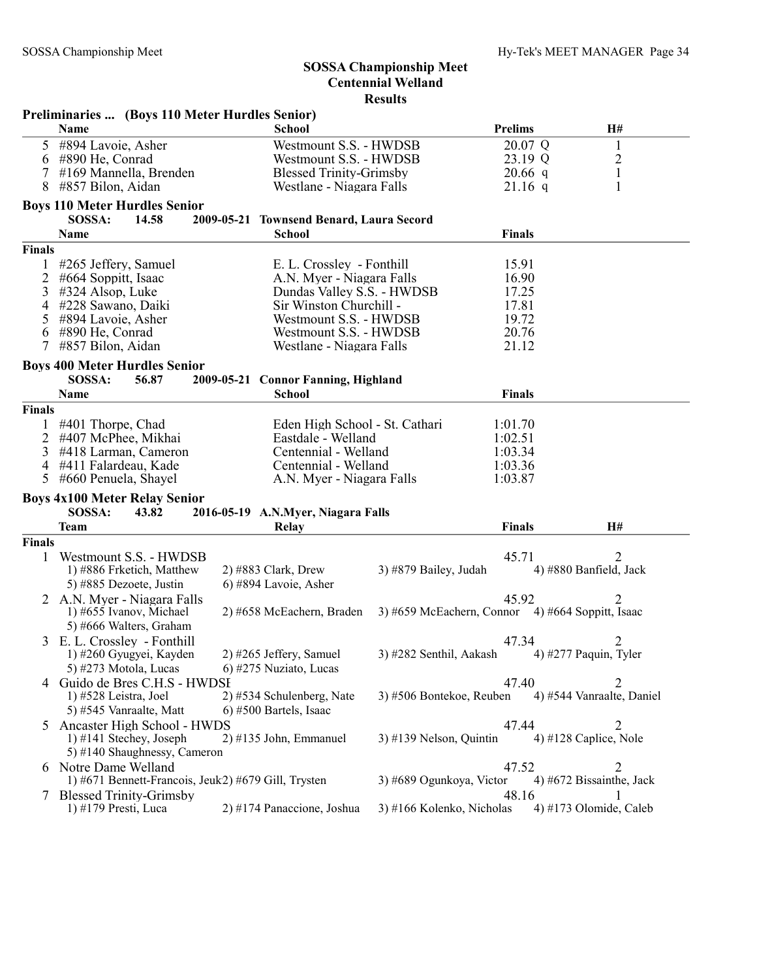|               | Preliminaries  (Boys 110 Meter Hurdles Senior)          |                                                   |                                                  |                |                            |
|---------------|---------------------------------------------------------|---------------------------------------------------|--------------------------------------------------|----------------|----------------------------|
|               | Name                                                    | <b>School</b>                                     |                                                  | <b>Prelims</b> | H#                         |
| 5             | #894 Lavoie, Asher                                      | Westmount S.S. - HWDSB                            |                                                  | 20.07 Q        | $\mathbf{1}$               |
| 6             | #890 He, Conrad                                         | Westmount S.S. - HWDSB                            |                                                  | 23.19 Q        | $\overline{c}$             |
| 7             | #169 Mannella, Brenden                                  | <b>Blessed Trinity-Grimsby</b>                    |                                                  | $20.66$ q      | $\mathbf{1}$               |
| 8             | #857 Bilon, Aidan                                       | Westlane - Niagara Falls                          |                                                  | $21.16$ q      | 1                          |
|               | <b>Boys 110 Meter Hurdles Senior</b>                    |                                                   |                                                  |                |                            |
|               | SOSSA:<br>14.58                                         | 2009-05-21 Townsend Benard, Laura Secord          |                                                  |                |                            |
|               | Name                                                    | <b>School</b>                                     |                                                  | <b>Finals</b>  |                            |
| <b>Finals</b> |                                                         |                                                   |                                                  |                |                            |
| 1             | #265 Jeffery, Samuel                                    | E. L. Crossley - Fonthill                         |                                                  | 15.91          |                            |
| 2             | #664 Soppitt, Isaac                                     | A.N. Myer - Niagara Falls                         |                                                  | 16.90          |                            |
| 3             | $\#324$ Alsop, Luke                                     | Dundas Valley S.S. - HWDSB                        |                                                  | 17.25          |                            |
| 4<br>5        | #228 Sawano, Daiki<br>#894 Lavoie, Asher                | Sir Winston Churchill -<br>Westmount S.S. - HWDSB |                                                  | 17.81<br>19.72 |                            |
| 6             | #890 He, Conrad                                         | Westmount S.S. - HWDSB                            |                                                  | 20.76          |                            |
| 7             | #857 Bilon, Aidan                                       | Westlane - Niagara Falls                          |                                                  | 21.12          |                            |
|               |                                                         |                                                   |                                                  |                |                            |
|               | <b>Boys 400 Meter Hurdles Senior</b><br>SOSSA:<br>56.87 | 2009-05-21 Connor Fanning, Highland               |                                                  |                |                            |
|               | <b>Name</b>                                             | <b>School</b>                                     |                                                  | <b>Finals</b>  |                            |
| <b>Finals</b> |                                                         |                                                   |                                                  |                |                            |
| 1             | #401 Thorpe, Chad                                       | Eden High School - St. Cathari                    |                                                  | 1:01.70        |                            |
| 2             | #407 McPhee, Mikhai                                     | Eastdale - Welland                                |                                                  | 1:02.51        |                            |
| 3             | #418 Larman, Cameron                                    | Centennial - Welland                              |                                                  | 1:03.34        |                            |
| 4             | #411 Falardeau, Kade                                    | Centennial - Welland                              |                                                  | 1:03.36        |                            |
| 5             | #660 Penuela, Shayel                                    | A.N. Myer - Niagara Falls                         |                                                  | 1:03.87        |                            |
|               | <b>Boys 4x100 Meter Relay Senior</b>                    |                                                   |                                                  |                |                            |
|               | SOSSA:<br>43.82                                         | 2016-05-19 A.N.Myer, Niagara Falls                |                                                  |                |                            |
|               | <b>Team</b>                                             | Relay                                             |                                                  | <b>Finals</b>  | H#                         |
| <b>Finals</b> |                                                         |                                                   |                                                  |                |                            |
| 1             | Westmount S.S. - HWDSB                                  |                                                   |                                                  | 45.71          | 2                          |
|               | 1) #886 Frketich, Matthew                               | $2)$ #883 Clark, Drew                             | 3) #879 Bailey, Judah                            |                | 4) #880 Banfield, Jack     |
|               | 5) #885 Dezoete, Justin                                 | 6) #894 Lavoie, Asher                             |                                                  |                |                            |
|               | 2 A.N. Myer - Niagara Falls                             |                                                   |                                                  | 45.92          | 2                          |
|               | 1) #655 Ivanov, Michael                                 | 2) #658 McEachern, Braden                         | 3) #659 McEachern, Connor 4) #664 Soppitt, Isaac |                |                            |
|               | 5) #666 Walters, Graham                                 |                                                   |                                                  |                |                            |
| 3             | E. L. Crossley - Fonthill<br>1) #260 Gyugyei, Kayden    | 2) #265 Jeffery, Samuel                           | 3) #282 Senthil, Aakash                          | 47.34          | 2<br>4) #277 Paquin, Tyler |
|               | 5) #273 Motola, Lucas                                   | 6) #275 Nuziato, Lucas                            |                                                  |                |                            |
|               | 4 Guido de Bres C.H.S - HWDSI                           |                                                   |                                                  | 47.40          | 2                          |
|               | 1) #528 Leistra, Joel                                   | 2) #534 Schulenberg, Nate                         | 3) #506 Bontekoe, Reuben                         |                | 4) #544 Vanraalte, Daniel  |
|               | 5) #545 Vanraalte, Matt                                 | 6) #500 Bartels, Isaac                            |                                                  |                |                            |
| 5             | Ancaster High School - HWDS                             |                                                   |                                                  | 47.44          | 2                          |
|               | 1) #141 Stechey, Joseph                                 | $2)$ #135 John, Emmanuel                          | $3)$ #139 Nelson, Quintin                        |                | 4) #128 Caplice, Nole      |
|               |                                                         |                                                   |                                                  |                |                            |
|               | 5) #140 Shaughnessy, Cameron                            |                                                   |                                                  |                |                            |
|               | 6 Notre Dame Welland                                    |                                                   |                                                  | 47.52          | 2                          |
|               | 1) #671 Bennett-Francois, Jeuk2) #679 Gill, Trysten     |                                                   | 3) #689 Ogunkoya, Victor                         |                | 4) #672 Bissainthe, Jack   |
| $\frac{1}{2}$ | <b>Blessed Trinity-Grimsby</b><br>1) #179 Presti, Luca  | 2) #174 Panaccione, Joshua                        | 3) #166 Kolenko, Nicholas                        | 48.16          | 4) #173 Olomide, Caleb     |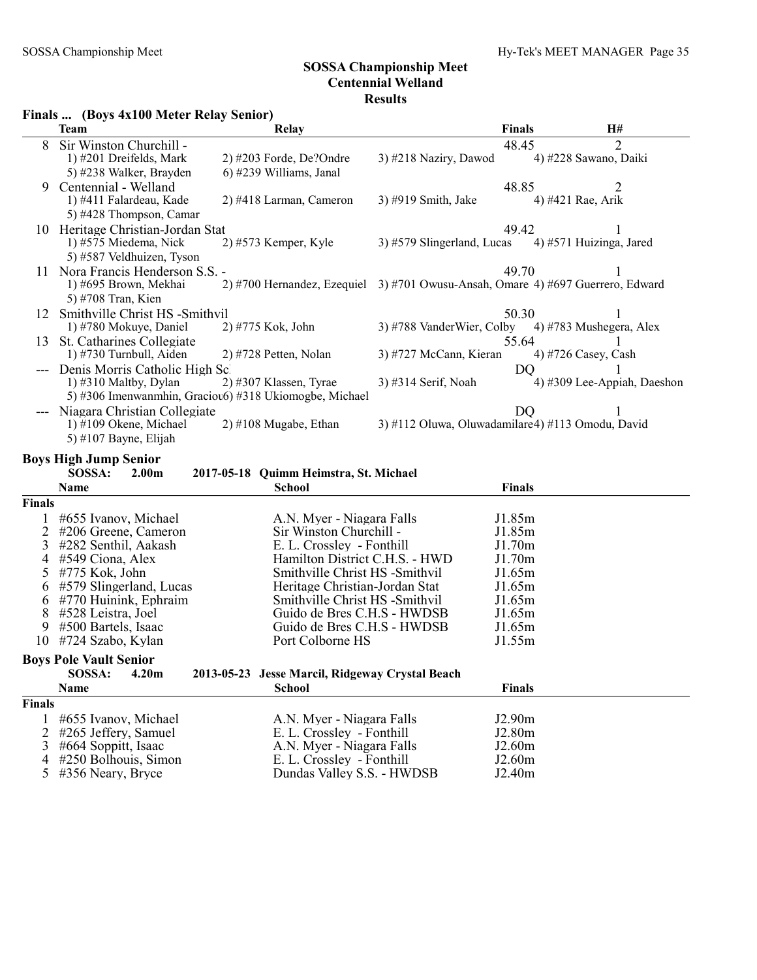#### Finals ... (Boys 4x100 Meter Relay Senior)

|        | $\mathbf{r}$ mans $\mathbf{m}$ (Doys Talov McGC Renay Semol) |                                                                                 |                                                   |               |                             |
|--------|--------------------------------------------------------------|---------------------------------------------------------------------------------|---------------------------------------------------|---------------|-----------------------------|
|        | <b>Team</b>                                                  | <b>Relay</b>                                                                    |                                                   | <b>Finals</b> | H#                          |
| 8      | Sir Winston Churchill -                                      |                                                                                 |                                                   | 48.45         | $\overline{2}$              |
|        | 1) #201 Dreifelds, Mark                                      | $2)$ #203 Forde, De?Ondre                                                       | $3)$ #218 Naziry, Dawod                           |               | 4) #228 Sawano, Daiki       |
|        | 5) #238 Walker, Brayden                                      | $(6)$ #239 Williams, Janal                                                      |                                                   |               |                             |
| 9      | Centennial - Welland                                         |                                                                                 |                                                   | 48.85         | 2                           |
|        | 1) #411 Falardeau, Kade                                      | 2) #418 Larman, Cameron                                                         | 3) #919 Smith, Jake                               |               | 4) #421 Rae, Arik           |
|        | 5) #428 Thompson, Camar                                      |                                                                                 |                                                   |               |                             |
| 10     | Heritage Christian-Jordan Stat                               |                                                                                 |                                                   | 49.42         |                             |
|        | 1) #575 Miedema, Nick                                        | $2)$ #573 Kemper, Kyle                                                          | 3) #579 Slingerland, Lucas                        |               | 4) #571 Huizinga, Jared     |
|        | 5) #587 Veldhuizen, Tyson                                    |                                                                                 |                                                   |               |                             |
|        | Nora Francis Henderson S.S. -                                |                                                                                 |                                                   | 49.70         |                             |
|        | 1) #695 Brown, Mekhai                                        | 2) #700 Hernandez, Ezequiel 3) #701 Owusu-Ansah, Omare 4) #697 Guerrero, Edward |                                                   |               |                             |
|        | 5) #708 Tran, Kien                                           |                                                                                 |                                                   |               |                             |
| 12     | Smithville Christ HS -Smithvil                               |                                                                                 |                                                   | 50.30         |                             |
|        | 1) #780 Mokuye, Daniel                                       | 2) #775 Kok, John                                                               | 3) #788 VanderWier, Colby 4) #783 Mushegera, Alex |               |                             |
| 13     | St. Catharines Collegiate                                    |                                                                                 |                                                   | 55.64         |                             |
|        | $(1)$ #730 Turnbull, Aiden                                   | $2)$ #728 Petten, Nolan                                                         | 3) #727 McCann, Kieran                            |               | 4) #726 Casey, Cash         |
|        | Denis Morris Catholic High Sc                                |                                                                                 |                                                   | <b>DQ</b>     |                             |
|        | 1) $\#310$ Maltby, Dylan                                     | $2)$ #307 Klassen, Tyrae                                                        | $3)$ #314 Serif, Noah                             |               | 4) #309 Lee-Appiah, Daeshon |
|        |                                                              | 5) #306 Imenwanmhin, Graciou6) #318 Ukiomogbe, Michael                          |                                                   |               |                             |
|        | Niagara Christian Collegiate                                 |                                                                                 |                                                   | DO            |                             |
|        | 1) #109 Okene, Michael                                       | $2)$ #108 Mugabe, Ethan                                                         | 3) #112 Oluwa, Oluwadamilare4) #113 Omodu, David  |               |                             |
|        | 5) #107 Bayne, Elijah                                        |                                                                                 |                                                   |               |                             |
|        | <b>Boys High Jump Senior</b>                                 |                                                                                 |                                                   |               |                             |
|        | SOSSA:<br>2.00 <sub>m</sub>                                  | 2017-05-18 Quimm Heimstra, St. Michael                                          |                                                   |               |                             |
|        | <b>Name</b>                                                  | <b>School</b>                                                                   |                                                   | <b>Finals</b> |                             |
| Finals |                                                              |                                                                                 |                                                   |               |                             |
|        | #655 Ivanov, Michael                                         | A.N. Myer - Niagara Falls                                                       |                                                   | J1.85m        |                             |
| 2      | $#206$ Greene, Cameron                                       | Sir Winston Churchill -                                                         |                                                   | J1.85m        |                             |

|        | 3 #282 Senthil, Aakash        | E. L. Crossley - Fonthill                       | J1.70m                         |  |
|--------|-------------------------------|-------------------------------------------------|--------------------------------|--|
|        | 4 #549 Ciona, Alex            | Hamilton District C.H.S. - HWD                  | J1.70m                         |  |
|        | 5 #775 Kok, John              | Smithville Christ HS -Smithvil                  | J1.65m                         |  |
|        | $6$ #579 Slingerland, Lucas   | Heritage Christian-Jordan Stat                  | J1.65m                         |  |
|        | $6$ #770 Huinink, Ephraim     | Smithville Christ HS -Smithvil                  | J1.65m                         |  |
|        | 8 #528 Leistra, Joel          | Guido de Bres C.H.S - HWDSB                     | J1.65m                         |  |
|        | 9 #500 Bartels, Isaac         | Guido de Bres C.H.S - HWDSB                     | J1.65m                         |  |
|        | 10 #724 Szabo, Kylan          | Port Colborne HS                                | J1.55m                         |  |
|        | <b>Boys Pole Vault Senior</b> |                                                 |                                |  |
|        | SOSSA:<br>4.20 <sub>m</sub>   | 2013-05-23 Jesse Marcil, Ridgeway Crystal Beach |                                |  |
|        | <b>Name</b>                   | <b>School</b>                                   | <b>Finals</b>                  |  |
| Finals |                               |                                                 |                                |  |
|        | --------                      |                                                 | $\mathbf{r} \wedge \mathbf{r}$ |  |

| гшав |                        |                            |                    |
|------|------------------------|----------------------------|--------------------|
|      | #655 Ivanov, Michael   | A.N. Myer - Niagara Falls  | J2.90 <sub>m</sub> |
|      | 2 #265 Jeffery, Samuel | E. L. Crossley - Fonthill  | J2.80 <sub>m</sub> |
|      | 3 #664 Soppitt, Isaac  | A.N. Myer - Niagara Falls  | J2.60m             |
|      | 4 #250 Bolhouis, Simon | E. L. Crossley - Fonthill  | J2.60m             |
|      | 5 #356 Neary, Bryce    | Dundas Valley S.S. - HWDSB | J2.40m             |
|      |                        |                            |                    |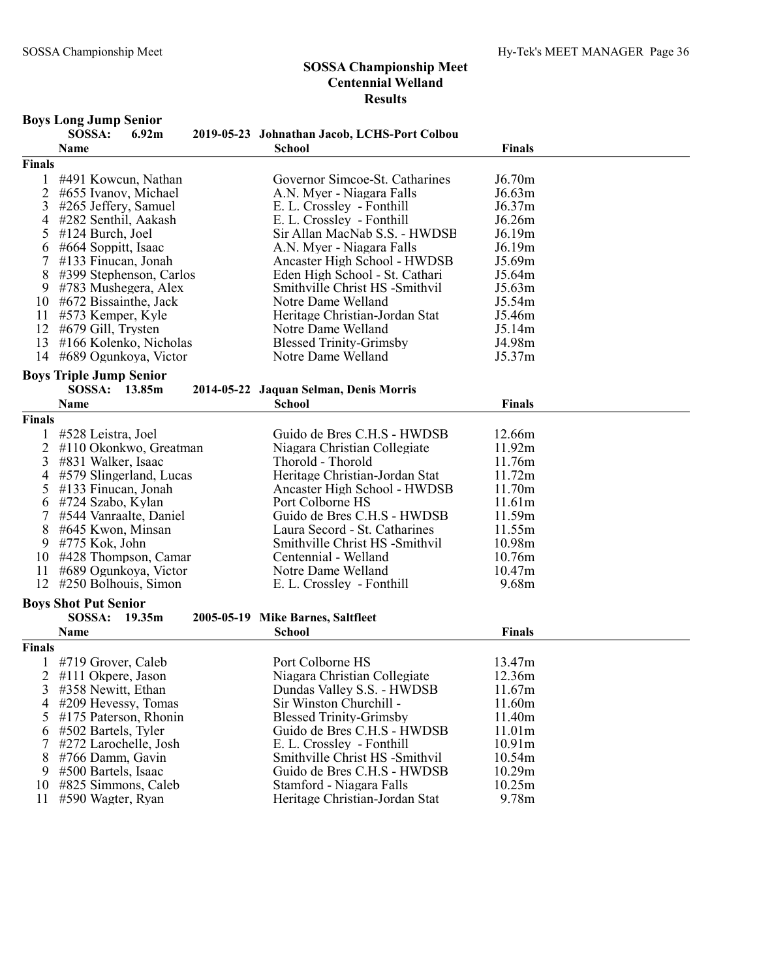Boys Long Jump Senior

#### SOSSA Championship Meet Centennial Welland Results

#### SOSSA: 6.92m 2019-05-23 Johnathan Jacob, LCHS-Port Colbou Name **School** School **Finals** Finals 1 #491 Kowcun, Nathan Governor Simcoe-St. Catharines J6.70m 2 #655 Ivanov, Michael A.N. Myer - Niagara Falls 56.63m<br>
2 #265 Jeffery, Samuel E.L. Crosslev - Fonthill 56.37m 3 #265 Jeffery, Samuel E. L. Crossley - Fonthill J6.37m E. L. Crossley - Fonthill 5 #124 Burch, Joel Sir Allan MacNab S.S. - HWDSB J6.19m<br>6 #664 Soppitt, Isaac A.N. Myer - Niagara Falls J6.19m 6 #664 Soppitt, Isaac A.N. Myer - Niagara Falls J6.19m 7 #133 Finucan, Jonah Ancaster High School - HWDSB 8 #399 Stephenson, Carlos Eden High School - St. Cathari J5.64m 9 #783 Mushegera, Alex Smithville Christ HS -Smithvil J5.63m<br>0 #672 Bissainthe. Jack Notre Dame Welland J5.54m  $10 \#672$  Bissainthe, Jack 11 #573 Kemper, Kyle Heritage Christian-Jordan Stat J5.46m 12 #679 Gill, Trysten 13 #166 Kolenko, Nicholas Blessed Trinity-Grimsby J4.98m 14 #689 Ogunkoya, Victor Notre Dame Welland J5.37m Boys Triple Jump Senior 2014-05-22 Jaquan Selman, Denis Morris Name **School** School **Finals** Finals 1 #528 Leistra, Joel Guido de Bres C.H.S - HWDSB 12.66m 2 #110 Okonkwo, Greatman Niagara Christian Collegiate 11.92m<br>3 #831 Walker, Isaac Thorold - Thorold 11.76m 3 #831 Walker, Isaac Thorold - Thorold 11.76m 4 #579 Slingerland, Lucas Heritage Christian-Jordan Stat 11.72m Ancaster High School - HWDSB 11.70m<br>Port Colborne HS 11.61m 6 #724 Szabo, Kylan Port Colborne HS 11.61m 7 #544 Vanraalte, Daniel Guido de Bres C.H.S - HWDSB 11.59m 8 #645 Kwon, Minsan Laura Secord - St. Catharines 11.55m 9 Smithville Christ HS -Smithvil 10.98m<br>
10.76m<br>
10.76m  $10$  #428 Thompson, Camar 11 #689 Ogunkoya, Victor Notre Dame Welland 10.47m 12 #250 Bolhouis, Simon E. L. Crossley - Fonthill 9.68m Boys Shot Put Senior SOSSA: 19.35m 2005-05-19 Mike Barnes, Saltfleet Name **School** School **Finals** Finals 1 #719 Grover, Caleb Port Colborne HS 13.47m 2 #111 Okpere, Jason Niagara Christian Collegiate 12.36m Dundas Valley S.S. - HWDSB 4 #209 Hevessy, Tomas Sir Winston Churchill - 11.60m<br>5 #175 Paterson, Rhonin Blessed Trinity-Grimsby 11.40m 5 #175 Paterson, Rhonin Blessed Trinity-Grimsby 11.40m<br>6 #502 Bartels. Tyler Guido de Bres C.H.S - HWDSB 11.01m Guido de Bres C.H.S - HWDSB 7 #272 Larochelle, Josh E. L. Crossley - Fonthill 10.91m 8 #766 Damm, Gavin Smithville Christ HS -Smithvil 10.54m<br>
9 #500 Bartels, Isaac Guido de Bres C.H.S - HWDSB 10.29m Guido de Bres C.H.S - HWDSB 10 #825 Simmons, Caleb Stamford - Niagara Falls 10.25m<br>11 #590 Wagter, Ryan Heritage Christian-Jordan Stat 9.78m Heritage Christian-Jordan Stat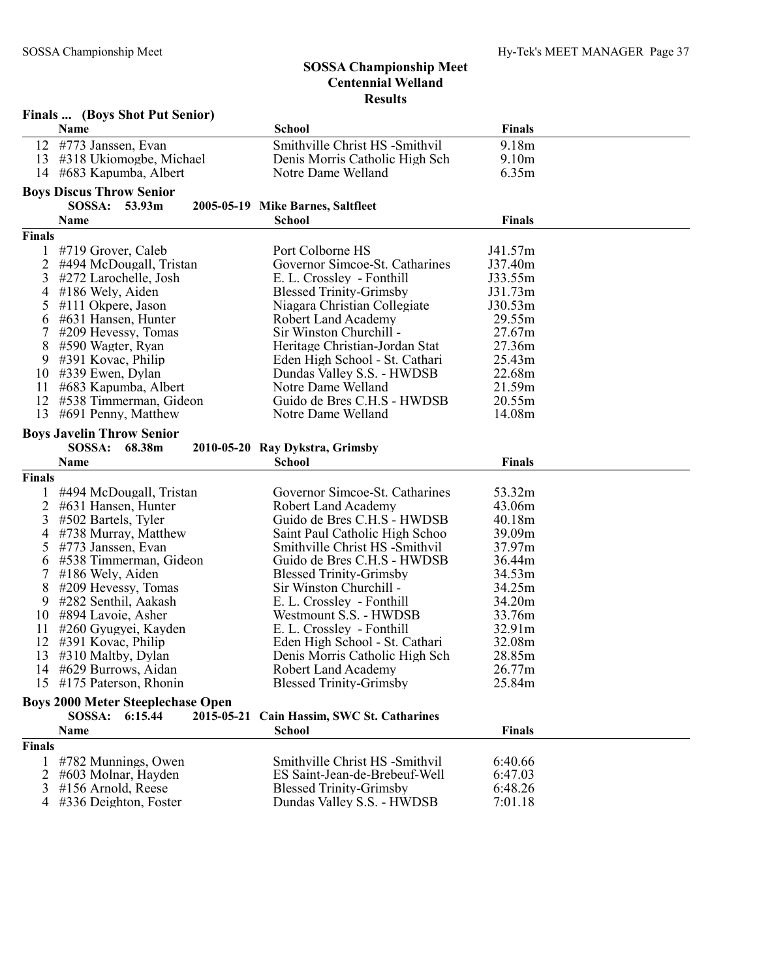|               | <b>Finals </b> (Boys Shot Put Senior)                              |                                                                 |                    |  |  |  |  |
|---------------|--------------------------------------------------------------------|-----------------------------------------------------------------|--------------------|--|--|--|--|
|               | Name                                                               | <b>School</b>                                                   | <b>Finals</b>      |  |  |  |  |
| 12            | #773 Janssen, Evan                                                 | Smithville Christ HS -Smithvil                                  | 9.18m              |  |  |  |  |
| 13            | #318 Ukiomogbe, Michael                                            | Denis Morris Catholic High Sch                                  | 9.10 <sub>m</sub>  |  |  |  |  |
| 14            | #683 Kapumba, Albert                                               | Notre Dame Welland                                              | 6.35m              |  |  |  |  |
|               | <b>Boys Discus Throw Senior</b>                                    |                                                                 |                    |  |  |  |  |
|               | SOSSA: 53.93m                                                      | 2005-05-19 Mike Barnes, Saltfleet                               |                    |  |  |  |  |
|               | Name                                                               | <b>School</b>                                                   | <b>Finals</b>      |  |  |  |  |
| <b>Finals</b> |                                                                    |                                                                 |                    |  |  |  |  |
|               | #719 Grover, Caleb                                                 | Port Colborne HS                                                | J41.57m            |  |  |  |  |
| 1<br>2        | #494 McDougall, Tristan                                            | Governor Simcoe-St. Catharines                                  | J37.40m            |  |  |  |  |
| 3             | #272 Larochelle, Josh                                              | E. L. Crossley - Fonthill                                       | J33.55m            |  |  |  |  |
| 4             | #186 Wely, Aiden                                                   | <b>Blessed Trinity-Grimsby</b>                                  | J31.73m            |  |  |  |  |
| 5             | $#111$ Okpere, Jason                                               | Niagara Christian Collegiate                                    | J30.53m            |  |  |  |  |
| 6             | #631 Hansen, Hunter                                                | Robert Land Academy                                             | 29.55m             |  |  |  |  |
| 7             | #209 Hevessy, Tomas                                                | Sir Winston Churchill -                                         | 27.67m             |  |  |  |  |
| 8             | #590 Wagter, Ryan                                                  | Heritage Christian-Jordan Stat                                  | 27.36m             |  |  |  |  |
| 9             | #391 Kovac, Philip                                                 | Eden High School - St. Cathari                                  | 25.43m             |  |  |  |  |
| 10            | #339 Ewen, Dylan                                                   | Dundas Valley S.S. - HWDSB                                      | 22.68m             |  |  |  |  |
| 11            | #683 Kapumba, Albert                                               | Notre Dame Welland                                              | 21.59m             |  |  |  |  |
| 12            | #538 Timmerman, Gideon                                             | Guido de Bres C.H.S - HWDSB                                     | 20.55m             |  |  |  |  |
| 13            | #691 Penny, Matthew                                                | Notre Dame Welland                                              | 14.08m             |  |  |  |  |
|               | <b>Boys Javelin Throw Senior</b>                                   |                                                                 |                    |  |  |  |  |
|               | SOSSA:<br>68.38m                                                   | 2010-05-20 Ray Dykstra, Grimsby                                 |                    |  |  |  |  |
|               | Name                                                               | <b>School</b>                                                   | <b>Finals</b>      |  |  |  |  |
| <b>Finals</b> |                                                                    |                                                                 |                    |  |  |  |  |
|               |                                                                    |                                                                 |                    |  |  |  |  |
|               | #494 McDougall, Tristan                                            | Governor Simcoe-St. Catharines                                  | 53.32m             |  |  |  |  |
| 2<br>3        | #631 Hansen, Hunter                                                | <b>Robert Land Academy</b><br>Guido de Bres C.H.S - HWDSB       | 43.06m<br>40.18m   |  |  |  |  |
| 4             | #502 Bartels, Tyler<br>#738 Murray, Matthew                        | Saint Paul Catholic High Schoo                                  | 39.09m             |  |  |  |  |
| 5             | #773 Janssen, Evan                                                 | Smithville Christ HS -Smithvil                                  | 37.97m             |  |  |  |  |
| 6             | #538 Timmerman, Gideon                                             | Guido de Bres C.H.S - HWDSB                                     | 36.44m             |  |  |  |  |
| 7             | #186 Wely, Aiden                                                   | <b>Blessed Trinity-Grimsby</b>                                  | 34.53m             |  |  |  |  |
| 8             | #209 Hevessy, Tomas                                                | Sir Winston Churchill -                                         | 34.25m             |  |  |  |  |
| 9             | #282 Senthil, Aakash                                               | E. L. Crossley - Fonthill                                       | 34.20m             |  |  |  |  |
| 10            | #894 Lavoie, Asher                                                 | Westmount S.S. - HWDSB                                          | 33.76m             |  |  |  |  |
| 11            | #260 Gyugyei, Kayden                                               | E. L. Crossley - Fonthill                                       | 32.91m             |  |  |  |  |
| 12            | #391 Kovac, Philip                                                 | Eden High School - St. Cathari                                  | 32.08m             |  |  |  |  |
| 13            | #310 Maltby, Dylan                                                 | Denis Morris Catholic High Sch                                  | 28.85m             |  |  |  |  |
|               | 14 #629 Burrows, Aidan                                             | Robert Land Academy                                             | 26.77m             |  |  |  |  |
| 15            | #175 Paterson, Rhonin                                              | <b>Blessed Trinity-Grimsby</b>                                  | 25.84m             |  |  |  |  |
|               | <b>Boys 2000 Meter Steeplechase Open</b>                           |                                                                 |                    |  |  |  |  |
|               | SOSSA:<br>6:15.44<br>2015-05-21<br>Cain Hassim, SWC St. Catharines |                                                                 |                    |  |  |  |  |
|               | <b>Name</b>                                                        | <b>School</b>                                                   | <b>Finals</b>      |  |  |  |  |
| <b>Finals</b> |                                                                    |                                                                 |                    |  |  |  |  |
|               |                                                                    |                                                                 |                    |  |  |  |  |
|               | #782 Munnings, Owen<br>#603 Molnar, Hayden                         | Smithville Christ HS -Smithvil<br>ES Saint-Jean-de-Brebeuf-Well | 6:40.66<br>6:47.03 |  |  |  |  |
| 2<br>3        | #156 Arnold, Reese                                                 | <b>Blessed Trinity-Grimsby</b>                                  | 6:48.26            |  |  |  |  |
| 4             | #336 Deighton, Foster                                              | Dundas Valley S.S. - HWDSB                                      | 7:01.18            |  |  |  |  |
|               |                                                                    |                                                                 |                    |  |  |  |  |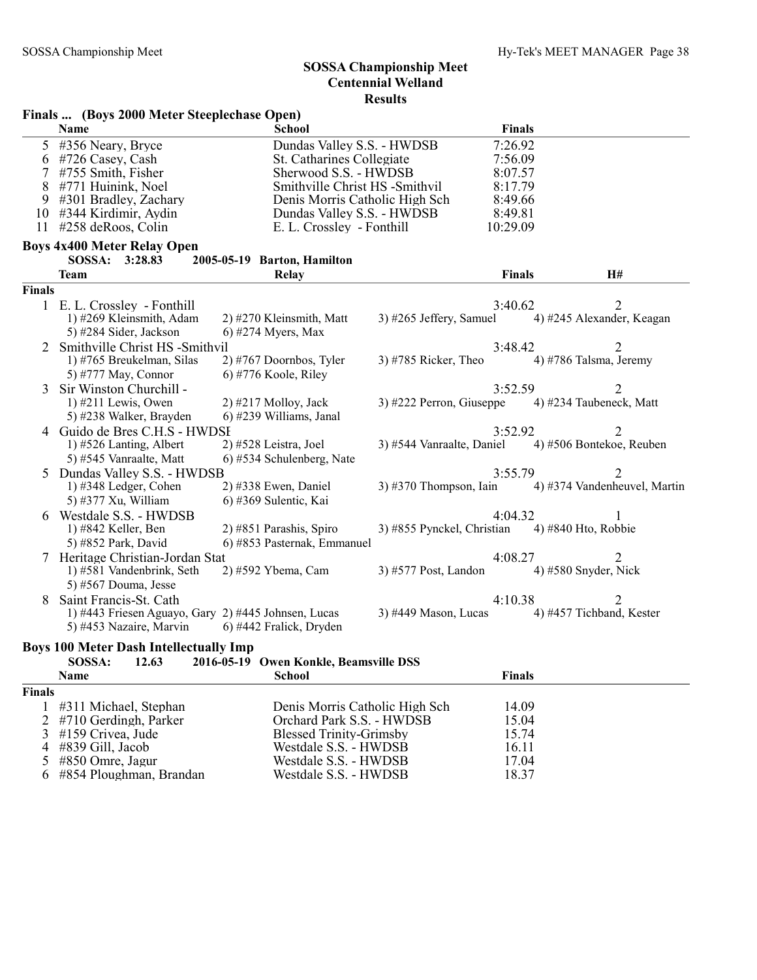#### Finals ... (Boys 2000 Meter Steeplechase Open)

| <b>Name</b>               | School                          | <b>Finals</b> |
|---------------------------|---------------------------------|---------------|
| 5 #356 Neary, Bryce       | Dundas Valley S.S. - HWDSB      | 7:26.92       |
| $6$ #726 Casey, Cash      | St. Catharines Collegiate       | 7:56.09       |
| $7$ #755 Smith, Fisher    | Sherwood S.S. - HWDSB           | 8:07.57       |
| 8 #771 Huinink, Noel      | Smithville Christ HS - Smithvil | 8:17.79       |
| 9 #301 Bradley, Zachary   | Denis Morris Catholic High Sch  | 8:49.66       |
| $10$ #344 Kirdimir, Aydin | Dundas Valley S.S. - HWDSB      | 8:49.81       |
| 11 $\#258$ deRoos, Colin  | E. L. Crossley - Fonthill       | 10:29.09      |

# Boys 4x400 Meter Relay Open<br>SOSSA: 3:28.83 20

## SOSSA: 3:28.83 2005-05-19 Barton, Hamilton<br>Team Belay

| Team                        | <b>Relay</b>                |                                                                                                                                                                                                                | <b>Finals</b>        | H#                                                                                                                                         |                                                                                                                                                                                                                                                                                                                 |
|-----------------------------|-----------------------------|----------------------------------------------------------------------------------------------------------------------------------------------------------------------------------------------------------------|----------------------|--------------------------------------------------------------------------------------------------------------------------------------------|-----------------------------------------------------------------------------------------------------------------------------------------------------------------------------------------------------------------------------------------------------------------------------------------------------------------|
| Finals                      |                             |                                                                                                                                                                                                                |                      |                                                                                                                                            |                                                                                                                                                                                                                                                                                                                 |
| 1 E. L. Crossley - Fonthill |                             |                                                                                                                                                                                                                |                      |                                                                                                                                            |                                                                                                                                                                                                                                                                                                                 |
| 1) #269 Kleinsmith, Adam    | 2) #270 Kleinsmith, Matt    |                                                                                                                                                                                                                |                      |                                                                                                                                            |                                                                                                                                                                                                                                                                                                                 |
| 5) #284 Sider, Jackson      | 6) #274 Myers, Max          |                                                                                                                                                                                                                |                      |                                                                                                                                            |                                                                                                                                                                                                                                                                                                                 |
|                             |                             |                                                                                                                                                                                                                |                      |                                                                                                                                            |                                                                                                                                                                                                                                                                                                                 |
| 1) #765 Breukelman, Silas   | $2)$ #767 Doornbos, Tyler   | $3)$ #785 Ricker, Theo                                                                                                                                                                                         |                      |                                                                                                                                            |                                                                                                                                                                                                                                                                                                                 |
| 5) #777 May, Connor         | $(6)$ #776 Koole, Riley     |                                                                                                                                                                                                                |                      |                                                                                                                                            |                                                                                                                                                                                                                                                                                                                 |
| Sir Winston Churchill -     |                             |                                                                                                                                                                                                                |                      | 2                                                                                                                                          |                                                                                                                                                                                                                                                                                                                 |
| $1)$ #211 Lewis, Owen       | $2)$ #217 Molloy, Jack      |                                                                                                                                                                                                                |                      |                                                                                                                                            |                                                                                                                                                                                                                                                                                                                 |
| 5) #238 Walker, Brayden     | 6) #239 Williams, Janal     |                                                                                                                                                                                                                |                      |                                                                                                                                            |                                                                                                                                                                                                                                                                                                                 |
|                             |                             |                                                                                                                                                                                                                |                      | 2                                                                                                                                          |                                                                                                                                                                                                                                                                                                                 |
| 1) $#526$ Lanting, Albert   | $2)$ #528 Leistra, Joel     |                                                                                                                                                                                                                |                      |                                                                                                                                            |                                                                                                                                                                                                                                                                                                                 |
| 5) #545 Vanraalte, Matt     | 6) #534 Schulenberg, Nate   |                                                                                                                                                                                                                |                      |                                                                                                                                            |                                                                                                                                                                                                                                                                                                                 |
|                             |                             |                                                                                                                                                                                                                |                      |                                                                                                                                            |                                                                                                                                                                                                                                                                                                                 |
| $1)$ #348 Ledger, Cohen     | $2)$ #338 Ewen, Daniel      |                                                                                                                                                                                                                |                      |                                                                                                                                            |                                                                                                                                                                                                                                                                                                                 |
|                             | 6) #369 Sulentic, Kai       |                                                                                                                                                                                                                |                      |                                                                                                                                            |                                                                                                                                                                                                                                                                                                                 |
| Westdale S.S. - HWDSB       |                             |                                                                                                                                                                                                                |                      |                                                                                                                                            |                                                                                                                                                                                                                                                                                                                 |
| 1) #842 Keller, Ben         | 2) #851 Parashis, Spiro     |                                                                                                                                                                                                                |                      |                                                                                                                                            |                                                                                                                                                                                                                                                                                                                 |
| 5) #852 Park, David         | 6) #853 Pasternak, Emmanuel |                                                                                                                                                                                                                |                      |                                                                                                                                            |                                                                                                                                                                                                                                                                                                                 |
|                             |                             |                                                                                                                                                                                                                |                      | $\mathcal{D}_{\mathcal{L}}$                                                                                                                |                                                                                                                                                                                                                                                                                                                 |
| 1) #581 Vandenbrink, Seth   |                             |                                                                                                                                                                                                                |                      |                                                                                                                                            |                                                                                                                                                                                                                                                                                                                 |
| 5) #567 Douma, Jesse        |                             |                                                                                                                                                                                                                |                      |                                                                                                                                            |                                                                                                                                                                                                                                                                                                                 |
| Saint Francis-St. Cath      |                             |                                                                                                                                                                                                                |                      |                                                                                                                                            |                                                                                                                                                                                                                                                                                                                 |
|                             |                             | $3)$ #449 Mason, Lucas                                                                                                                                                                                         |                      |                                                                                                                                            |                                                                                                                                                                                                                                                                                                                 |
| 5) #453 Nazaire, Marvin     | 6) #442 Fralick, Dryden     |                                                                                                                                                                                                                |                      |                                                                                                                                            |                                                                                                                                                                                                                                                                                                                 |
|                             | 5) #377 Xu, William         | Smithville Christ HS -Smithvil<br>4 Guido de Bres C.H.S - HWDSI<br>Dundas Valley S.S. - HWDSB<br>7 Heritage Christian-Jordan Stat<br>2) #592 Ybema, Cam<br>1) #443 Friesen Aguayo, Gary 2) #445 Johnsen, Lucas | 3) #577 Post, Landon | 3) #265 Jeffery, Samuel<br>3) #222 Perron, Giuseppe<br>3) #544 Vanraalte, Daniel<br>$3)$ #370 Thompson, Iain<br>3) #855 Pynckel, Christian | 3:40.62<br>4) #245 Alexander, Keagan<br>3:48.42<br>4) #786 Talsma, Jeremy<br>3:52.59<br>4) #234 Taubeneck, Matt<br>3:52.92<br>4) #506 Bontekoe, Reuben<br>3:55.79<br>4) #374 Vandenheuvel, Martin<br>4:04.32<br>4) #840 Hto, Robbie<br>4:08.27<br>4) $#580$ Snyder, Nick<br>4:10.38<br>4) #457 Tichband, Kester |

#### Boys 100 Meter Dash Intellectually Imp

|               | SOSSA:<br>12.63           | 2016-05-19 Owen Konkle, Beamsville DSS |               |  |
|---------------|---------------------------|----------------------------------------|---------------|--|
|               | <b>Name</b>               | <b>School</b>                          | <b>Finals</b> |  |
| <b>Finals</b> |                           |                                        |               |  |
|               | 1 #311 Michael, Stephan   | Denis Morris Catholic High Sch         | 14.09         |  |
|               | 2 #710 Gerdingh, Parker   | Orchard Park S.S. - HWDSB              | 15.04         |  |
|               | $3$ #159 Crivea, Jude     | <b>Blessed Trinity-Grimsby</b>         | 15.74         |  |
|               | $4 \#839$ Gill, Jacob     | Westdale S.S. - HWDSB                  | 16.11         |  |
|               | $5$ #850 Omre, Jagur      | Westdale S.S. - HWDSB                  | 17.04         |  |
|               | 6 #854 Ploughman, Brandan | Westdale S.S. - HWDSB                  | 18.37         |  |
|               |                           |                                        |               |  |